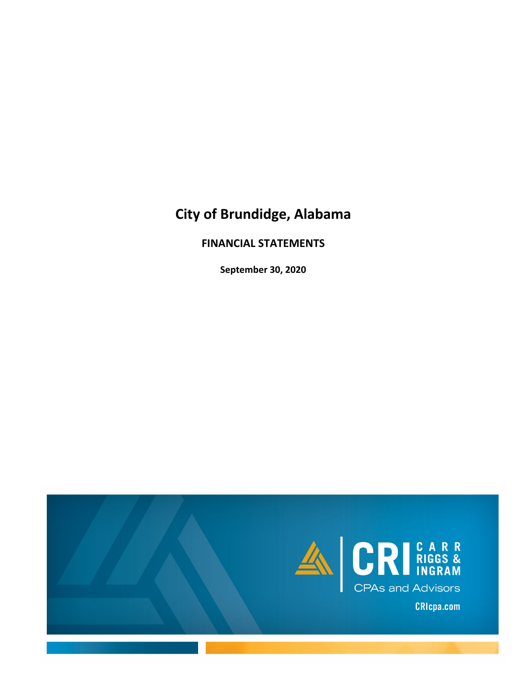# **City of Brundidge, Alabama**

**FINANCIAL STATEMENTS**

**September 30, 2020**

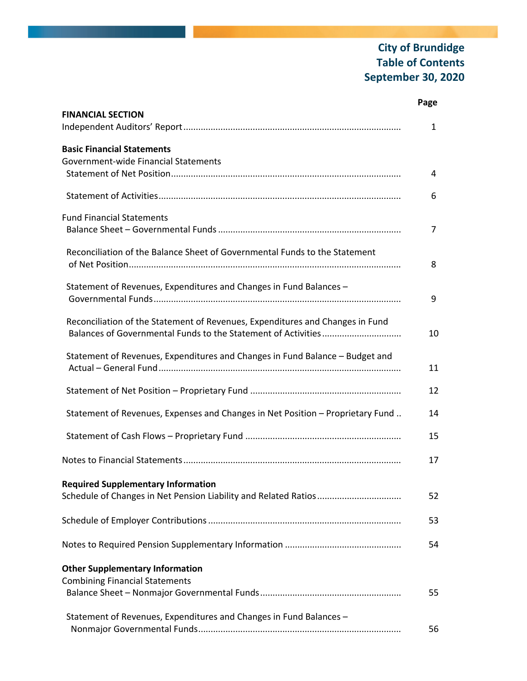# **City of Brundidge Table of Contents September 30, 2020**

|                                                                                | Page |  |
|--------------------------------------------------------------------------------|------|--|
| <b>FINANCIAL SECTION</b>                                                       | 1    |  |
| <b>Basic Financial Statements</b><br>Government-wide Financial Statements      |      |  |
|                                                                                | 4    |  |
|                                                                                | 6    |  |
| <b>Fund Financial Statements</b>                                               | 7    |  |
| Reconciliation of the Balance Sheet of Governmental Funds to the Statement     | 8    |  |
| Statement of Revenues, Expenditures and Changes in Fund Balances -             | 9    |  |
| Reconciliation of the Statement of Revenues, Expenditures and Changes in Fund  | 10   |  |
| Statement of Revenues, Expenditures and Changes in Fund Balance - Budget and   | 11   |  |
|                                                                                | 12   |  |
| Statement of Revenues, Expenses and Changes in Net Position - Proprietary Fund | 14   |  |
|                                                                                | 15   |  |
|                                                                                | 17   |  |
| <b>Required Supplementary Information</b>                                      |      |  |
|                                                                                | 52   |  |
|                                                                                | 53   |  |
|                                                                                | 54   |  |
| <b>Other Supplementary Information</b>                                         |      |  |
| <b>Combining Financial Statements</b>                                          | 55   |  |
| Statement of Revenues, Expenditures and Changes in Fund Balances -             | 56   |  |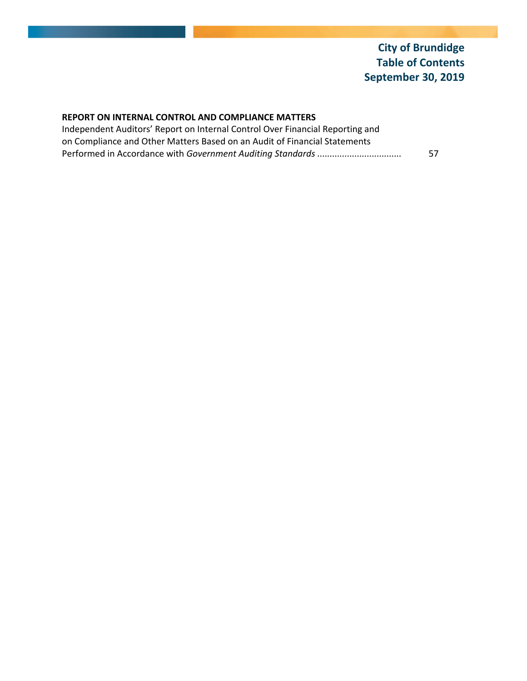### **REPORT ON INTERNAL CONTROL AND COMPLIANCE MATTERS**

| Independent Auditors' Report on Internal Control Over Financial Reporting and |     |
|-------------------------------------------------------------------------------|-----|
| on Compliance and Other Matters Based on an Audit of Financial Statements     |     |
|                                                                               | 57. |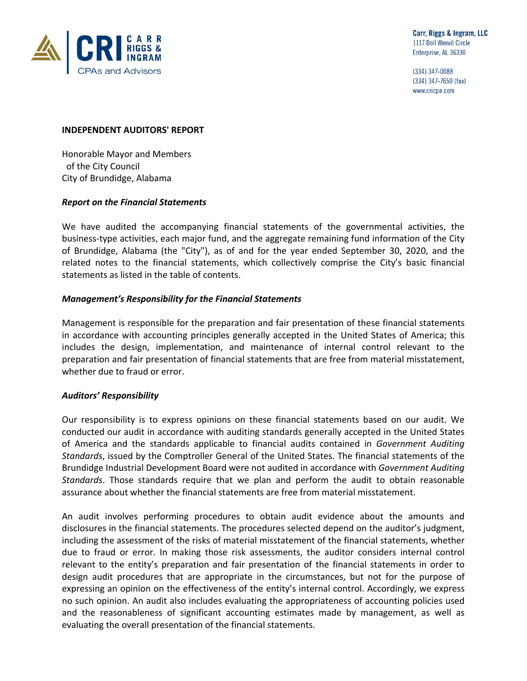

Carr, Riggs & Ingram, LLC 1117 Boll Weevil Circle Enterprise, AL 36330

(334) 347-0088 (334) 347-7650 (fax) www.cricpa.com

### **INDEPENDENT AUDITORS' REPORT**

Honorable Mayor and Members of the City Council City of Brundidge, Alabama

### *Report on the Financial Statements*

We have audited the accompanying financial statements of the governmental activities, the business‐type activities, each major fund, and the aggregate remaining fund information of the City of Brundidge, Alabama (the "City"), as of and for the year ended September 30, 2020, and the related notes to the financial statements, which collectively comprise the City's basic financial statements as listed in the table of contents.

### *Management's Responsibility for the Financial Statements*

Management is responsible for the preparation and fair presentation of these financial statements in accordance with accounting principles generally accepted in the United States of America; this includes the design, implementation, and maintenance of internal control relevant to the preparation and fair presentation of financial statements that are free from material misstatement, whether due to fraud or error.

## *Auditors' Responsibility*

Our responsibility is to express opinions on these financial statements based on our audit. We conducted our audit in accordance with auditing standards generally accepted in the United States of America and the standards applicable to financial audits contained in *Government Auditing Standards*, issued by the Comptroller General of the United States. The financial statements of the Brundidge Industrial Development Board were not audited in accordance with *Government Auditing Standards*. Those standards require that we plan and perform the audit to obtain reasonable assurance about whether the financial statements are free from material misstatement.

An audit involves performing procedures to obtain audit evidence about the amounts and disclosures in the financial statements. The procedures selected depend on the auditor's judgment, including the assessment of the risks of material misstatement of the financial statements, whether due to fraud or error. In making those risk assessments, the auditor considers internal control relevant to the entity's preparation and fair presentation of the financial statements in order to design audit procedures that are appropriate in the circumstances, but not for the purpose of expressing an opinion on the effectiveness of the entity's internal control. Accordingly, we express no such opinion. An audit also includes evaluating the appropriateness of accounting policies used and the reasonableness of significant accounting estimates made by management, as well as evaluating the overall presentation of the financial statements.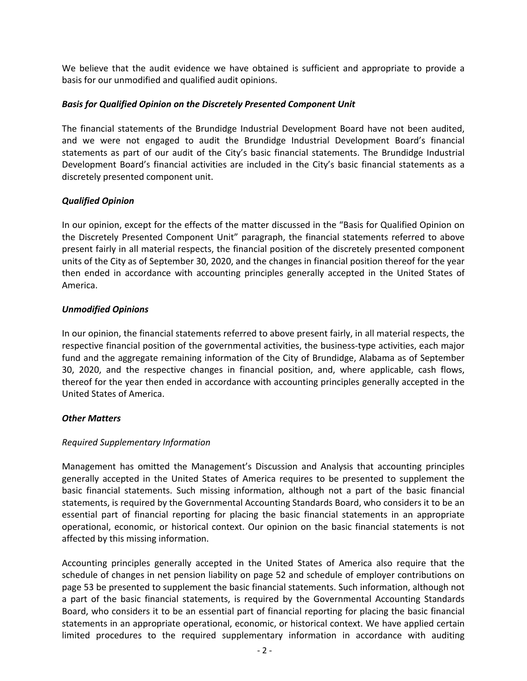We believe that the audit evidence we have obtained is sufficient and appropriate to provide a basis for our unmodified and qualified audit opinions.

## *Basis for Qualified Opinion on the Discretely Presented Component Unit*

The financial statements of the Brundidge Industrial Development Board have not been audited, and we were not engaged to audit the Brundidge Industrial Development Board's financial statements as part of our audit of the City's basic financial statements. The Brundidge Industrial Development Board's financial activities are included in the City's basic financial statements as a discretely presented component unit.

### *Qualified Opinion*

In our opinion, except for the effects of the matter discussed in the "Basis for Qualified Opinion on the Discretely Presented Component Unit" paragraph, the financial statements referred to above present fairly in all material respects, the financial position of the discretely presented component units of the City as of September 30, 2020, and the changes in financial position thereof for the year then ended in accordance with accounting principles generally accepted in the United States of America.

### *Unmodified Opinions*

In our opinion, the financial statements referred to above present fairly, in all material respects, the respective financial position of the governmental activities, the business-type activities, each major fund and the aggregate remaining information of the City of Brundidge, Alabama as of September 30, 2020, and the respective changes in financial position, and, where applicable, cash flows, thereof for the year then ended in accordance with accounting principles generally accepted in the United States of America.

### *Other Matters*

## *Required Supplementary Information*

Management has omitted the Management's Discussion and Analysis that accounting principles generally accepted in the United States of America requires to be presented to supplement the basic financial statements. Such missing information, although not a part of the basic financial statements, is required by the Governmental Accounting Standards Board, who considers it to be an essential part of financial reporting for placing the basic financial statements in an appropriate operational, economic, or historical context. Our opinion on the basic financial statements is not affected by this missing information.

Accounting principles generally accepted in the United States of America also require that the schedule of changes in net pension liability on page 52 and schedule of employer contributions on page 53 be presented to supplement the basic financial statements. Such information, although not a part of the basic financial statements, is required by the Governmental Accounting Standards Board, who considers it to be an essential part of financial reporting for placing the basic financial statements in an appropriate operational, economic, or historical context. We have applied certain limited procedures to the required supplementary information in accordance with auditing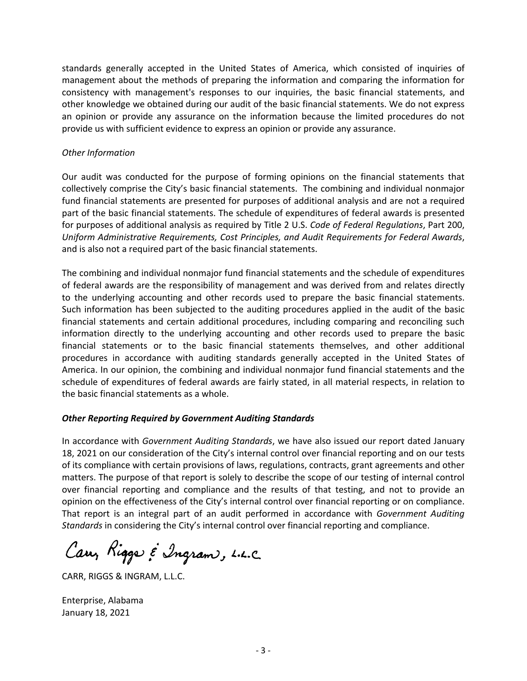standards generally accepted in the United States of America, which consisted of inquiries of management about the methods of preparing the information and comparing the information for consistency with management's responses to our inquiries, the basic financial statements, and other knowledge we obtained during our audit of the basic financial statements. We do not express an opinion or provide any assurance on the information because the limited procedures do not provide us with sufficient evidence to express an opinion or provide any assurance.

## *Other Information*

Our audit was conducted for the purpose of forming opinions on the financial statements that collectively comprise the City's basic financial statements. The combining and individual nonmajor fund financial statements are presented for purposes of additional analysis and are not a required part of the basic financial statements. The schedule of expenditures of federal awards is presented for purposes of additional analysis as required by Title 2 U.S. *Code of Federal Regulations*, Part 200, *Uniform Administrative Requirements, Cost Principles, and Audit Requirements for Federal Awards*, and is also not a required part of the basic financial statements.

The combining and individual nonmajor fund financial statements and the schedule of expenditures of federal awards are the responsibility of management and was derived from and relates directly to the underlying accounting and other records used to prepare the basic financial statements. Such information has been subjected to the auditing procedures applied in the audit of the basic financial statements and certain additional procedures, including comparing and reconciling such information directly to the underlying accounting and other records used to prepare the basic financial statements or to the basic financial statements themselves, and other additional procedures in accordance with auditing standards generally accepted in the United States of America. In our opinion, the combining and individual nonmajor fund financial statements and the schedule of expenditures of federal awards are fairly stated, in all material respects, in relation to the basic financial statements as a whole.

## *Other Reporting Required by Government Auditing Standards*

In accordance with *Government Auditing Standards*, we have also issued our report dated January 18, 2021 on our consideration of the City's internal control over financial reporting and on our tests of its compliance with certain provisions of laws, regulations, contracts, grant agreements and other matters. The purpose of that report is solely to describe the scope of our testing of internal control over financial reporting and compliance and the results of that testing, and not to provide an opinion on the effectiveness of the City's internal control over financial reporting or on compliance. That report is an integral part of an audit performed in accordance with *Government Auditing Standards* in considering the City's internal control over financial reporting and compliance.

Cary Rigge & Ingram, L.L.C.

CARR, RIGGS & INGRAM, L.L.C.

Enterprise, Alabama January 18, 2021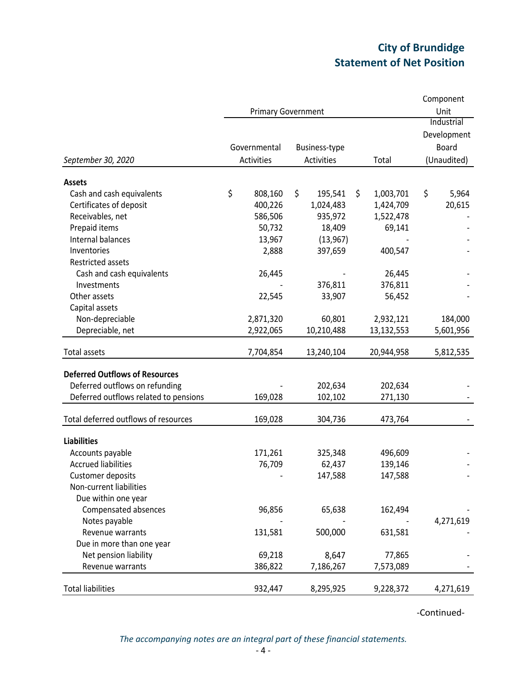# **City of Brundidge Statement of Net Position**

|                                       |    | <b>Primary Government</b> |    |                      |    |            |    | Unit        |  |
|---------------------------------------|----|---------------------------|----|----------------------|----|------------|----|-------------|--|
|                                       |    |                           |    |                      |    |            |    | Industrial  |  |
|                                       |    |                           |    |                      |    |            |    | Development |  |
|                                       |    | Governmental              |    | <b>Business-type</b> |    |            |    | Board       |  |
| September 30, 2020                    |    | <b>Activities</b>         |    | <b>Activities</b>    |    | Total      |    | (Unaudited) |  |
|                                       |    |                           |    |                      |    |            |    |             |  |
| <b>Assets</b>                         |    |                           |    |                      |    |            |    |             |  |
| Cash and cash equivalents             | \$ | 808,160                   | \$ | 195,541              | \$ | 1,003,701  | \$ | 5,964       |  |
| Certificates of deposit               |    | 400,226                   |    | 1,024,483            |    | 1,424,709  |    | 20,615      |  |
| Receivables, net                      |    | 586,506                   |    | 935,972              |    | 1,522,478  |    |             |  |
| Prepaid items                         |    | 50,732                    |    | 18,409               |    | 69,141     |    |             |  |
| Internal balances                     |    | 13,967                    |    | (13, 967)            |    |            |    |             |  |
| Inventories                           |    | 2,888                     |    | 397,659              |    | 400,547    |    |             |  |
| <b>Restricted assets</b>              |    |                           |    |                      |    |            |    |             |  |
| Cash and cash equivalents             |    | 26,445                    |    |                      |    | 26,445     |    |             |  |
| Investments                           |    |                           |    | 376,811              |    | 376,811    |    |             |  |
| Other assets                          |    | 22,545                    |    | 33,907               |    | 56,452     |    |             |  |
| Capital assets                        |    |                           |    |                      |    |            |    |             |  |
| Non-depreciable                       |    | 2,871,320                 |    | 60,801               |    | 2,932,121  |    | 184,000     |  |
| Depreciable, net                      |    | 2,922,065                 |    | 10,210,488           |    | 13,132,553 |    | 5,601,956   |  |
|                                       |    |                           |    |                      |    |            |    |             |  |
| Total assets                          |    | 7,704,854                 |    | 13,240,104           |    | 20,944,958 |    | 5,812,535   |  |
| <b>Deferred Outflows of Resources</b> |    |                           |    |                      |    |            |    |             |  |
| Deferred outflows on refunding        |    |                           |    | 202,634              |    | 202,634    |    |             |  |
| Deferred outflows related to pensions |    | 169,028                   |    | 102,102              |    | 271,130    |    |             |  |
|                                       |    |                           |    |                      |    |            |    |             |  |
| Total deferred outflows of resources  |    | 169,028                   |    | 304,736              |    | 473,764    |    |             |  |
| <b>Liabilities</b>                    |    |                           |    |                      |    |            |    |             |  |
| Accounts payable                      |    | 171,261                   |    | 325,348              |    | 496,609    |    |             |  |
| <b>Accrued liabilities</b>            |    | 76,709                    |    | 62,437               |    | 139,146    |    |             |  |
| Customer deposits                     |    |                           |    | 147,588              |    | 147,588    |    |             |  |
| Non-current liabilities               |    |                           |    |                      |    |            |    |             |  |
| Due within one year                   |    |                           |    |                      |    |            |    |             |  |
| Compensated absences                  |    | 96,856                    |    | 65,638               |    | 162,494    |    |             |  |
| Notes payable                         |    |                           |    |                      |    |            |    | 4,271,619   |  |
| Revenue warrants                      |    | 131,581                   |    | 500,000              |    | 631,581    |    |             |  |
| Due in more than one year             |    |                           |    |                      |    |            |    |             |  |
| Net pension liability                 |    | 69,218                    |    | 8,647                |    | 77,865     |    |             |  |
| Revenue warrants                      |    | 386,822                   |    | 7,186,267            |    | 7,573,089  |    |             |  |
|                                       |    |                           |    |                      |    |            |    |             |  |
| <b>Total liabilities</b>              |    | 932,447                   |    | 8,295,925            |    | 9,228,372  |    | 4,271,619   |  |

‐Continued‐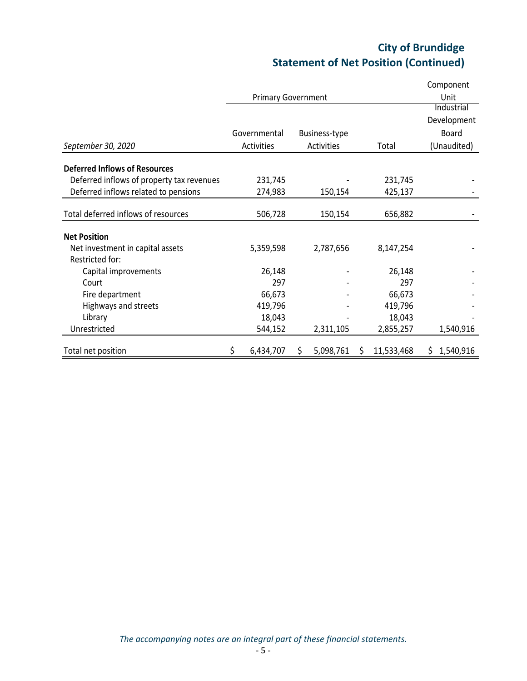# **City of Brundidge Statement of Net Position (Continued)**

|                                           |                           |                 |     |            | Component   |
|-------------------------------------------|---------------------------|-----------------|-----|------------|-------------|
|                                           | <b>Primary Government</b> | Unit            |     |            |             |
|                                           |                           |                 |     |            | Industrial  |
|                                           |                           |                 |     |            | Development |
|                                           | Governmental              | Business-type   |     |            | Board       |
| September 30, 2020                        | <b>Activities</b>         | Activities      |     | Total      | (Unaudited) |
| <b>Deferred Inflows of Resources</b>      |                           |                 |     |            |             |
| Deferred inflows of property tax revenues | 231,745                   |                 |     | 231,745    |             |
| Deferred inflows related to pensions      | 274,983                   | 150,154         |     | 425,137    |             |
| Total deferred inflows of resources       | 506,728                   | 150,154         |     | 656,882    |             |
| <b>Net Position</b>                       |                           |                 |     |            |             |
| Net investment in capital assets          | 5,359,598                 | 2,787,656       |     | 8,147,254  |             |
| Restricted for:                           |                           |                 |     |            |             |
| Capital improvements                      | 26,148                    |                 |     | 26,148     |             |
| Court                                     | 297                       |                 |     | 297        |             |
| Fire department                           | 66,673                    |                 |     | 66,673     |             |
| Highways and streets                      | 419,796                   |                 |     | 419,796    |             |
| Library                                   | 18,043                    |                 |     | 18,043     |             |
| Unrestricted                              | 544,152                   | 2,311,105       |     | 2,855,257  | 1,540,916   |
| Total net position                        | \$<br>6,434,707           | \$<br>5,098,761 | \$. | 11,533,468 | \$1,540,916 |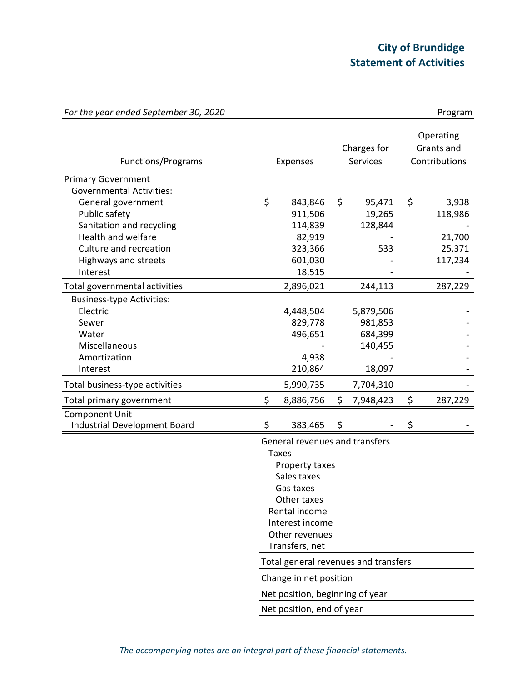# **City of Brundidge Statement of Activities**

Program

| For the year ended September 30, 2020 |  |
|---------------------------------------|--|
|---------------------------------------|--|

| Functions/Programs                                           | Charges for<br><b>Services</b><br>Expenses     |     | Operating<br>Grants and<br>Contributions |    |         |
|--------------------------------------------------------------|------------------------------------------------|-----|------------------------------------------|----|---------|
| <b>Primary Government</b><br><b>Governmental Activities:</b> |                                                |     |                                          |    |         |
| General government                                           | \$<br>843,846                                  | \$  | 95,471                                   | \$ | 3,938   |
| Public safety                                                | 911,506                                        |     | 19,265                                   |    | 118,986 |
| Sanitation and recycling                                     | 114,839                                        |     | 128,844                                  |    |         |
| <b>Health and welfare</b>                                    | 82,919                                         |     |                                          |    | 21,700  |
| Culture and recreation                                       | 323,366                                        |     | 533                                      |    | 25,371  |
| Highways and streets                                         | 601,030                                        |     |                                          |    | 117,234 |
| Interest                                                     | 18,515                                         |     |                                          |    |         |
| Total governmental activities                                | 2,896,021                                      |     | 244,113                                  |    | 287,229 |
| <b>Business-type Activities:</b>                             |                                                |     |                                          |    |         |
| Electric                                                     | 4,448,504                                      |     | 5,879,506                                |    |         |
| Sewer                                                        | 829,778                                        |     | 981,853                                  |    |         |
| Water                                                        | 496,651                                        |     | 684,399                                  |    |         |
| Miscellaneous                                                |                                                |     | 140,455                                  |    |         |
| Amortization                                                 | 4,938                                          |     |                                          |    |         |
| Interest                                                     | 210,864                                        |     | 18,097                                   |    |         |
| Total business-type activities                               | 5,990,735                                      |     | 7,704,310                                |    |         |
| Total primary government                                     | \$<br>8,886,756                                | \$. | 7,948,423                                | \$ | 287,229 |
| <b>Component Unit</b>                                        |                                                |     |                                          |    |         |
| <b>Industrial Development Board</b>                          | \$<br>383,465                                  | \$  |                                          | \$ |         |
|                                                              | General revenues and transfers<br><b>Taxes</b> |     |                                          |    |         |
|                                                              | Property taxes                                 |     |                                          |    |         |
|                                                              | Sales taxes                                    |     |                                          |    |         |
|                                                              | Gas taxes                                      |     |                                          |    |         |
|                                                              | Other taxes                                    |     |                                          |    |         |
|                                                              | Rental income                                  |     |                                          |    |         |
|                                                              | Interest income                                |     |                                          |    |         |
|                                                              | Other revenues                                 |     |                                          |    |         |
|                                                              | Transfers, net                                 |     |                                          |    |         |
|                                                              | Total general revenues and transfers           |     |                                          |    |         |
|                                                              | Change in net position                         |     |                                          |    |         |
|                                                              | Net position, beginning of year                |     |                                          |    |         |
|                                                              | Net position, end of year                      |     |                                          |    |         |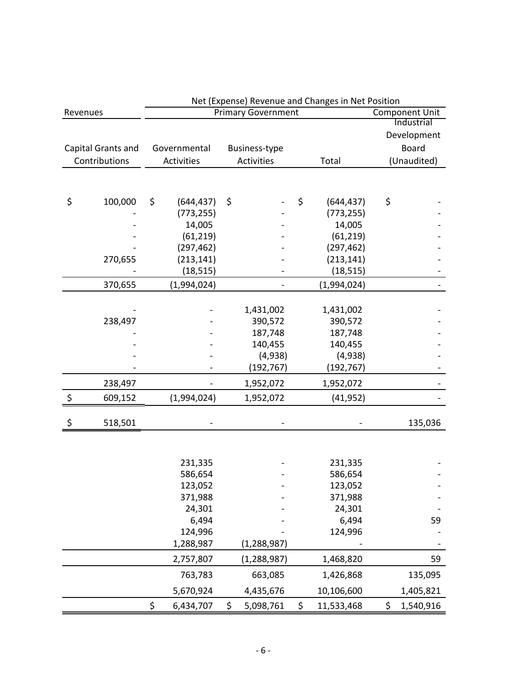|          |                    | Net (Expense) Revenue and Changes in Net Position |                           |    |                       |    |             |    |              |  |
|----------|--------------------|---------------------------------------------------|---------------------------|----|-----------------------|----|-------------|----|--------------|--|
| Revenues |                    |                                                   | <b>Primary Government</b> |    | <b>Component Unit</b> |    |             |    |              |  |
|          |                    |                                                   |                           |    |                       |    |             |    | Industrial   |  |
|          |                    |                                                   |                           |    |                       |    |             |    | Development  |  |
|          | Capital Grants and |                                                   | Governmental              |    | <b>Business-type</b>  |    |             |    | <b>Board</b> |  |
|          | Contributions      |                                                   | Activities                |    | Activities            |    | Total       |    | (Unaudited)  |  |
|          |                    |                                                   |                           |    |                       |    |             |    |              |  |
|          |                    |                                                   |                           |    |                       |    |             |    |              |  |
| \$       | 100,000            | \$                                                | (644, 437)                | \$ |                       | \$ | (644, 437)  | \$ |              |  |
|          |                    |                                                   | (773, 255)                |    |                       |    | (773, 255)  |    |              |  |
|          |                    |                                                   | 14,005                    |    |                       |    | 14,005      |    |              |  |
|          |                    |                                                   | (61, 219)                 |    |                       |    | (61, 219)   |    |              |  |
|          |                    |                                                   | (297, 462)                |    |                       |    | (297, 462)  |    |              |  |
|          | 270,655            |                                                   | (213, 141)                |    |                       |    | (213, 141)  |    |              |  |
|          |                    |                                                   | (18, 515)                 |    |                       |    | (18, 515)   |    |              |  |
|          | 370,655            |                                                   | (1,994,024)               |    |                       |    | (1,994,024) |    |              |  |
|          |                    |                                                   |                           |    |                       |    |             |    |              |  |
|          |                    |                                                   |                           |    | 1,431,002             |    | 1,431,002   |    |              |  |
|          | 238,497            |                                                   |                           |    | 390,572               |    | 390,572     |    |              |  |
|          |                    |                                                   |                           |    | 187,748               |    | 187,748     |    |              |  |
|          |                    |                                                   |                           |    | 140,455               |    | 140,455     |    |              |  |
|          |                    |                                                   |                           |    | (4,938)               |    | (4,938)     |    |              |  |
|          |                    |                                                   |                           |    | (192, 767)            |    | (192, 767)  |    |              |  |
|          | 238,497            |                                                   |                           |    | 1,952,072             |    | 1,952,072   |    |              |  |
| $\zeta$  | 609,152            |                                                   | (1,994,024)               |    | 1,952,072             |    | (41, 952)   |    |              |  |
|          |                    |                                                   |                           |    |                       |    |             |    |              |  |
| \$       | 518,501            |                                                   |                           |    |                       |    |             |    | 135,036      |  |
|          |                    |                                                   |                           |    |                       |    |             |    |              |  |
|          |                    |                                                   |                           |    |                       |    |             |    |              |  |
|          |                    |                                                   | 231,335                   |    |                       |    | 231,335     |    |              |  |
|          |                    |                                                   | 586,654                   |    |                       |    | 586,654     |    |              |  |
|          |                    |                                                   | 123,052                   |    |                       |    | 123,052     |    |              |  |
|          |                    |                                                   | 371,988                   |    |                       |    | 371,988     |    |              |  |
|          |                    |                                                   | 24,301                    |    |                       |    | 24,301      |    |              |  |
|          |                    |                                                   | 6,494                     |    |                       |    | 6,494       |    | 59           |  |
|          |                    |                                                   | 124,996                   |    |                       |    | 124,996     |    |              |  |
|          |                    |                                                   | 1,288,987                 |    | (1, 288, 987)         |    |             |    |              |  |
|          |                    |                                                   | 2,757,807                 |    | (1, 288, 987)         |    | 1,468,820   |    | 59           |  |
|          |                    |                                                   | 763,783                   |    | 663,085               |    | 1,426,868   |    | 135,095      |  |
|          |                    |                                                   | 5,670,924                 |    | 4,435,676             |    | 10,106,600  |    | 1,405,821    |  |
|          |                    | \$                                                | 6,434,707                 | \$ | 5,098,761             | \$ | 11,533,468  | \$ | 1,540,916    |  |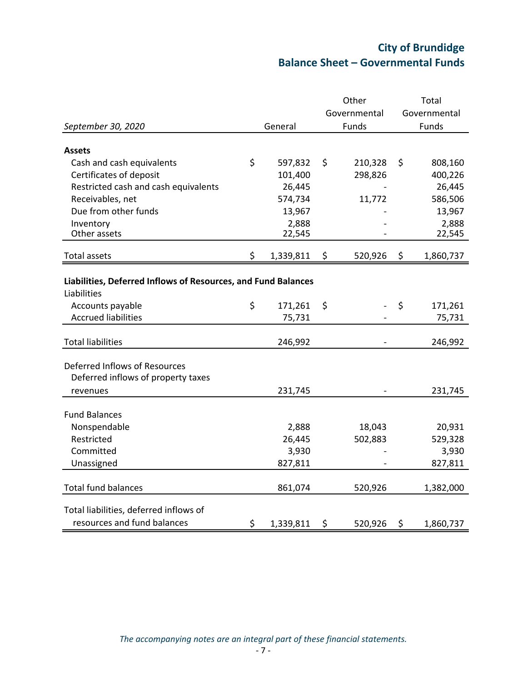# **City of Brundidge Balance Sheet – Governmental Funds**

|                                                               |                 | Other |              |    | Total        |
|---------------------------------------------------------------|-----------------|-------|--------------|----|--------------|
|                                                               |                 |       | Governmental |    | Governmental |
| September 30, 2020                                            | General         |       | Funds        |    | Funds        |
|                                                               |                 |       |              |    |              |
| <b>Assets</b>                                                 |                 |       |              |    |              |
| Cash and cash equivalents                                     | \$<br>597,832   | \$    | 210,328      | \$ | 808,160      |
| Certificates of deposit                                       | 101,400         |       | 298,826      |    | 400,226      |
| Restricted cash and cash equivalents                          | 26,445          |       |              |    | 26,445       |
| Receivables, net                                              | 574,734         |       | 11,772       |    | 586,506      |
| Due from other funds                                          | 13,967          |       |              |    | 13,967       |
| Inventory                                                     | 2,888           |       |              |    | 2,888        |
| Other assets                                                  | 22,545          |       |              |    | 22,545       |
| <b>Total assets</b>                                           | \$<br>1,339,811 | \$    | 520,926      | \$ | 1,860,737    |
|                                                               |                 |       |              |    |              |
| Liabilities, Deferred Inflows of Resources, and Fund Balances |                 |       |              |    |              |
| Liabilities                                                   |                 |       |              |    |              |
| Accounts payable                                              | \$<br>171,261   | \$    |              | \$ | 171,261      |
| <b>Accrued liabilities</b>                                    | 75,731          |       |              |    | 75,731       |
|                                                               |                 |       |              |    |              |
| <b>Total liabilities</b>                                      | 246,992         |       |              |    | 246,992      |
|                                                               |                 |       |              |    |              |
| Deferred Inflows of Resources                                 |                 |       |              |    |              |
| Deferred inflows of property taxes                            |                 |       |              |    |              |
| revenues                                                      | 231,745         |       |              |    | 231,745      |
|                                                               |                 |       |              |    |              |
| <b>Fund Balances</b>                                          |                 |       |              |    |              |
| Nonspendable                                                  | 2,888           |       | 18,043       |    | 20,931       |
| Restricted                                                    | 26,445          |       | 502,883      |    | 529,328      |
| Committed                                                     | 3,930           |       |              |    | 3,930        |
| Unassigned                                                    | 827,811         |       |              |    | 827,811      |
|                                                               |                 |       |              |    |              |
| <b>Total fund balances</b>                                    | 861,074         |       | 520,926      |    | 1,382,000    |
| Total liabilities, deferred inflows of                        |                 |       |              |    |              |
| resources and fund balances                                   | \$<br>1,339,811 | \$    | 520,926      | \$ | 1,860,737    |
|                                                               |                 |       |              |    |              |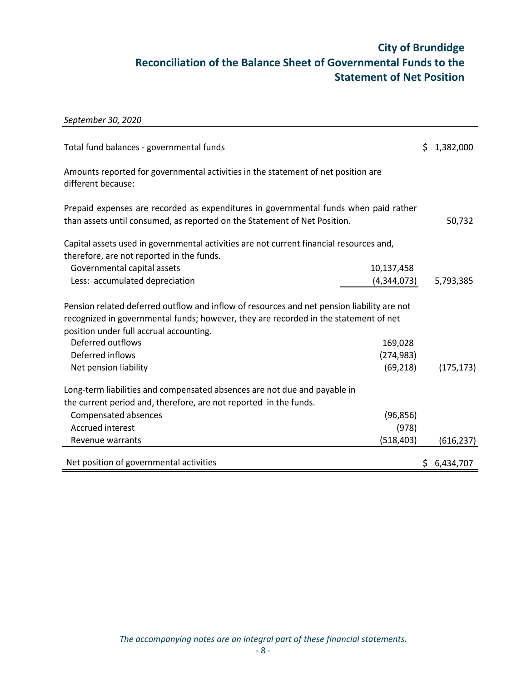# **City of Brundidge Reconciliation of the Balance Sheet of Governmental Funds to the Statement of Net Position**

*September 30, 2020*

| Total fund balances - governmental funds                                                                                                                                                                                                                                                        |                                    | \$1,382,000 |
|-------------------------------------------------------------------------------------------------------------------------------------------------------------------------------------------------------------------------------------------------------------------------------------------------|------------------------------------|-------------|
| Amounts reported for governmental activities in the statement of net position are<br>different because:                                                                                                                                                                                         |                                    |             |
| Prepaid expenses are recorded as expenditures in governmental funds when paid rather<br>than assets until consumed, as reported on the Statement of Net Position.                                                                                                                               |                                    | 50,732      |
| Capital assets used in governmental activities are not current financial resources and,<br>therefore, are not reported in the funds.                                                                                                                                                            |                                    |             |
| Governmental capital assets                                                                                                                                                                                                                                                                     | 10,137,458                         |             |
| Less: accumulated depreciation                                                                                                                                                                                                                                                                  | (4,344,073)                        | 5,793,385   |
| Pension related deferred outflow and inflow of resources and net pension liability are not<br>recognized in governmental funds; however, they are recorded in the statement of net<br>position under full accrual accounting.<br>Deferred outflows<br>Deferred inflows<br>Net pension liability | 169,028<br>(274, 983)<br>(69, 218) | (175, 173)  |
| Long-term liabilities and compensated absences are not due and payable in<br>the current period and, therefore, are not reported in the funds.<br>Compensated absences<br><b>Accrued interest</b>                                                                                               | (96, 856)<br>(978)                 |             |
| Revenue warrants                                                                                                                                                                                                                                                                                | (518, 403)                         | (616,237)   |
| Net position of governmental activities                                                                                                                                                                                                                                                         |                                    | \$6,434,707 |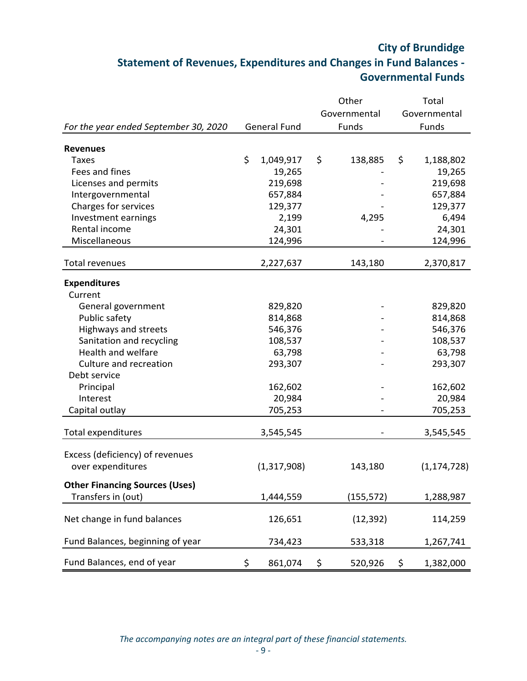## **City of Brundidge Statement of Revenues, Expenditures and Changes in Fund Balances ‐ Governmental Funds**

|                                       |                     | Other         |              | Total         |  |
|---------------------------------------|---------------------|---------------|--------------|---------------|--|
|                                       |                     | Governmental  | Governmental |               |  |
| For the year ended September 30, 2020 | <b>General Fund</b> | Funds         | Funds        |               |  |
| <b>Revenues</b>                       |                     |               |              |               |  |
| <b>Taxes</b>                          | \$<br>1,049,917     | \$<br>138,885 | \$           | 1,188,802     |  |
| Fees and fines                        | 19,265              |               |              | 19,265        |  |
| Licenses and permits                  | 219,698             |               |              | 219,698       |  |
| Intergovernmental                     | 657,884             |               |              | 657,884       |  |
| Charges for services                  | 129,377             |               |              | 129,377       |  |
| Investment earnings                   | 2,199               | 4,295         |              | 6,494         |  |
| Rental income                         | 24,301              |               |              | 24,301        |  |
| Miscellaneous                         | 124,996             |               |              | 124,996       |  |
|                                       |                     |               |              |               |  |
| <b>Total revenues</b>                 | 2,227,637           | 143,180       |              | 2,370,817     |  |
| <b>Expenditures</b>                   |                     |               |              |               |  |
| Current                               |                     |               |              |               |  |
| General government                    | 829,820             |               |              | 829,820       |  |
| Public safety                         | 814,868             |               |              | 814,868       |  |
| <b>Highways and streets</b>           | 546,376             |               |              | 546,376       |  |
| Sanitation and recycling              | 108,537             |               |              | 108,537       |  |
| Health and welfare                    | 63,798              |               |              | 63,798        |  |
| Culture and recreation                | 293,307             |               |              | 293,307       |  |
| Debt service                          |                     |               |              |               |  |
| Principal                             | 162,602             |               |              | 162,602       |  |
| Interest                              | 20,984              |               |              | 20,984        |  |
| Capital outlay                        | 705,253             |               |              | 705,253       |  |
|                                       |                     |               |              |               |  |
| Total expenditures                    | 3,545,545           |               |              | 3,545,545     |  |
| Excess (deficiency) of revenues       |                     |               |              |               |  |
| over expenditures                     | (1,317,908)         | 143,180       |              | (1, 174, 728) |  |
|                                       |                     |               |              |               |  |
| <b>Other Financing Sources (Uses)</b> |                     |               |              |               |  |
| Transfers in (out)                    | 1,444,559           | (155, 572)    |              | 1,288,987     |  |
| Net change in fund balances           | 126,651             |               |              | 114,259       |  |
|                                       |                     | (12, 392)     |              |               |  |
| Fund Balances, beginning of year      | 734,423             | 533,318       |              | 1,267,741     |  |
|                                       |                     |               |              |               |  |
| Fund Balances, end of year            | \$<br>861,074       | \$<br>520,926 | \$           | 1,382,000     |  |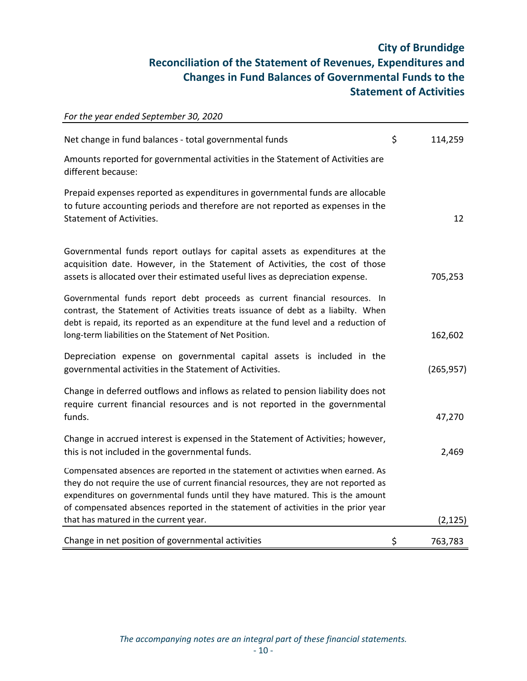## **City of Brundidge Reconciliation of the Statement of Revenues, Expenditures and Changes in Fund Balances of Governmental Funds to the Statement of Activities**

| For the year ended September 30, 2020                                                                                                                                                                                                                                                                                                                                                    |            |
|------------------------------------------------------------------------------------------------------------------------------------------------------------------------------------------------------------------------------------------------------------------------------------------------------------------------------------------------------------------------------------------|------------|
| Net change in fund balances - total governmental funds<br>\$                                                                                                                                                                                                                                                                                                                             | 114,259    |
| Amounts reported for governmental activities in the Statement of Activities are<br>different because:                                                                                                                                                                                                                                                                                    |            |
| Prepaid expenses reported as expenditures in governmental funds are allocable<br>to future accounting periods and therefore are not reported as expenses in the<br><b>Statement of Activities.</b>                                                                                                                                                                                       | 12         |
| Governmental funds report outlays for capital assets as expenditures at the<br>acquisition date. However, in the Statement of Activities, the cost of those<br>assets is allocated over their estimated useful lives as depreciation expense.                                                                                                                                            | 705,253    |
| Governmental funds report debt proceeds as current financial resources. In<br>contrast, the Statement of Activities treats issuance of debt as a liabilty. When<br>debt is repaid, its reported as an expenditure at the fund level and a reduction of<br>long-term liabilities on the Statement of Net Position.                                                                        | 162,602    |
| Depreciation expense on governmental capital assets is included in the<br>governmental activities in the Statement of Activities.                                                                                                                                                                                                                                                        | (265, 957) |
| Change in deferred outflows and inflows as related to pension liability does not<br>require current financial resources and is not reported in the governmental<br>funds.                                                                                                                                                                                                                | 47,270     |
| Change in accrued interest is expensed in the Statement of Activities; however,<br>this is not included in the governmental funds.                                                                                                                                                                                                                                                       | 2,469      |
| Compensated absences are reported in the statement of activities when earned. As<br>they do not require the use of current financial resources, they are not reported as<br>expenditures on governmental funds until they have matured. This is the amount<br>of compensated absences reported in the statement of activities in the prior year<br>that has matured in the current year. | (2, 125)   |
| Change in net position of governmental activities<br>\$                                                                                                                                                                                                                                                                                                                                  | 763,783    |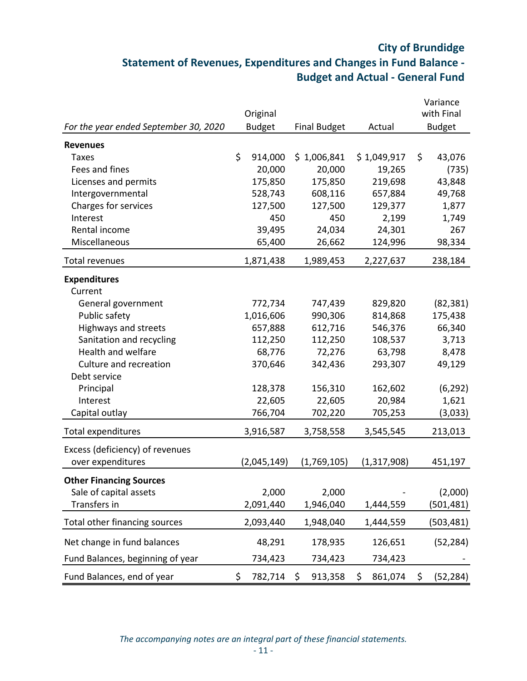# **City of Brundidge Statement of Revenues, Expenditures and Changes in Fund Balance ‐ Budget and Actual ‐ General Fund**

|                                       | Original      |                     |               | Variance<br>with Final |
|---------------------------------------|---------------|---------------------|---------------|------------------------|
| For the year ended September 30, 2020 | <b>Budget</b> | <b>Final Budget</b> | Actual        | <b>Budget</b>          |
| <b>Revenues</b>                       |               |                     |               |                        |
| <b>Taxes</b>                          | \$<br>914,000 | \$1,006,841         | \$1,049,917   | \$<br>43,076           |
| Fees and fines                        | 20,000        | 20,000              | 19,265        | (735)                  |
| Licenses and permits                  | 175,850       | 175,850             | 219,698       | 43,848                 |
| Intergovernmental                     | 528,743       | 608,116             | 657,884       | 49,768                 |
| Charges for services                  | 127,500       | 127,500             | 129,377       | 1,877                  |
| Interest                              | 450           | 450                 | 2,199         | 1,749                  |
| Rental income                         | 39,495        | 24,034              | 24,301        | 267                    |
| Miscellaneous                         | 65,400        | 26,662              | 124,996       | 98,334                 |
| Total revenues                        | 1,871,438     | 1,989,453           | 2,227,637     | 238,184                |
| <b>Expenditures</b>                   |               |                     |               |                        |
| Current                               |               |                     |               |                        |
| General government                    | 772,734       | 747,439             | 829,820       | (82, 381)              |
| Public safety                         | 1,016,606     | 990,306             | 814,868       | 175,438                |
| <b>Highways and streets</b>           | 657,888       | 612,716             | 546,376       | 66,340                 |
| Sanitation and recycling              | 112,250       | 112,250             | 108,537       | 3,713                  |
| Health and welfare                    | 68,776        | 72,276              | 63,798        | 8,478                  |
| Culture and recreation                | 370,646       | 342,436             | 293,307       | 49,129                 |
| Debt service                          |               |                     |               |                        |
| Principal                             | 128,378       | 156,310             | 162,602       | (6, 292)               |
| Interest                              | 22,605        | 22,605              | 20,984        | 1,621                  |
| Capital outlay                        | 766,704       | 702,220             | 705,253       | (3,033)                |
| Total expenditures                    | 3,916,587     | 3,758,558           | 3,545,545     | 213,013                |
| Excess (deficiency) of revenues       |               |                     |               |                        |
| over expenditures                     | (2,045,149)   | (1,769,105)         | (1,317,908)   | 451,197                |
| <b>Other Financing Sources</b>        |               |                     |               |                        |
| Sale of capital assets                | 2,000         | 2,000               |               | (2,000)                |
| Transfers in                          | 2,091,440     | 1,946,040           | 1,444,559     | (501,481)              |
| Total other financing sources         | 2,093,440     | 1,948,040           | 1,444,559     | (503,481)              |
| Net change in fund balances           | 48,291        | 178,935             | 126,651       | (52, 284)              |
| Fund Balances, beginning of year      | 734,423       | 734,423             | 734,423       |                        |
| Fund Balances, end of year            | \$<br>782,714 | 913,358<br>\$       | \$<br>861,074 | \$<br>(52, 284)        |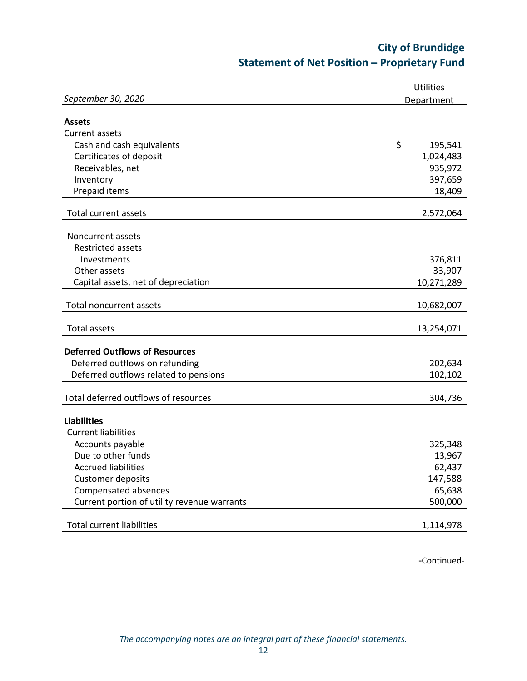# **City of Brundidge Statement of Net Position – Proprietary Fund**

| September 30, 2020<br>Department<br><b>Assets</b><br>Current assets<br>\$<br>Cash and cash equivalents<br>195,541<br>Certificates of deposit<br>1,024,483<br>935,972<br>Receivables, net<br>397,659<br>Inventory<br>Prepaid items<br>18,409<br>Total current assets<br>2,572,064<br>Noncurrent assets<br><b>Restricted assets</b><br>376,811<br>Investments<br>33,907<br>Other assets<br>Capital assets, net of depreciation<br>10,271,289<br>10,682,007<br><b>Total noncurrent assets</b><br><b>Total assets</b><br>13,254,071<br><b>Deferred Outflows of Resources</b><br>Deferred outflows on refunding<br>202,634<br>Deferred outflows related to pensions<br>102,102<br>Total deferred outflows of resources<br>304,736<br><b>Liabilities</b><br><b>Current liabilities</b><br>Accounts payable<br>325,348<br>Due to other funds<br>13,967<br><b>Accrued liabilities</b><br>62,437<br>147,588<br><b>Customer deposits</b><br>Compensated absences<br>65,638<br>Current portion of utility revenue warrants<br>500,000<br><b>Total current liabilities</b><br>1,114,978 | Utilities |
|-----------------------------------------------------------------------------------------------------------------------------------------------------------------------------------------------------------------------------------------------------------------------------------------------------------------------------------------------------------------------------------------------------------------------------------------------------------------------------------------------------------------------------------------------------------------------------------------------------------------------------------------------------------------------------------------------------------------------------------------------------------------------------------------------------------------------------------------------------------------------------------------------------------------------------------------------------------------------------------------------------------------------------------------------------------------------------|-----------|
|                                                                                                                                                                                                                                                                                                                                                                                                                                                                                                                                                                                                                                                                                                                                                                                                                                                                                                                                                                                                                                                                             |           |
|                                                                                                                                                                                                                                                                                                                                                                                                                                                                                                                                                                                                                                                                                                                                                                                                                                                                                                                                                                                                                                                                             |           |
|                                                                                                                                                                                                                                                                                                                                                                                                                                                                                                                                                                                                                                                                                                                                                                                                                                                                                                                                                                                                                                                                             |           |
|                                                                                                                                                                                                                                                                                                                                                                                                                                                                                                                                                                                                                                                                                                                                                                                                                                                                                                                                                                                                                                                                             |           |
|                                                                                                                                                                                                                                                                                                                                                                                                                                                                                                                                                                                                                                                                                                                                                                                                                                                                                                                                                                                                                                                                             |           |
|                                                                                                                                                                                                                                                                                                                                                                                                                                                                                                                                                                                                                                                                                                                                                                                                                                                                                                                                                                                                                                                                             |           |
|                                                                                                                                                                                                                                                                                                                                                                                                                                                                                                                                                                                                                                                                                                                                                                                                                                                                                                                                                                                                                                                                             |           |
|                                                                                                                                                                                                                                                                                                                                                                                                                                                                                                                                                                                                                                                                                                                                                                                                                                                                                                                                                                                                                                                                             |           |
|                                                                                                                                                                                                                                                                                                                                                                                                                                                                                                                                                                                                                                                                                                                                                                                                                                                                                                                                                                                                                                                                             |           |
|                                                                                                                                                                                                                                                                                                                                                                                                                                                                                                                                                                                                                                                                                                                                                                                                                                                                                                                                                                                                                                                                             |           |
|                                                                                                                                                                                                                                                                                                                                                                                                                                                                                                                                                                                                                                                                                                                                                                                                                                                                                                                                                                                                                                                                             |           |
|                                                                                                                                                                                                                                                                                                                                                                                                                                                                                                                                                                                                                                                                                                                                                                                                                                                                                                                                                                                                                                                                             |           |
|                                                                                                                                                                                                                                                                                                                                                                                                                                                                                                                                                                                                                                                                                                                                                                                                                                                                                                                                                                                                                                                                             |           |
|                                                                                                                                                                                                                                                                                                                                                                                                                                                                                                                                                                                                                                                                                                                                                                                                                                                                                                                                                                                                                                                                             |           |
|                                                                                                                                                                                                                                                                                                                                                                                                                                                                                                                                                                                                                                                                                                                                                                                                                                                                                                                                                                                                                                                                             |           |
|                                                                                                                                                                                                                                                                                                                                                                                                                                                                                                                                                                                                                                                                                                                                                                                                                                                                                                                                                                                                                                                                             |           |
|                                                                                                                                                                                                                                                                                                                                                                                                                                                                                                                                                                                                                                                                                                                                                                                                                                                                                                                                                                                                                                                                             |           |
|                                                                                                                                                                                                                                                                                                                                                                                                                                                                                                                                                                                                                                                                                                                                                                                                                                                                                                                                                                                                                                                                             |           |
|                                                                                                                                                                                                                                                                                                                                                                                                                                                                                                                                                                                                                                                                                                                                                                                                                                                                                                                                                                                                                                                                             |           |
|                                                                                                                                                                                                                                                                                                                                                                                                                                                                                                                                                                                                                                                                                                                                                                                                                                                                                                                                                                                                                                                                             |           |
|                                                                                                                                                                                                                                                                                                                                                                                                                                                                                                                                                                                                                                                                                                                                                                                                                                                                                                                                                                                                                                                                             |           |
|                                                                                                                                                                                                                                                                                                                                                                                                                                                                                                                                                                                                                                                                                                                                                                                                                                                                                                                                                                                                                                                                             |           |
|                                                                                                                                                                                                                                                                                                                                                                                                                                                                                                                                                                                                                                                                                                                                                                                                                                                                                                                                                                                                                                                                             |           |
|                                                                                                                                                                                                                                                                                                                                                                                                                                                                                                                                                                                                                                                                                                                                                                                                                                                                                                                                                                                                                                                                             |           |
|                                                                                                                                                                                                                                                                                                                                                                                                                                                                                                                                                                                                                                                                                                                                                                                                                                                                                                                                                                                                                                                                             |           |
|                                                                                                                                                                                                                                                                                                                                                                                                                                                                                                                                                                                                                                                                                                                                                                                                                                                                                                                                                                                                                                                                             |           |
|                                                                                                                                                                                                                                                                                                                                                                                                                                                                                                                                                                                                                                                                                                                                                                                                                                                                                                                                                                                                                                                                             |           |
|                                                                                                                                                                                                                                                                                                                                                                                                                                                                                                                                                                                                                                                                                                                                                                                                                                                                                                                                                                                                                                                                             |           |
|                                                                                                                                                                                                                                                                                                                                                                                                                                                                                                                                                                                                                                                                                                                                                                                                                                                                                                                                                                                                                                                                             |           |
|                                                                                                                                                                                                                                                                                                                                                                                                                                                                                                                                                                                                                                                                                                                                                                                                                                                                                                                                                                                                                                                                             |           |
|                                                                                                                                                                                                                                                                                                                                                                                                                                                                                                                                                                                                                                                                                                                                                                                                                                                                                                                                                                                                                                                                             |           |
|                                                                                                                                                                                                                                                                                                                                                                                                                                                                                                                                                                                                                                                                                                                                                                                                                                                                                                                                                                                                                                                                             |           |
|                                                                                                                                                                                                                                                                                                                                                                                                                                                                                                                                                                                                                                                                                                                                                                                                                                                                                                                                                                                                                                                                             |           |
|                                                                                                                                                                                                                                                                                                                                                                                                                                                                                                                                                                                                                                                                                                                                                                                                                                                                                                                                                                                                                                                                             |           |
|                                                                                                                                                                                                                                                                                                                                                                                                                                                                                                                                                                                                                                                                                                                                                                                                                                                                                                                                                                                                                                                                             |           |

-Continued‐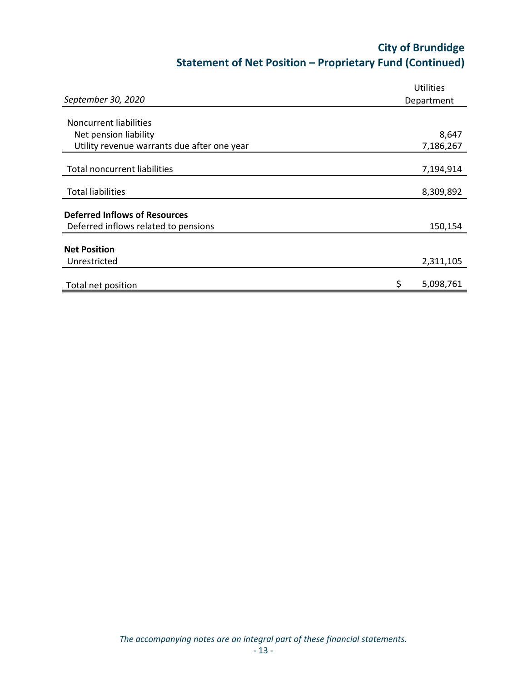# **City of Brundidge Statement of Net Position – Proprietary Fund (Continued)**

| September 30, 2020<br>Department<br>Noncurrent liabilities<br>Net pension liability<br>Utility revenue warrants due after one year<br>7,186,267 | <b>Utilities</b> |       |
|-------------------------------------------------------------------------------------------------------------------------------------------------|------------------|-------|
|                                                                                                                                                 |                  |       |
|                                                                                                                                                 |                  |       |
|                                                                                                                                                 |                  |       |
|                                                                                                                                                 |                  | 8,647 |
|                                                                                                                                                 |                  |       |
|                                                                                                                                                 |                  |       |
| <b>Total noncurrent liabilities</b><br>7,194,914                                                                                                |                  |       |
|                                                                                                                                                 |                  |       |
| <b>Total liabilities</b><br>8,309,892                                                                                                           |                  |       |
|                                                                                                                                                 |                  |       |
| <b>Deferred Inflows of Resources</b>                                                                                                            |                  |       |
| Deferred inflows related to pensions<br>150,154                                                                                                 |                  |       |
|                                                                                                                                                 |                  |       |
| <b>Net Position</b>                                                                                                                             |                  |       |
| 2,311,105<br>Unrestricted                                                                                                                       |                  |       |
| \$                                                                                                                                              |                  |       |
| 5,098,761<br>Total net position                                                                                                                 |                  |       |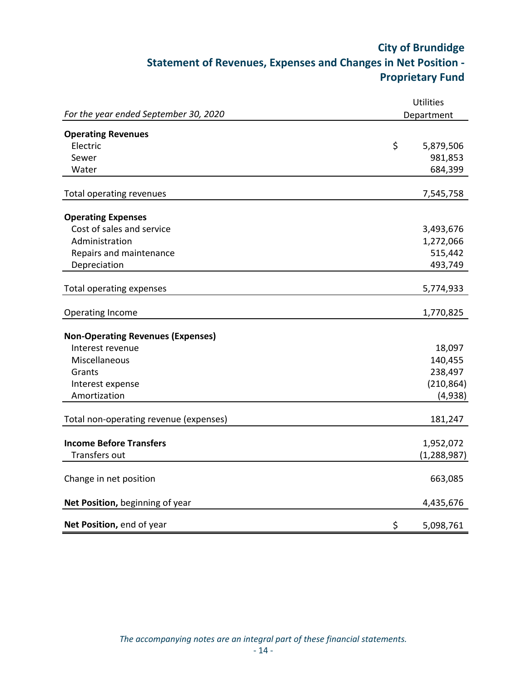# **City of Brundidge Statement of Revenues, Expenses and Changes in Net Position ‐ Proprietary Fund**

|                                                        | Utilities       |
|--------------------------------------------------------|-----------------|
| For the year ended September 30, 2020                  | Department      |
| <b>Operating Revenues</b>                              |                 |
| Electric                                               | \$<br>5,879,506 |
| Sewer                                                  | 981,853         |
| Water                                                  | 684,399         |
|                                                        |                 |
| Total operating revenues                               | 7,545,758       |
|                                                        |                 |
| <b>Operating Expenses</b><br>Cost of sales and service | 3,493,676       |
| Administration                                         | 1,272,066       |
| Repairs and maintenance                                | 515,442         |
| Depreciation                                           | 493,749         |
|                                                        |                 |
| Total operating expenses                               | 5,774,933       |
|                                                        |                 |
| Operating Income                                       | 1,770,825       |
| <b>Non-Operating Revenues (Expenses)</b>               |                 |
| Interest revenue                                       | 18,097          |
| Miscellaneous                                          | 140,455         |
| Grants                                                 | 238,497         |
| Interest expense                                       | (210, 864)      |
| Amortization                                           | (4,938)         |
|                                                        |                 |
| Total non-operating revenue (expenses)                 | 181,247         |
| <b>Income Before Transfers</b>                         | 1,952,072       |
| Transfers out                                          | (1, 288, 987)   |
|                                                        |                 |
| Change in net position                                 | 663,085         |
|                                                        |                 |
| Net Position, beginning of year                        | 4,435,676       |
| Net Position, end of year                              | \$<br>5,098,761 |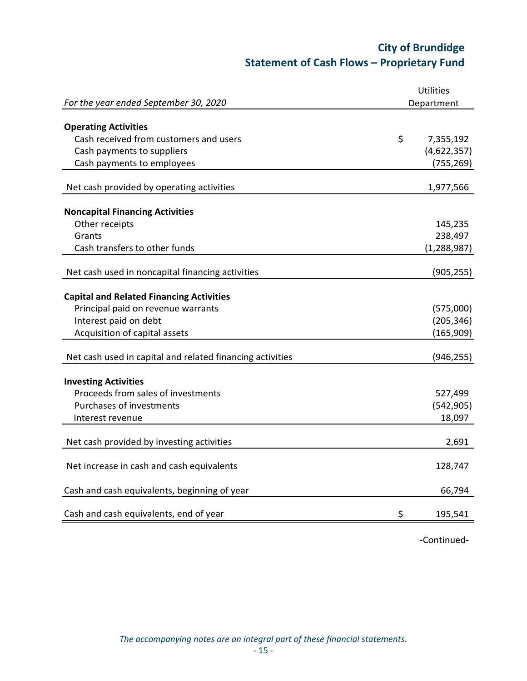# **City of Brundidge Statement of Cash Flows – Proprietary Fund**

|                                                           | Utilities       |
|-----------------------------------------------------------|-----------------|
| For the year ended September 30, 2020                     | Department      |
|                                                           |                 |
| <b>Operating Activities</b>                               |                 |
| Cash received from customers and users                    | \$<br>7,355,192 |
| Cash payments to suppliers                                | (4,622,357)     |
| Cash payments to employees                                | (755, 269)      |
| Net cash provided by operating activities                 | 1,977,566       |
| <b>Noncapital Financing Activities</b>                    |                 |
| Other receipts                                            | 145,235         |
| Grants                                                    | 238,497         |
| Cash transfers to other funds                             | (1, 288, 987)   |
| Net cash used in noncapital financing activities          | (905, 255)      |
|                                                           |                 |
| <b>Capital and Related Financing Activities</b>           |                 |
| Principal paid on revenue warrants                        | (575,000)       |
| Interest paid on debt                                     | (205, 346)      |
| Acquisition of capital assets                             | (165, 909)      |
| Net cash used in capital and related financing activities | (946, 255)      |
|                                                           |                 |
| <b>Investing Activities</b>                               |                 |
| Proceeds from sales of investments                        | 527,499         |
| Purchases of investments                                  | (542, 905)      |
| Interest revenue                                          | 18,097          |
| Net cash provided by investing activities                 | 2,691           |
| Net increase in cash and cash equivalents                 | 128,747         |
| Cash and cash equivalents, beginning of year              | 66,794          |
| Cash and cash equivalents, end of year                    | \$<br>195,541   |

‐Continued‐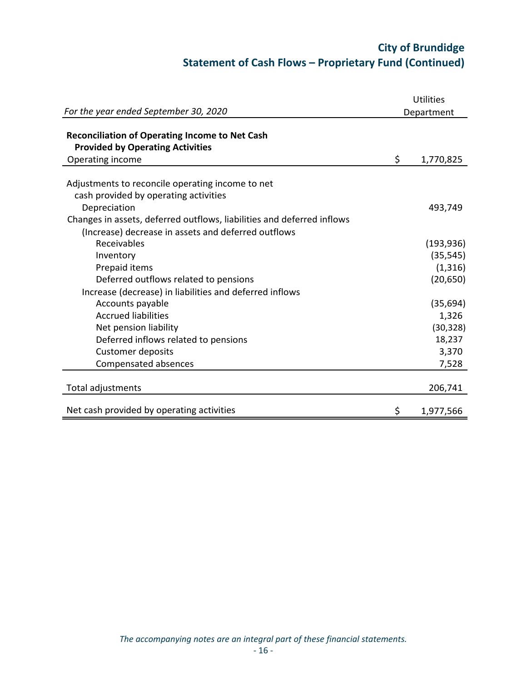# **City of Brundidge Statement of Cash Flows – Proprietary Fund (Continued)**

|                                                                                                                      | <b>Utilities</b> |
|----------------------------------------------------------------------------------------------------------------------|------------------|
| For the year ended September 30, 2020                                                                                | Department       |
| <b>Reconciliation of Operating Income to Net Cash</b><br><b>Provided by Operating Activities</b><br>Operating income | \$<br>1,770,825  |
|                                                                                                                      |                  |
| Adjustments to reconcile operating income to net                                                                     |                  |
| cash provided by operating activities                                                                                |                  |
| Depreciation                                                                                                         | 493,749          |
| Changes in assets, deferred outflows, liabilities and deferred inflows                                               |                  |
| (Increase) decrease in assets and deferred outflows                                                                  |                  |
| Receivables                                                                                                          | (193, 936)       |
| Inventory                                                                                                            | (35, 545)        |
| Prepaid items                                                                                                        | (1, 316)         |
| Deferred outflows related to pensions                                                                                | (20, 650)        |
| Increase (decrease) in liabilities and deferred inflows                                                              |                  |
| Accounts payable                                                                                                     | (35, 694)        |
| <b>Accrued liabilities</b>                                                                                           | 1,326            |
| Net pension liability                                                                                                | (30, 328)        |
| Deferred inflows related to pensions                                                                                 | 18,237           |
| <b>Customer deposits</b>                                                                                             | 3,370            |
| Compensated absences                                                                                                 | 7,528            |
|                                                                                                                      |                  |
| Total adjustments                                                                                                    | 206,741          |
| Net cash provided by operating activities                                                                            | \$<br>1,977,566  |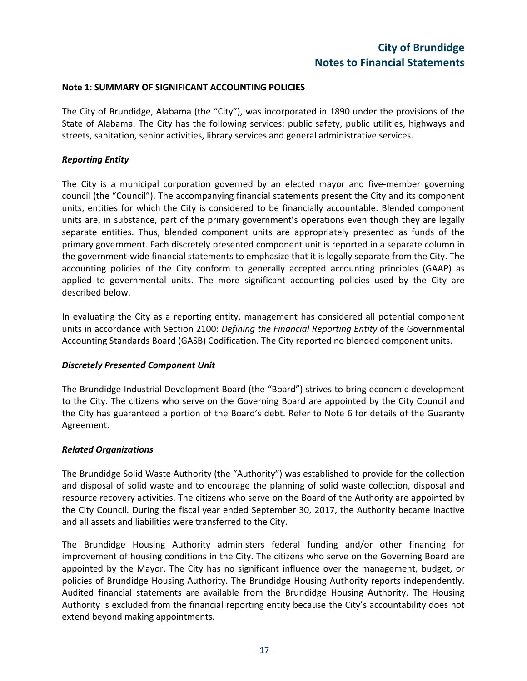### **Note 1: SUMMARY OF SIGNIFICANT ACCOUNTING POLICIES**

The City of Brundidge, Alabama (the "City"), was incorporated in 1890 under the provisions of the State of Alabama. The City has the following services: public safety, public utilities, highways and streets, sanitation, senior activities, library services and general administrative services.

### *Reporting Entity*

The City is a municipal corporation governed by an elected mayor and five-member governing council (the "Council"). The accompanying financial statements present the City and its component units, entities for which the City is considered to be financially accountable. Blended component units are, in substance, part of the primary government's operations even though they are legally separate entities. Thus, blended component units are appropriately presented as funds of the primary government. Each discretely presented component unit is reported in a separate column in the government‐wide financial statements to emphasize that it is legally separate from the City. The accounting policies of the City conform to generally accepted accounting principles (GAAP) as applied to governmental units. The more significant accounting policies used by the City are described below.

In evaluating the City as a reporting entity, management has considered all potential component units in accordance with Section 2100: *Defining the Financial Reporting Entity* of the Governmental Accounting Standards Board (GASB) Codification. The City reported no blended component units.

### *Discretely Presented Component Unit*

The Brundidge Industrial Development Board (the "Board") strives to bring economic development to the City. The citizens who serve on the Governing Board are appointed by the City Council and the City has guaranteed a portion of the Board's debt. Refer to Note 6 for details of the Guaranty Agreement.

## *Related Organizations*

The Brundidge Solid Waste Authority (the "Authority") was established to provide for the collection and disposal of solid waste and to encourage the planning of solid waste collection, disposal and resource recovery activities. The citizens who serve on the Board of the Authority are appointed by the City Council. During the fiscal year ended September 30, 2017, the Authority became inactive and all assets and liabilities were transferred to the City.

The Brundidge Housing Authority administers federal funding and/or other financing for improvement of housing conditions in the City. The citizens who serve on the Governing Board are appointed by the Mayor. The City has no significant influence over the management, budget, or policies of Brundidge Housing Authority. The Brundidge Housing Authority reports independently. Audited financial statements are available from the Brundidge Housing Authority. The Housing Authority is excluded from the financial reporting entity because the City's accountability does not extend beyond making appointments.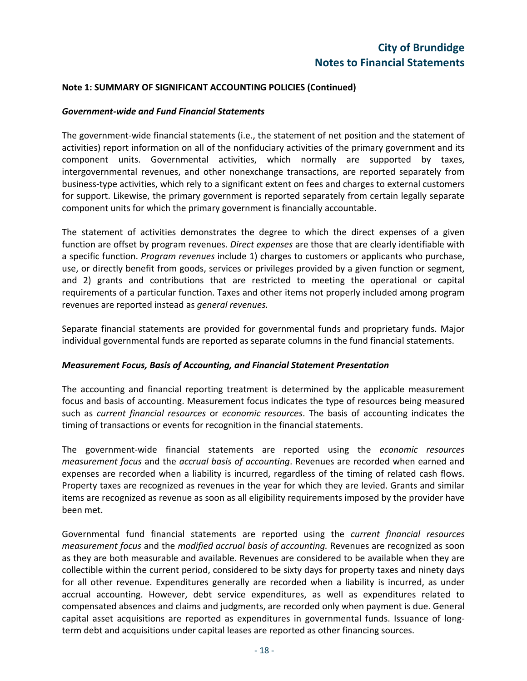### *Government‐wide and Fund Financial Statements*

The government‐wide financial statements (i.e., the statement of net position and the statement of activities) report information on all of the nonfiduciary activities of the primary government and its component units. Governmental activities, which normally are supported by taxes, intergovernmental revenues, and other nonexchange transactions, are reported separately from business‐type activities, which rely to a significant extent on fees and charges to external customers for support. Likewise, the primary government is reported separately from certain legally separate component units for which the primary government is financially accountable.

The statement of activities demonstrates the degree to which the direct expenses of a given function are offset by program revenues. *Direct expenses* are those that are clearly identifiable with a specific function. *Program revenues* include 1) charges to customers or applicants who purchase, use, or directly benefit from goods, services or privileges provided by a given function or segment, and 2) grants and contributions that are restricted to meeting the operational or capital requirements of a particular function. Taxes and other items not properly included among program revenues are reported instead as *general revenues.*

Separate financial statements are provided for governmental funds and proprietary funds. Major individual governmental funds are reported as separate columns in the fund financial statements.

### *Measurement Focus, Basis of Accounting, and Financial Statement Presentation*

The accounting and financial reporting treatment is determined by the applicable measurement focus and basis of accounting. Measurement focus indicates the type of resources being measured such as *current financial resources* or *economic resources*. The basis of accounting indicates the timing of transactions or events for recognition in the financial statements.

The government‐wide financial statements are reported using the *economic resources measurement focus* and the *accrual basis of accounting*. Revenues are recorded when earned and expenses are recorded when a liability is incurred, regardless of the timing of related cash flows. Property taxes are recognized as revenues in the year for which they are levied. Grants and similar items are recognized as revenue as soon as all eligibility requirements imposed by the provider have been met.

Governmental fund financial statements are reported using the *current financial resources measurement focus* and the *modified accrual basis of accounting.* Revenues are recognized as soon as they are both measurable and available. Revenues are considered to be available when they are collectible within the current period, considered to be sixty days for property taxes and ninety days for all other revenue. Expenditures generally are recorded when a liability is incurred, as under accrual accounting. However, debt service expenditures, as well as expenditures related to compensated absences and claims and judgments, are recorded only when payment is due. General capital asset acquisitions are reported as expenditures in governmental funds. Issuance of long‐ term debt and acquisitions under capital leases are reported as other financing sources.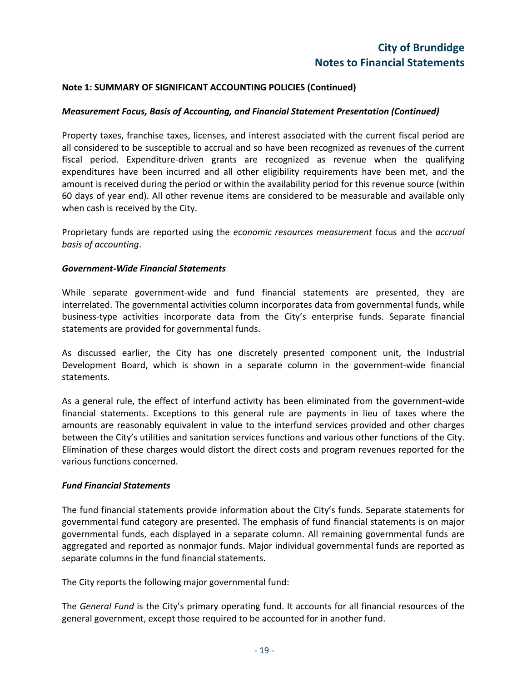### *Measurement Focus, Basis of Accounting, and Financial Statement Presentation (Continued)*

Property taxes, franchise taxes, licenses, and interest associated with the current fiscal period are all considered to be susceptible to accrual and so have been recognized as revenues of the current fiscal period. Expenditure‐driven grants are recognized as revenue when the qualifying expenditures have been incurred and all other eligibility requirements have been met, and the amount is received during the period or within the availability period for this revenue source (within 60 days of year end). All other revenue items are considered to be measurable and available only when cash is received by the City.

Proprietary funds are reported using the *economic resources measurement* focus and the *accrual basis of accounting*.

### *Government‐Wide Financial Statements*

While separate government-wide and fund financial statements are presented, they are interrelated. The governmental activities column incorporates data from governmental funds, while business‐type activities incorporate data from the City's enterprise funds. Separate financial statements are provided for governmental funds.

As discussed earlier, the City has one discretely presented component unit, the Industrial Development Board, which is shown in a separate column in the government-wide financial statements.

As a general rule, the effect of interfund activity has been eliminated from the government‐wide financial statements. Exceptions to this general rule are payments in lieu of taxes where the amounts are reasonably equivalent in value to the interfund services provided and other charges between the City's utilities and sanitation services functions and various other functions of the City. Elimination of these charges would distort the direct costs and program revenues reported for the various functions concerned.

### *Fund Financial Statements*

The fund financial statements provide information about the City's funds. Separate statements for governmental fund category are presented. The emphasis of fund financial statements is on major governmental funds, each displayed in a separate column. All remaining governmental funds are aggregated and reported as nonmajor funds. Major individual governmental funds are reported as separate columns in the fund financial statements.

The City reports the following major governmental fund:

The *General Fund* is the City's primary operating fund. It accounts for all financial resources of the general government, except those required to be accounted for in another fund.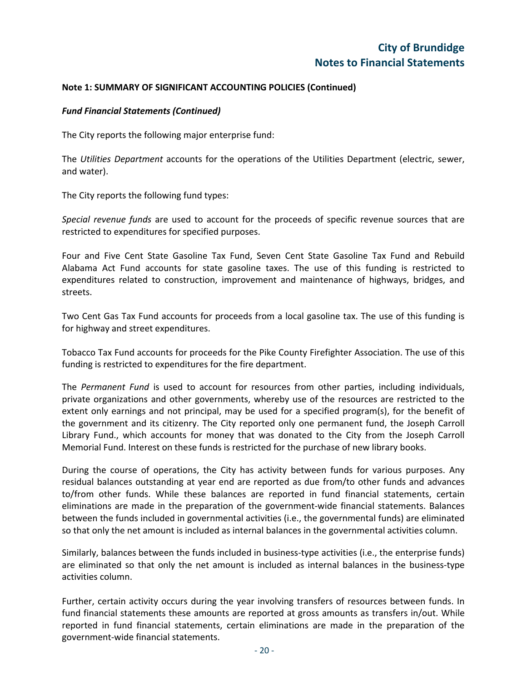### *Fund Financial Statements (Continued)*

The City reports the following major enterprise fund:

The *Utilities Department* accounts for the operations of the Utilities Department (electric, sewer, and water).

The City reports the following fund types:

*Special revenue funds* are used to account for the proceeds of specific revenue sources that are restricted to expenditures for specified purposes.

Four and Five Cent State Gasoline Tax Fund, Seven Cent State Gasoline Tax Fund and Rebuild Alabama Act Fund accounts for state gasoline taxes. The use of this funding is restricted to expenditures related to construction, improvement and maintenance of highways, bridges, and streets.

Two Cent Gas Tax Fund accounts for proceeds from a local gasoline tax. The use of this funding is for highway and street expenditures.

Tobacco Tax Fund accounts for proceeds for the Pike County Firefighter Association. The use of this funding is restricted to expenditures for the fire department.

The *Permanent Fund* is used to account for resources from other parties, including individuals, private organizations and other governments, whereby use of the resources are restricted to the extent only earnings and not principal, may be used for a specified program(s), for the benefit of the government and its citizenry. The City reported only one permanent fund, the Joseph Carroll Library Fund., which accounts for money that was donated to the City from the Joseph Carroll Memorial Fund. Interest on these funds is restricted for the purchase of new library books.

During the course of operations, the City has activity between funds for various purposes. Any residual balances outstanding at year end are reported as due from/to other funds and advances to/from other funds. While these balances are reported in fund financial statements, certain eliminations are made in the preparation of the government-wide financial statements. Balances between the funds included in governmental activities (i.e., the governmental funds) are eliminated so that only the net amount is included as internal balances in the governmental activities column.

Similarly, balances between the funds included in business-type activities (i.e., the enterprise funds) are eliminated so that only the net amount is included as internal balances in the business-type activities column.

Further, certain activity occurs during the year involving transfers of resources between funds. In fund financial statements these amounts are reported at gross amounts as transfers in/out. While reported in fund financial statements, certain eliminations are made in the preparation of the government‐wide financial statements.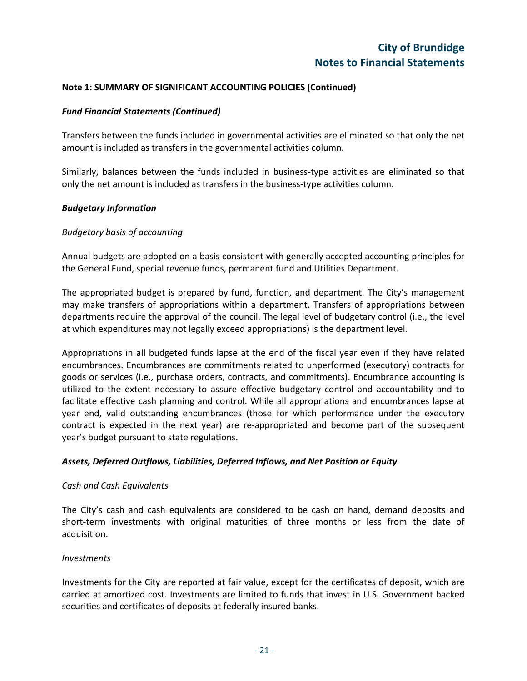### *Fund Financial Statements (Continued)*

Transfers between the funds included in governmental activities are eliminated so that only the net amount is included as transfers in the governmental activities column.

Similarly, balances between the funds included in business-type activities are eliminated so that only the net amount is included as transfers in the business-type activities column.

### *Budgetary Information*

### *Budgetary basis of accounting*

Annual budgets are adopted on a basis consistent with generally accepted accounting principles for the General Fund, special revenue funds, permanent fund and Utilities Department.

The appropriated budget is prepared by fund, function, and department. The City's management may make transfers of appropriations within a department. Transfers of appropriations between departments require the approval of the council. The legal level of budgetary control (i.e., the level at which expenditures may not legally exceed appropriations) is the department level.

Appropriations in all budgeted funds lapse at the end of the fiscal year even if they have related encumbrances. Encumbrances are commitments related to unperformed (executory) contracts for goods or services (i.e., purchase orders, contracts, and commitments). Encumbrance accounting is utilized to the extent necessary to assure effective budgetary control and accountability and to facilitate effective cash planning and control. While all appropriations and encumbrances lapse at year end, valid outstanding encumbrances (those for which performance under the executory contract is expected in the next year) are re-appropriated and become part of the subsequent year's budget pursuant to state regulations.

### *Assets, Deferred Outflows, Liabilities, Deferred Inflows, and Net Position or Equity*

### *Cash and Cash Equivalents*

The City's cash and cash equivalents are considered to be cash on hand, demand deposits and short-term investments with original maturities of three months or less from the date of acquisition.

### *Investments*

Investments for the City are reported at fair value, except for the certificates of deposit, which are carried at amortized cost. Investments are limited to funds that invest in U.S. Government backed securities and certificates of deposits at federally insured banks.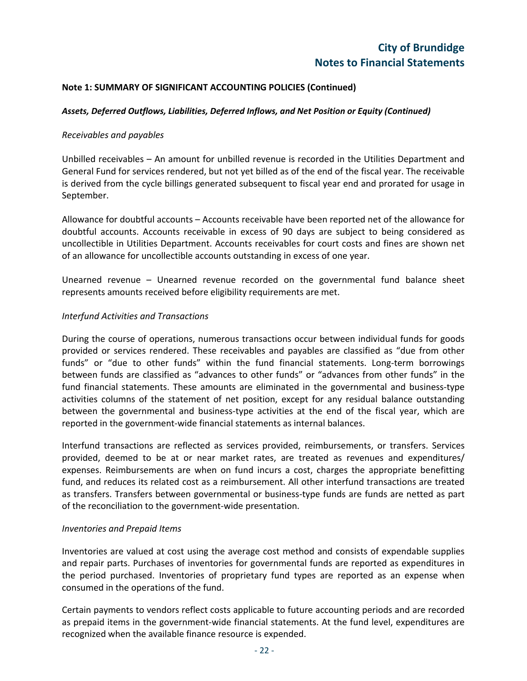### *Assets, Deferred Outflows, Liabilities, Deferred Inflows, and Net Position or Equity (Continued)*

### *Receivables and payables*

Unbilled receivables – An amount for unbilled revenue is recorded in the Utilities Department and General Fund for services rendered, but not yet billed as of the end of the fiscal year. The receivable is derived from the cycle billings generated subsequent to fiscal year end and prorated for usage in September.

Allowance for doubtful accounts – Accounts receivable have been reported net of the allowance for doubtful accounts. Accounts receivable in excess of 90 days are subject to being considered as uncollectible in Utilities Department. Accounts receivables for court costs and fines are shown net of an allowance for uncollectible accounts outstanding in excess of one year.

Unearned revenue – Unearned revenue recorded on the governmental fund balance sheet represents amounts received before eligibility requirements are met.

#### *Interfund Activities and Transactions*

During the course of operations, numerous transactions occur between individual funds for goods provided or services rendered. These receivables and payables are classified as "due from other funds" or "due to other funds" within the fund financial statements. Long-term borrowings between funds are classified as "advances to other funds" or "advances from other funds" in the fund financial statements. These amounts are eliminated in the governmental and business‐type activities columns of the statement of net position, except for any residual balance outstanding between the governmental and business-type activities at the end of the fiscal year, which are reported in the government‐wide financial statements as internal balances.

Interfund transactions are reflected as services provided, reimbursements, or transfers. Services provided, deemed to be at or near market rates, are treated as revenues and expenditures/ expenses. Reimbursements are when on fund incurs a cost, charges the appropriate benefitting fund, and reduces its related cost as a reimbursement. All other interfund transactions are treated as transfers. Transfers between governmental or business‐type funds are funds are netted as part of the reconciliation to the government‐wide presentation.

#### *Inventories and Prepaid Items*

Inventories are valued at cost using the average cost method and consists of expendable supplies and repair parts. Purchases of inventories for governmental funds are reported as expenditures in the period purchased. Inventories of proprietary fund types are reported as an expense when consumed in the operations of the fund.

Certain payments to vendors reflect costs applicable to future accounting periods and are recorded as prepaid items in the government‐wide financial statements. At the fund level, expenditures are recognized when the available finance resource is expended.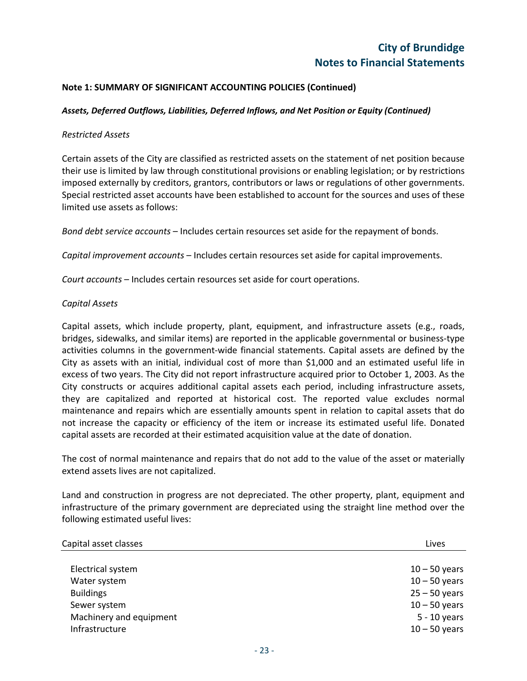### *Assets, Deferred Outflows, Liabilities, Deferred Inflows, and Net Position or Equity (Continued)*

#### *Restricted Assets*

Certain assets of the City are classified as restricted assets on the statement of net position because their use is limited by law through constitutional provisions or enabling legislation; or by restrictions imposed externally by creditors, grantors, contributors or laws or regulations of other governments. Special restricted asset accounts have been established to account for the sources and uses of these limited use assets as follows:

*Bond debt service accounts* – Includes certain resources set aside for the repayment of bonds.

*Capital improvement accounts* – Includes certain resources set aside for capital improvements.

*Court accounts* – Includes certain resources set aside for court operations.

#### *Capital Assets*

Capital assets, which include property, plant, equipment, and infrastructure assets (e.g., roads, bridges, sidewalks, and similar items) are reported in the applicable governmental or business‐type activities columns in the government‐wide financial statements. Capital assets are defined by the City as assets with an initial, individual cost of more than \$1,000 and an estimated useful life in excess of two years. The City did not report infrastructure acquired prior to October 1, 2003. As the City constructs or acquires additional capital assets each period, including infrastructure assets, they are capitalized and reported at historical cost. The reported value excludes normal maintenance and repairs which are essentially amounts spent in relation to capital assets that do not increase the capacity or efficiency of the item or increase its estimated useful life. Donated capital assets are recorded at their estimated acquisition value at the date of donation.

The cost of normal maintenance and repairs that do not add to the value of the asset or materially extend assets lives are not capitalized.

Land and construction in progress are not depreciated. The other property, plant, equipment and infrastructure of the primary government are depreciated using the straight line method over the following estimated useful lives:

| Capital asset classes   | Lives           |
|-------------------------|-----------------|
|                         |                 |
| Electrical system       | $10 - 50$ years |
| Water system            | $10 - 50$ years |
| <b>Buildings</b>        | $25 - 50$ years |
| Sewer system            | $10 - 50$ years |
| Machinery and equipment | $5 - 10$ years  |
| Infrastructure          | $10 - 50$ years |
|                         |                 |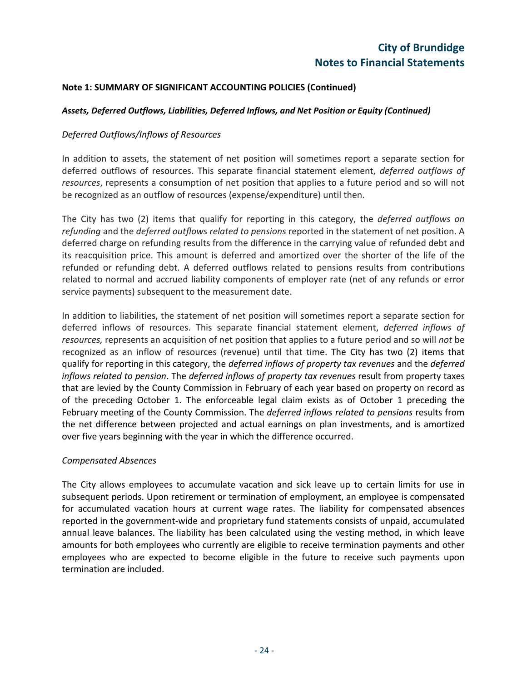## *Assets, Deferred Outflows, Liabilities, Deferred Inflows, and Net Position or Equity (Continued)*

## *Deferred Outflows/Inflows of Resources*

In addition to assets, the statement of net position will sometimes report a separate section for deferred outflows of resources. This separate financial statement element, *deferred outflows of resources*, represents a consumption of net position that applies to a future period and so will not be recognized as an outflow of resources (expense/expenditure) until then.

The City has two (2) items that qualify for reporting in this category, the *deferred outflows on refunding* and the *deferred outflows related to pensions* reported in the statement of net position. A deferred charge on refunding results from the difference in the carrying value of refunded debt and its reacquisition price. This amount is deferred and amortized over the shorter of the life of the refunded or refunding debt. A deferred outflows related to pensions results from contributions related to normal and accrued liability components of employer rate (net of any refunds or error service payments) subsequent to the measurement date.

In addition to liabilities, the statement of net position will sometimes report a separate section for deferred inflows of resources. This separate financial statement element, *deferred inflows of resources,* represents an acquisition of net position that applies to a future period and so will *not* be recognized as an inflow of resources (revenue) until that time. The City has two (2) items that qualify for reporting in this category, the *deferred inflows of property tax revenues* and the *deferred inflows related to pension*. The *deferred inflows of property tax revenues* result from property taxes that are levied by the County Commission in February of each year based on property on record as of the preceding October 1. The enforceable legal claim exists as of October 1 preceding the February meeting of the County Commission. The *deferred inflows related to pensions* results from the net difference between projected and actual earnings on plan investments, and is amortized over five years beginning with the year in which the difference occurred.

### *Compensated Absences*

The City allows employees to accumulate vacation and sick leave up to certain limits for use in subsequent periods. Upon retirement or termination of employment, an employee is compensated for accumulated vacation hours at current wage rates. The liability for compensated absences reported in the government‐wide and proprietary fund statements consists of unpaid, accumulated annual leave balances. The liability has been calculated using the vesting method, in which leave amounts for both employees who currently are eligible to receive termination payments and other employees who are expected to become eligible in the future to receive such payments upon termination are included.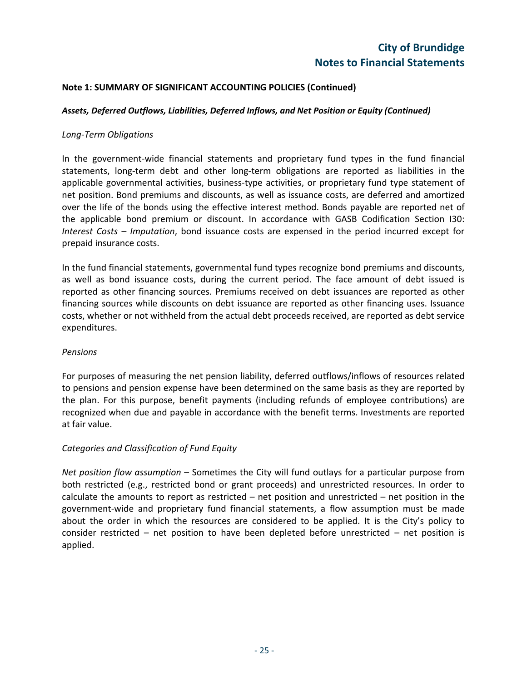## *Assets, Deferred Outflows, Liabilities, Deferred Inflows, and Net Position or Equity (Continued)*

### *Long‐Term Obligations*

In the government-wide financial statements and proprietary fund types in the fund financial statements, long‐term debt and other long‐term obligations are reported as liabilities in the applicable governmental activities, business-type activities, or proprietary fund type statement of net position. Bond premiums and discounts, as well as issuance costs, are deferred and amortized over the life of the bonds using the effective interest method. Bonds payable are reported net of the applicable bond premium or discount. In accordance with GASB Codification Section I30: *Interest Costs – Imputation*, bond issuance costs are expensed in the period incurred except for prepaid insurance costs.

In the fund financial statements, governmental fund types recognize bond premiums and discounts, as well as bond issuance costs, during the current period. The face amount of debt issued is reported as other financing sources. Premiums received on debt issuances are reported as other financing sources while discounts on debt issuance are reported as other financing uses. Issuance costs, whether or not withheld from the actual debt proceeds received, are reported as debt service expenditures.

### *Pensions*

For purposes of measuring the net pension liability, deferred outflows/inflows of resources related to pensions and pension expense have been determined on the same basis as they are reported by the plan. For this purpose, benefit payments (including refunds of employee contributions) are recognized when due and payable in accordance with the benefit terms. Investments are reported at fair value.

## *Categories and Classification of Fund Equity*

*Net position flow assumption* – Sometimes the City will fund outlays for a particular purpose from both restricted (e.g., restricted bond or grant proceeds) and unrestricted resources. In order to calculate the amounts to report as restricted – net position and unrestricted – net position in the government‐wide and proprietary fund financial statements, a flow assumption must be made about the order in which the resources are considered to be applied. It is the City's policy to consider restricted – net position to have been depleted before unrestricted – net position is applied.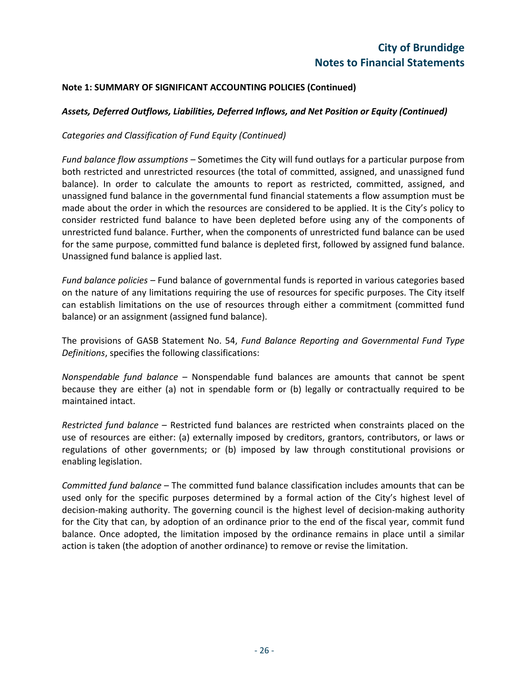## *Assets, Deferred Outflows, Liabilities, Deferred Inflows, and Net Position or Equity (Continued)*

## *Categories and Classification of Fund Equity (Continued)*

*Fund balance flow assumptions –* Sometimes the City will fund outlays for a particular purpose from both restricted and unrestricted resources (the total of committed, assigned, and unassigned fund balance). In order to calculate the amounts to report as restricted, committed, assigned, and unassigned fund balance in the governmental fund financial statements a flow assumption must be made about the order in which the resources are considered to be applied. It is the City's policy to consider restricted fund balance to have been depleted before using any of the components of unrestricted fund balance. Further, when the components of unrestricted fund balance can be used for the same purpose, committed fund balance is depleted first, followed by assigned fund balance. Unassigned fund balance is applied last.

*Fund balance policies –* Fund balance of governmental funds is reported in various categories based on the nature of any limitations requiring the use of resources for specific purposes. The City itself can establish limitations on the use of resources through either a commitment (committed fund balance) or an assignment (assigned fund balance).

The provisions of GASB Statement No. 54, *Fund Balance Reporting and Governmental Fund Type Definitions*, specifies the following classifications:

*Nonspendable fund balance* – Nonspendable fund balances are amounts that cannot be spent because they are either (a) not in spendable form or (b) legally or contractually required to be maintained intact.

*Restricted fund balance* – Restricted fund balances are restricted when constraints placed on the use of resources are either: (a) externally imposed by creditors, grantors, contributors, or laws or regulations of other governments; or (b) imposed by law through constitutional provisions or enabling legislation.

*Committed fund balance* – The committed fund balance classification includes amounts that can be used only for the specific purposes determined by a formal action of the City's highest level of decision-making authority. The governing council is the highest level of decision-making authority for the City that can, by adoption of an ordinance prior to the end of the fiscal year, commit fund balance. Once adopted, the limitation imposed by the ordinance remains in place until a similar action is taken (the adoption of another ordinance) to remove or revise the limitation.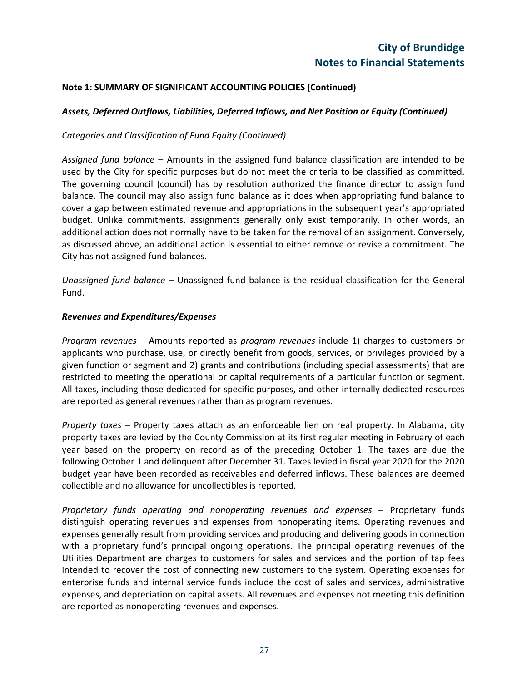## *Assets, Deferred Outflows, Liabilities, Deferred Inflows, and Net Position or Equity (Continued)*

## *Categories and Classification of Fund Equity (Continued)*

*Assigned fund balance* – Amounts in the assigned fund balance classification are intended to be used by the City for specific purposes but do not meet the criteria to be classified as committed. The governing council (council) has by resolution authorized the finance director to assign fund balance. The council may also assign fund balance as it does when appropriating fund balance to cover a gap between estimated revenue and appropriations in the subsequent year's appropriated budget. Unlike commitments, assignments generally only exist temporarily. In other words, an additional action does not normally have to be taken for the removal of an assignment. Conversely, as discussed above, an additional action is essential to either remove or revise a commitment. The City has not assigned fund balances.

*Unassigned fund balance* – Unassigned fund balance is the residual classification for the General Fund.

### *Revenues and Expenditures/Expenses*

*Program revenues* – Amounts reported as *program revenues* include 1) charges to customers or applicants who purchase, use, or directly benefit from goods, services, or privileges provided by a given function or segment and 2) grants and contributions (including special assessments) that are restricted to meeting the operational or capital requirements of a particular function or segment. All taxes, including those dedicated for specific purposes, and other internally dedicated resources are reported as general revenues rather than as program revenues.

*Property taxes –* Property taxes attach as an enforceable lien on real property. In Alabama, city property taxes are levied by the County Commission at its first regular meeting in February of each year based on the property on record as of the preceding October 1. The taxes are due the following October 1 and delinquent after December 31. Taxes levied in fiscal year 2020 for the 2020 budget year have been recorded as receivables and deferred inflows. These balances are deemed collectible and no allowance for uncollectibles is reported.

*Proprietary funds operating and nonoperating revenues and expenses* – Proprietary funds distinguish operating revenues and expenses from nonoperating items. Operating revenues and expenses generally result from providing services and producing and delivering goods in connection with a proprietary fund's principal ongoing operations. The principal operating revenues of the Utilities Department are charges to customers for sales and services and the portion of tap fees intended to recover the cost of connecting new customers to the system. Operating expenses for enterprise funds and internal service funds include the cost of sales and services, administrative expenses, and depreciation on capital assets. All revenues and expenses not meeting this definition are reported as nonoperating revenues and expenses.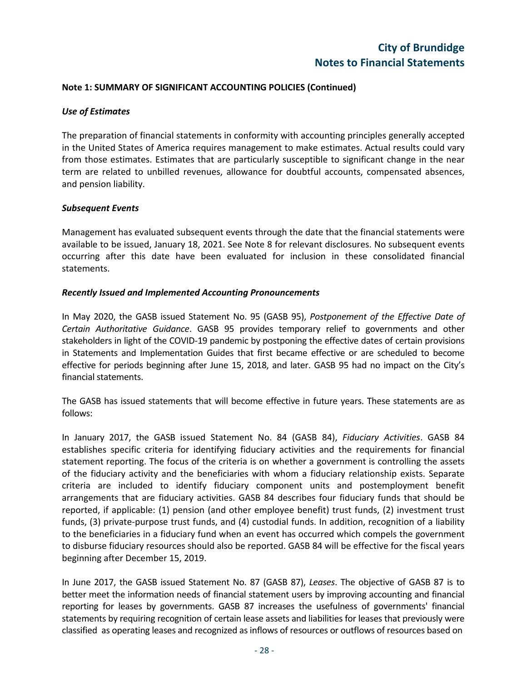### *Use of Estimates*

The preparation of financial statements in conformity with accounting principles generally accepted in the United States of America requires management to make estimates. Actual results could vary from those estimates. Estimates that are particularly susceptible to significant change in the near term are related to unbilled revenues, allowance for doubtful accounts, compensated absences, and pension liability.

### *Subsequent Events*

Management has evaluated subsequent events through the date that the financial statements were available to be issued, January 18, 2021. See Note 8 for relevant disclosures. No subsequent events occurring after this date have been evaluated for inclusion in these consolidated financial statements.

### *Recently Issued and Implemented Accounting Pronouncements*

In May 2020, the GASB issued Statement No. 95 (GASB 95), *Postponement of the Effective Date of Certain Authoritative Guidance*. GASB 95 provides temporary relief to governments and other stakeholders in light of the COVID‐19 pandemic by postponing the effective dates of certain provisions in Statements and Implementation Guides that first became effective or are scheduled to become effective for periods beginning after June 15, 2018, and later. GASB 95 had no impact on the City's financial statements.

The GASB has issued statements that will become effective in future years. These statements are as follows:

In January 2017, the GASB issued Statement No. 84 (GASB 84), *Fiduciary Activities*. GASB 84 establishes specific criteria for identifying fiduciary activities and the requirements for financial statement reporting. The focus of the criteria is on whether a government is controlling the assets of the fiduciary activity and the beneficiaries with whom a fiduciary relationship exists. Separate criteria are included to identify fiduciary component units and postemployment benefit arrangements that are fiduciary activities. GASB 84 describes four fiduciary funds that should be reported, if applicable: (1) pension (and other employee benefit) trust funds, (2) investment trust funds, (3) private-purpose trust funds, and (4) custodial funds. In addition, recognition of a liability to the beneficiaries in a fiduciary fund when an event has occurred which compels the government to disburse fiduciary resources should also be reported. GASB 84 will be effective for the fiscal years beginning after December 15, 2019.

In June 2017, the GASB issued Statement No. 87 (GASB 87), *Leases*. The objective of GASB 87 is to better meet the information needs of financial statement users by improving accounting and financial reporting for leases by governments. GASB 87 increases the usefulness of governments' financial statements by requiring recognition of certain lease assets and liabilities for leases that previously were classified as operating leases and recognized as inflows of resources or outflows of resources based on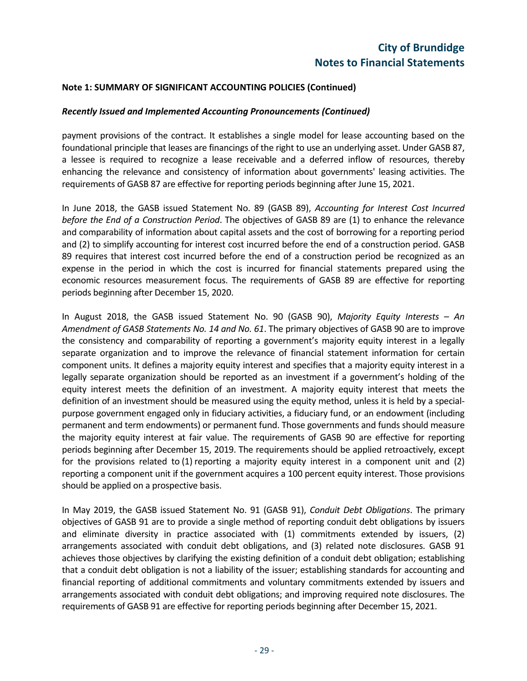### *Recently Issued and Implemented Accounting Pronouncements (Continued)*

payment provisions of the contract. It establishes a single model for lease accounting based on the foundational principle that leases are financings of the right to use an underlying asset. Under GASB 87, a lessee is required to recognize a lease receivable and a deferred inflow of resources, thereby enhancing the relevance and consistency of information about governments' leasing activities. The requirements of GASB 87 are effective for reporting periods beginning after June 15, 2021.

In June 2018, the GASB issued Statement No. 89 (GASB 89), *Accounting for Interest Cost Incurred before the End of a Construction Period*. The objectives of GASB 89 are (1) to enhance the relevance and comparability of information about capital assets and the cost of borrowing for a reporting period and (2) to simplify accounting for interest cost incurred before the end of a construction period. GASB 89 requires that interest cost incurred before the end of a construction period be recognized as an expense in the period in which the cost is incurred for financial statements prepared using the economic resources measurement focus. The requirements of GASB 89 are effective for reporting periods beginning after December 15, 2020.

In August 2018, the GASB issued Statement No. 90 (GASB 90), *Majority Equity Interests – An Amendment of GASB Statements No. 14 and No. 61*. The primary objectives of GASB 90 are to improve the consistency and comparability of reporting a government's majority equity interest in a legally separate organization and to improve the relevance of financial statement information for certain component units. It defines a majority equity interest and specifies that a majority equity interest in a legally separate organization should be reported as an investment if a government's holding of the equity interest meets the definition of an investment. A majority equity interest that meets the definition of an investment should be measured using the equity method, unless it is held by a special‐ purpose government engaged only in fiduciary activities, a fiduciary fund, or an endowment (including permanent and term endowments) or permanent fund. Those governments and funds should measure the majority equity interest at fair value. The requirements of GASB 90 are effective for reporting periods beginning after December 15, 2019. The requirements should be applied retroactively, except for the provisions related to (1) reporting a majority equity interest in a component unit and (2) reporting a component unit if the government acquires a 100 percent equity interest. Those provisions should be applied on a prospective basis.

In May 2019, the GASB issued Statement No. 91 (GASB 91), *Conduit Debt Obligations*. The primary objectives of GASB 91 are to provide a single method of reporting conduit debt obligations by issuers and eliminate diversity in practice associated with (1) commitments extended by issuers, (2) arrangements associated with conduit debt obligations, and (3) related note disclosures. GASB 91 achieves those objectives by clarifying the existing definition of a conduit debt obligation; establishing that a conduit debt obligation is not a liability of the issuer; establishing standards for accounting and financial reporting of additional commitments and voluntary commitments extended by issuers and arrangements associated with conduit debt obligations; and improving required note disclosures. The requirements of GASB 91 are effective for reporting periods beginning after December 15, 2021.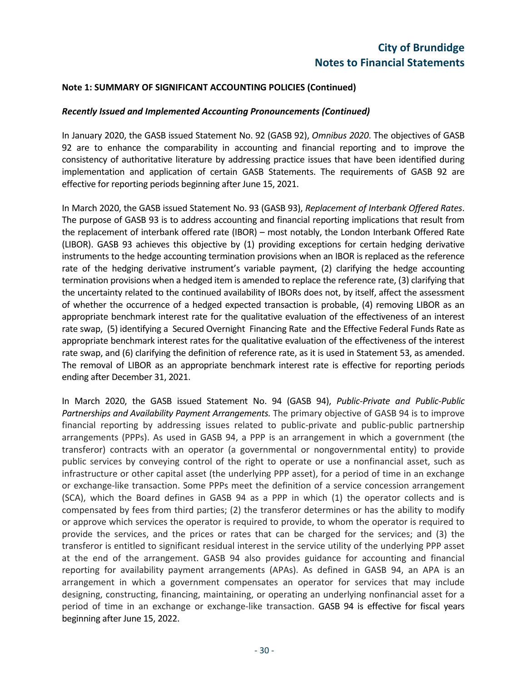### *Recently Issued and Implemented Accounting Pronouncements (Continued)*

In January 2020, the GASB issued Statement No. 92 (GASB 92), *Omnibus 2020*. The objectives of GASB 92 are to enhance the comparability in accounting and financial reporting and to improve the consistency of authoritative literature by addressing practice issues that have been identified during implementation and application of certain GASB Statements. The requirements of GASB 92 are effective for reporting periods beginning after June 15, 2021.

In March 2020, the GASB issued Statement No. 93 (GASB 93), *Replacement of Interbank Offered Rates*. The purpose of GASB 93 is to address accounting and financial reporting implications that result from the replacement of interbank offered rate (IBOR) – most notably, the London Interbank Offered Rate (LIBOR). GASB 93 achieves this objective by (1) providing exceptions for certain hedging derivative instruments to the hedge accounting termination provisions when an IBOR is replaced as the reference rate of the hedging derivative instrument's variable payment, (2) clarifying the hedge accounting termination provisions when a hedged item is amended to replace the reference rate, (3) clarifying that the uncertainty related to the continued availability of IBORs does not, by itself, affect the assessment of whether the occurrence of a hedged expected transaction is probable, (4) removing LIBOR as an appropriate benchmark interest rate for the qualitative evaluation of the effectiveness of an interest rate swap, (5) identifying a Secured Overnight Financing Rate and the Effective Federal Funds Rate as appropriate benchmark interest rates for the qualitative evaluation of the effectiveness of the interest rate swap, and (6) clarifying the definition of reference rate, as it is used in Statement 53, as amended. The removal of LIBOR as an appropriate benchmark interest rate is effective for reporting periods ending after December 31, 2021.

In March 2020, the GASB issued Statement No. 94 (GASB 94), *Public‐Private and Public‐Public Partnerships and Availability Payment Arrangements.* The primary objective of GASB 94 is to improve financial reporting by addressing issues related to public-private and public-public partnership arrangements (PPPs). As used in GASB 94, a PPP is an arrangement in which a government (the transferor) contracts with an operator (a governmental or nongovernmental entity) to provide public services by conveying control of the right to operate or use a nonfinancial asset, such as infrastructure or other capital asset (the underlying PPP asset), for a period of time in an exchange or exchange‐like transaction. Some PPPs meet the definition of a service concession arrangement (SCA), which the Board defines in GASB 94 as a PPP in which (1) the operator collects and is compensated by fees from third parties; (2) the transferor determines or has the ability to modify or approve which services the operator is required to provide, to whom the operator is required to provide the services, and the prices or rates that can be charged for the services; and (3) the transferor is entitled to significant residual interest in the service utility of the underlying PPP asset at the end of the arrangement. GASB 94 also provides guidance for accounting and financial reporting for availability payment arrangements (APAs). As defined in GASB 94, an APA is an arrangement in which a government compensates an operator for services that may include designing, constructing, financing, maintaining, or operating an underlying nonfinancial asset for a period of time in an exchange or exchange-like transaction. GASB 94 is effective for fiscal years beginning after June 15, 2022.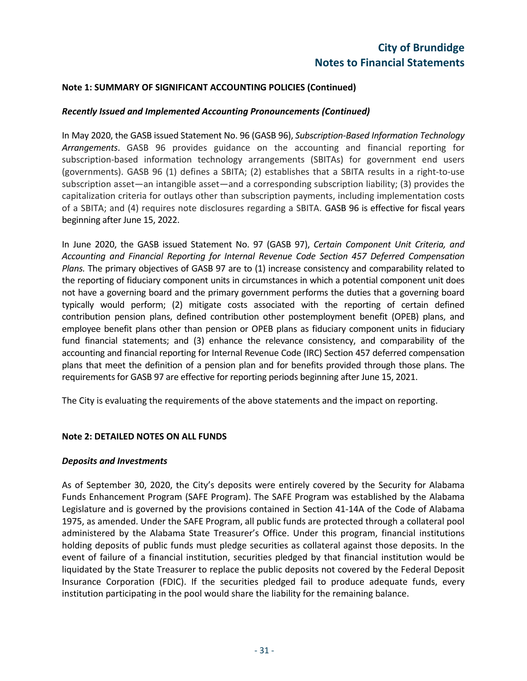### *Recently Issued and Implemented Accounting Pronouncements (Continued)*

In May 2020, the GASB issued Statement No. 96 (GASB 96), *Subscription‐Based Information Technology Arrangements*. GASB 96 provides guidance on the accounting and financial reporting for subscription‐based information technology arrangements (SBITAs) for government end users (governments). GASB 96 (1) defines a SBITA; (2) establishes that a SBITA results in a right‐to‐use subscription asset—an intangible asset—and a corresponding subscription liability; (3) provides the capitalization criteria for outlays other than subscription payments, including implementation costs of a SBITA; and (4) requires note disclosures regarding a SBITA. GASB 96 is effective for fiscal years beginning after June 15, 2022.

In June 2020, the GASB issued Statement No. 97 (GASB 97), *Certain Component Unit Criteria, and Accounting and Financial Reporting for Internal Revenue Code Section 457 Deferred Compensation Plans.* The primary objectives of GASB 97 are to (1) increase consistency and comparability related to the reporting of fiduciary component units in circumstances in which a potential component unit does not have a governing board and the primary government performs the duties that a governing board typically would perform; (2) mitigate costs associated with the reporting of certain defined contribution pension plans, defined contribution other postemployment benefit (OPEB) plans, and employee benefit plans other than pension or OPEB plans as fiduciary component units in fiduciary fund financial statements; and (3) enhance the relevance consistency, and comparability of the accounting and financial reporting for Internal Revenue Code (IRC) Section 457 deferred compensation plans that meet the definition of a pension plan and for benefits provided through those plans. The requirements for GASB 97 are effective for reporting periods beginning after June 15, 2021.

The City is evaluating the requirements of the above statements and the impact on reporting.

### **Note 2: DETAILED NOTES ON ALL FUNDS**

#### *Deposits and Investments*

As of September 30, 2020, the City's deposits were entirely covered by the Security for Alabama Funds Enhancement Program (SAFE Program). The SAFE Program was established by the Alabama Legislature and is governed by the provisions contained in Section 41‐14A of the Code of Alabama 1975, as amended. Under the SAFE Program, all public funds are protected through a collateral pool administered by the Alabama State Treasurer's Office. Under this program, financial institutions holding deposits of public funds must pledge securities as collateral against those deposits. In the event of failure of a financial institution, securities pledged by that financial institution would be liquidated by the State Treasurer to replace the public deposits not covered by the Federal Deposit Insurance Corporation (FDIC). If the securities pledged fail to produce adequate funds, every institution participating in the pool would share the liability for the remaining balance.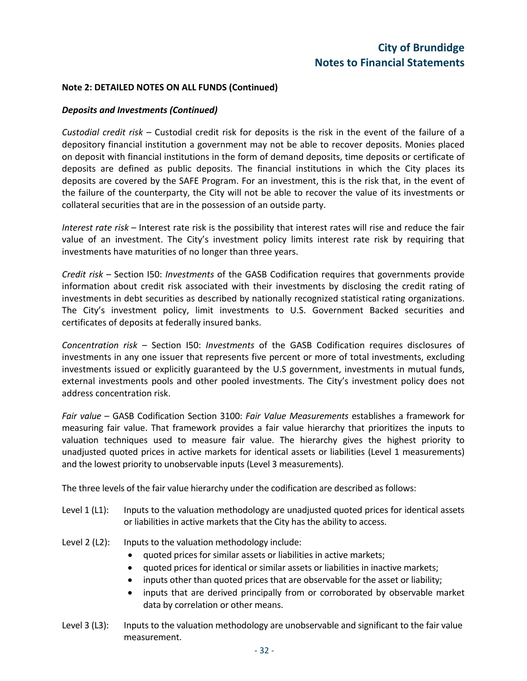### *Deposits and Investments (Continued)*

*Custodial credit risk* – Custodial credit risk for deposits is the risk in the event of the failure of a depository financial institution a government may not be able to recover deposits. Monies placed on deposit with financial institutions in the form of demand deposits, time deposits or certificate of deposits are defined as public deposits. The financial institutions in which the City places its deposits are covered by the SAFE Program. For an investment, this is the risk that, in the event of the failure of the counterparty, the City will not be able to recover the value of its investments or collateral securities that are in the possession of an outside party.

*Interest rate risk* – Interest rate risk is the possibility that interest rates will rise and reduce the fair value of an investment. The City's investment policy limits interest rate risk by requiring that investments have maturities of no longer than three years.

*Credit risk* – Section I50: *Investments* of the GASB Codification requires that governments provide information about credit risk associated with their investments by disclosing the credit rating of investments in debt securities as described by nationally recognized statistical rating organizations. The City's investment policy, limit investments to U.S. Government Backed securities and certificates of deposits at federally insured banks.

*Concentration risk* – Section I50: *Investments* of the GASB Codification requires disclosures of investments in any one issuer that represents five percent or more of total investments, excluding investments issued or explicitly guaranteed by the U.S government, investments in mutual funds, external investments pools and other pooled investments. The City's investment policy does not address concentration risk.

*Fair value* – GASB Codification Section 3100: *Fair Value Measurements* establishes a framework for measuring fair value. That framework provides a fair value hierarchy that prioritizes the inputs to valuation techniques used to measure fair value. The hierarchy gives the highest priority to unadjusted quoted prices in active markets for identical assets or liabilities (Level 1 measurements) and the lowest priority to unobservable inputs (Level 3 measurements).

The three levels of the fair value hierarchy under the codification are described as follows:

- Level 1 (L1): Inputs to the valuation methodology are unadjusted quoted prices for identical assets or liabilities in active markets that the City has the ability to access.
- Level 2 (L2): Inputs to the valuation methodology include:
	- quoted prices for similar assets or liabilities in active markets;
	- quoted prices for identical or similar assets or liabilities in inactive markets;
	- inputs other than quoted prices that are observable for the asset or liability;
	- inputs that are derived principally from or corroborated by observable market data by correlation or other means.
- Level 3 (L3): Inputs to the valuation methodology are unobservable and significant to the fair value measurement.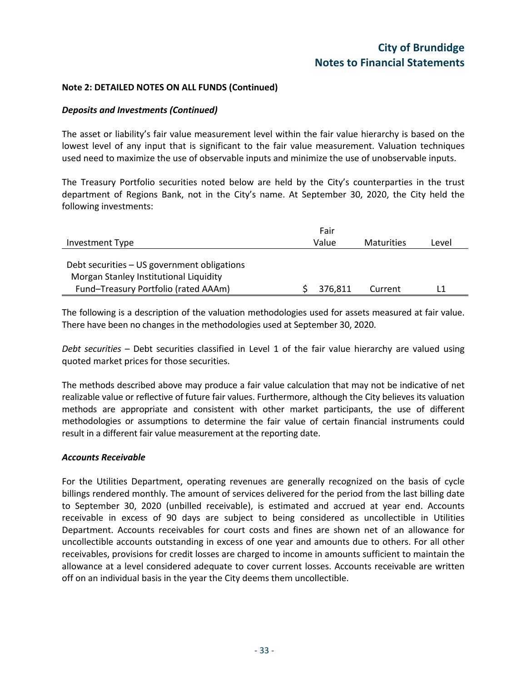### *Deposits and Investments (Continued)*

The asset or liability's fair value measurement level within the fair value hierarchy is based on the lowest level of any input that is significant to the fair value measurement. Valuation techniques used need to maximize the use of observable inputs and minimize the use of unobservable inputs.

The Treasury Portfolio securities noted below are held by the City's counterparties in the trust department of Regions Bank, not in the City's name. At September 30, 2020, the City held the following investments:

|                                                                                                                               | Fair    |                   |       |
|-------------------------------------------------------------------------------------------------------------------------------|---------|-------------------|-------|
| Investment Type                                                                                                               | Value   | <b>Maturities</b> | Level |
| Debt securities - US government obligations<br>Morgan Stanley Institutional Liquidity<br>Fund-Treasury Portfolio (rated AAAm) | 376.811 | Current           | l 1   |

The following is a description of the valuation methodologies used for assets measured at fair value. There have been no changes in the methodologies used at September 30, 2020.

*Debt securities* – Debt securities classified in Level 1 of the fair value hierarchy are valued using quoted market prices for those securities.

The methods described above may produce a fair value calculation that may not be indicative of net realizable value or reflective of future fair values. Furthermore, although the City believes its valuation methods are appropriate and consistent with other market participants, the use of different methodologies or assumptions to determine the fair value of certain financial instruments could result in a different fair value measurement at the reporting date.

### *Accounts Receivable*

For the Utilities Department, operating revenues are generally recognized on the basis of cycle billings rendered monthly. The amount of services delivered for the period from the last billing date to September 30, 2020 (unbilled receivable), is estimated and accrued at year end. Accounts receivable in excess of 90 days are subject to being considered as uncollectible in Utilities Department. Accounts receivables for court costs and fines are shown net of an allowance for uncollectible accounts outstanding in excess of one year and amounts due to others. For all other receivables, provisions for credit losses are charged to income in amounts sufficient to maintain the allowance at a level considered adequate to cover current losses. Accounts receivable are written off on an individual basis in the year the City deems them uncollectible.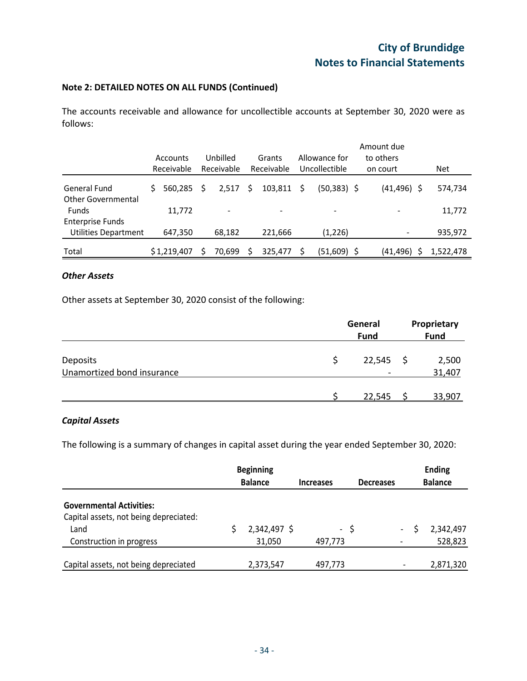## **Note 2: DETAILED NOTES ON ALL FUNDS (Continued)**

The accounts receivable and allowance for uncollectible accounts at September 30, 2020 were as follows:

|                                    |    | Accounts<br>Receivable |   | Unbilled<br>Receivable       |   | Grants<br>Receivable |   | Allowance for<br>Uncollectible | Amount due<br>to others | <b>Net</b> |
|------------------------------------|----|------------------------|---|------------------------------|---|----------------------|---|--------------------------------|-------------------------|------------|
|                                    |    |                        |   |                              |   |                      |   |                                | on court                |            |
| General Fund<br>Other Governmental | S. | 560.285                | S | 2,517                        | S | 103,811              | S | $(50, 383)$ \$                 | $(41, 496)$ \$          | 574,734    |
| <b>Funds</b>                       |    | 11,772                 |   | $\qquad \qquad \blacksquare$ |   |                      |   |                                |                         | 11,772     |
| <b>Enterprise Funds</b>            |    |                        |   |                              |   |                      |   |                                |                         |            |
| <b>Utilities Department</b>        |    | 647,350                |   | 68,182                       |   | 221,666              |   | (1, 226)                       |                         | 935,972    |
| Total                              |    | \$1,219,407            |   | 70.699                       |   | 325,477              |   | (51,609) \$                    | (41,496)                | 1,522,478  |

## *Other Assets*

Other assets at September 30, 2020 consist of the following:

|                                        | General<br><b>Fund</b> | Proprietary<br><b>Fund</b> |                 |  |
|----------------------------------------|------------------------|----------------------------|-----------------|--|
| Deposits<br>Unamortized bond insurance | 22,545                 |                            | 2,500<br>31,407 |  |
|                                        | 22,545                 |                            | 33,907          |  |

### *Capital Assets*

The following is a summary of changes in capital asset during the year ended September 30, 2020:

|                                                                           | <b>Beginning</b> |                  |                  |                          | <b>Ending</b>  |
|---------------------------------------------------------------------------|------------------|------------------|------------------|--------------------------|----------------|
|                                                                           | <b>Balance</b>   | <b>Increases</b> | <b>Decreases</b> |                          | <b>Balance</b> |
| <b>Governmental Activities:</b><br>Capital assets, not being depreciated: |                  |                  |                  |                          |                |
| Land                                                                      | 2,342,497 \$     | - \$             |                  | $\overline{\phantom{a}}$ | 2,342,497      |
| Construction in progress                                                  | 31,050           | 497,773          |                  | $\overline{\phantom{a}}$ | 528,823        |
| Capital assets, not being depreciated                                     | 2,373,547        | 497,773          |                  |                          | 2,871,320      |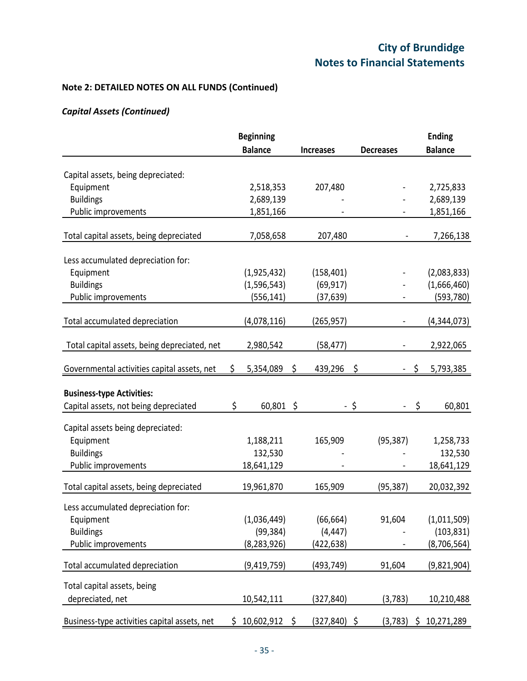## **Note 2: DETAILED NOTES ON ALL FUNDS (Continued)**

## *Capital Assets (Continued)*

|                                              | <b>Beginning</b>      |                  |                  | <b>Ending</b>    |
|----------------------------------------------|-----------------------|------------------|------------------|------------------|
|                                              | <b>Balance</b>        | <b>Increases</b> | <b>Decreases</b> | <b>Balance</b>   |
|                                              |                       |                  |                  |                  |
| Capital assets, being depreciated:           |                       |                  |                  |                  |
| Equipment                                    | 2,518,353             | 207,480          |                  | 2,725,833        |
| <b>Buildings</b>                             | 2,689,139             |                  |                  | 2,689,139        |
| Public improvements                          | 1,851,166             |                  |                  | 1,851,166        |
| Total capital assets, being depreciated      | 7,058,658             | 207,480          |                  | 7,266,138        |
| Less accumulated depreciation for:           |                       |                  |                  |                  |
| Equipment                                    | (1,925,432)           | (158, 401)       |                  | (2,083,833)      |
| <b>Buildings</b>                             | (1,596,543)           | (69, 917)        |                  | (1,666,460)      |
| Public improvements                          | (556, 141)            | (37,639)         |                  | (593, 780)       |
|                                              |                       |                  |                  |                  |
| Total accumulated depreciation               | (4,078,116)           | (265, 957)       |                  | (4,344,073)      |
| Total capital assets, being depreciated, net | 2,980,542             | (58, 477)        |                  | 2,922,065        |
| Governmental activities capital assets, net  | 5,354,089<br>S        | \$<br>439,296    | \$               | 5,793,385<br>S   |
| <b>Business-type Activities:</b>             |                       |                  |                  |                  |
| Capital assets, not being depreciated        | $60,801$ \$<br>\$     | - \$             |                  | 60,801<br>\$     |
| Capital assets being depreciated:            |                       |                  |                  |                  |
| Equipment                                    | 1,188,211             | 165,909          | (95, 387)        | 1,258,733        |
| <b>Buildings</b>                             | 132,530               |                  |                  | 132,530          |
| Public improvements                          | 18,641,129            |                  |                  | 18,641,129       |
|                                              |                       |                  |                  |                  |
| Total capital assets, being depreciated      | 19,961,870            | 165,909          | (95, 387)        | 20,032,392       |
| Less accumulated depreciation for:           |                       |                  |                  |                  |
| Equipment                                    | (1,036,449)           | (66, 664)        | 91,604           | (1,011,509)      |
| <b>Buildings</b>                             | (99, 384)             | (4, 447)         |                  | (103, 831)       |
| Public improvements                          | (8, 283, 926)         | (422,638)        |                  | (8,706,564)      |
| Total accumulated depreciation               | (9,419,759)           | (493, 749)       | 91,604           | (9,821,904)      |
| Total capital assets, being                  |                       |                  |                  |                  |
| depreciated, net                             | 10,542,111            | (327, 840)       | (3,783)          | 10,210,488       |
|                                              |                       |                  |                  |                  |
| Business-type activities capital assets, net | $10,602,912$ \$<br>\$ | $(327, 840)$ \$  | (3, 783)         | \$<br>10,271,289 |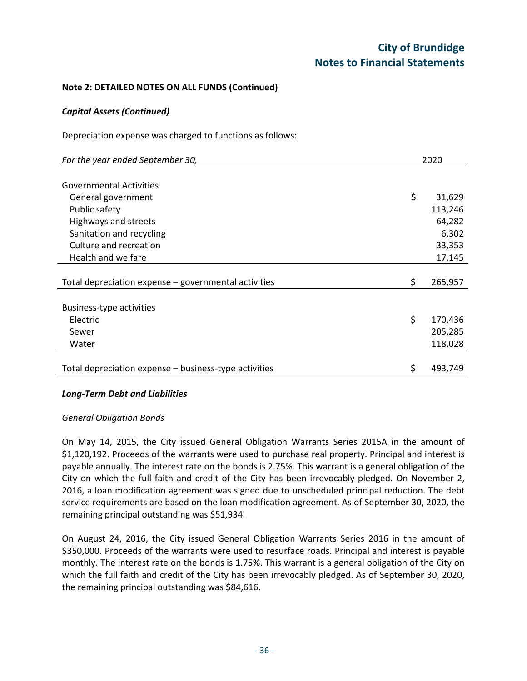## **Note 2: DETAILED NOTES ON ALL FUNDS (Continued)**

## *Capital Assets (Continued)*

Depreciation expense was charged to functions as follows:

| For the year ended September 30,                      | 2020          |
|-------------------------------------------------------|---------------|
| <b>Governmental Activities</b>                        |               |
| General government                                    | \$<br>31,629  |
| Public safety                                         | 113,246       |
| Highways and streets                                  | 64,282        |
| Sanitation and recycling                              | 6,302         |
| Culture and recreation                                | 33,353        |
| Health and welfare                                    | 17,145        |
|                                                       |               |
| Total depreciation expense – governmental activities  | \$<br>265,957 |
|                                                       |               |
| <b>Business-type activities</b>                       |               |
| Electric                                              | \$<br>170,436 |
| Sewer                                                 | 205,285       |
| Water                                                 | 118,028       |
|                                                       |               |
| Total depreciation expense – business-type activities | \$<br>493,749 |

### *Long‐Term Debt and Liabilities*

### *General Obligation Bonds*

On May 14, 2015, the City issued General Obligation Warrants Series 2015A in the amount of \$1,120,192. Proceeds of the warrants were used to purchase real property. Principal and interest is payable annually. The interest rate on the bonds is 2.75%. This warrant is a general obligation of the City on which the full faith and credit of the City has been irrevocably pledged. On November 2, 2016, a loan modification agreement was signed due to unscheduled principal reduction. The debt service requirements are based on the loan modification agreement. As of September 30, 2020, the remaining principal outstanding was \$51,934.

On August 24, 2016, the City issued General Obligation Warrants Series 2016 in the amount of \$350,000. Proceeds of the warrants were used to resurface roads. Principal and interest is payable monthly. The interest rate on the bonds is 1.75%. This warrant is a general obligation of the City on which the full faith and credit of the City has been irrevocably pledged. As of September 30, 2020, the remaining principal outstanding was \$84,616.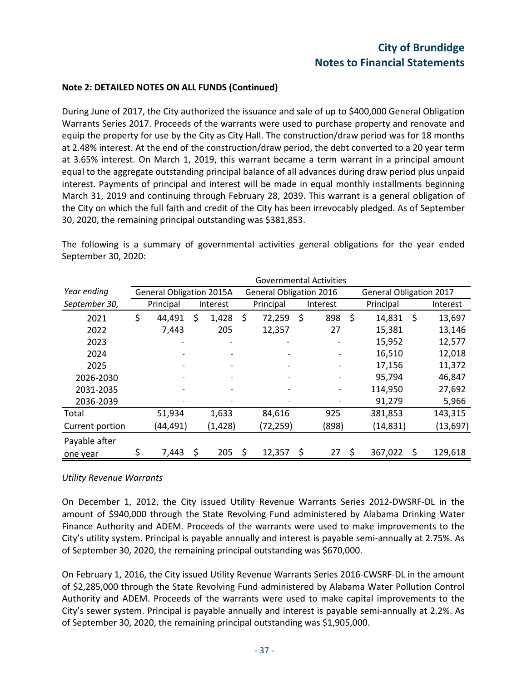During June of 2017, the City authorized the issuance and sale of up to \$400,000 General Obligation Warrants Series 2017. Proceeds of the warrants were used to purchase property and renovate and equip the property for use by the City as City Hall. The construction/draw period was for 18 months at 2.48% interest. At the end of the construction/draw period, the debt converted to a 20 year term at 3.65% interest. On March 1, 2019, this warrant became a term warrant in a principal amount equal to the aggregate outstanding principal balance of all advances during draw period plus unpaid interest. Payments of principal and interest will be made in equal monthly installments beginning March 31, 2019 and continuing through February 28, 2039. This warrant is a general obligation of the City on which the full faith and credit of the City has been irrevocably pledged. As of September 30, 2020, the remaining principal outstanding was \$381,853.

The following is a summary of governmental activities general obligations for the year ended September 30, 2020:

|                 | Governmental Activities         |    |          |                                |                          |    |          |    |                                |    |           |
|-----------------|---------------------------------|----|----------|--------------------------------|--------------------------|----|----------|----|--------------------------------|----|-----------|
| Year ending     | <b>General Obligation 2015A</b> |    |          | <b>General Obligation 2016</b> |                          |    |          |    | <b>General Obligation 2017</b> |    |           |
| September 30,   | Principal                       |    | Interest |                                | Principal                |    | Interest |    | Principal                      |    | Interest  |
| 2021            | \$<br>44,491                    | \$ | 1,428    | \$                             | 72,259                   | \$ | 898      | \$ | 14,831                         | \$ | 13,697    |
| 2022            | 7,443                           |    | 205      |                                | 12,357                   |    | 27       |    | 15,381                         |    | 13,146    |
| 2023            |                                 |    | -        |                                |                          |    |          |    | 15,952                         |    | 12,577    |
| 2024            |                                 |    |          |                                |                          |    |          |    | 16,510                         |    | 12,018    |
| 2025            |                                 |    |          |                                | $\overline{\phantom{a}}$ |    |          |    | 17,156                         |    | 11,372    |
| 2026-2030       |                                 |    |          |                                |                          |    |          |    | 95,794                         |    | 46,847    |
| 2031-2035       |                                 |    |          |                                |                          |    |          |    | 114,950                        |    | 27,692    |
| 2036-2039       |                                 |    |          |                                |                          |    |          |    | 91,279                         |    | 5,966     |
| Total           | 51,934                          |    | 1,633    |                                | 84,616                   |    | 925      |    | 381,853                        |    | 143,315   |
| Current portion | (44,491)                        |    | (1, 428) |                                | (72, 259)                |    | (898)    |    | (14, 831)                      |    | (13, 697) |
| Payable after   |                                 |    |          |                                |                          |    |          |    |                                |    |           |
| one year        | \$<br>7,443                     | Ş  | 205      | S                              | 12,357                   | \$ | 27       | S  | 367,022                        | S  | 129,618   |

Governmental Activities

## *Utility Revenue Warrants*

On December 1, 2012, the City issued Utility Revenue Warrants Series 2012‐DWSRF‐DL in the amount of \$940,000 through the State Revolving Fund administered by Alabama Drinking Water Finance Authority and ADEM. Proceeds of the warrants were used to make improvements to the City's utility system. Principal is payable annually and interest is payable semi‐annually at 2.75%. As of September 30, 2020, the remaining principal outstanding was \$670,000.

On February 1, 2016, the City issued Utility Revenue Warrants Series 2016‐CWSRF‐DL in the amount of \$2,285,000 through the State Revolving Fund administered by Alabama Water Pollution Control Authority and ADEM. Proceeds of the warrants were used to make capital improvements to the City's sewer system. Principal is payable annually and interest is payable semi‐annually at 2.2%. As of September 30, 2020, the remaining principal outstanding was \$1,905,000.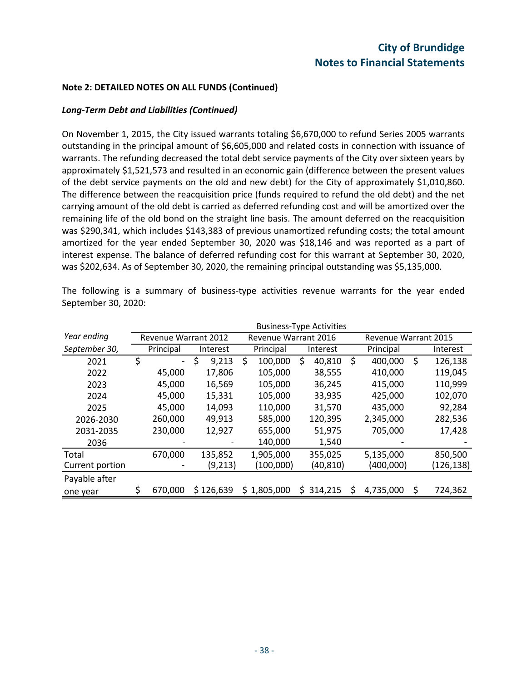### *Long‐Term Debt and Liabilities (Continued)*

On November 1, 2015, the City issued warrants totaling \$6,670,000 to refund Series 2005 warrants outstanding in the principal amount of \$6,605,000 and related costs in connection with issuance of warrants. The refunding decreased the total debt service payments of the City over sixteen years by approximately \$1,521,573 and resulted in an economic gain (difference between the present values of the debt service payments on the old and new debt) for the City of approximately \$1,010,860. The difference between the reacquisition price (funds required to refund the old debt) and the net carrying amount of the old debt is carried as deferred refunding cost and will be amortized over the remaining life of the old bond on the straight line basis. The amount deferred on the reacquisition was \$290,341, which includes \$143,383 of previous unamortized refunding costs; the total amount amortized for the year ended September 30, 2020 was \$18,146 and was reported as a part of interest expense. The balance of deferred refunding cost for this warrant at September 30, 2020, was \$202,634. As of September 30, 2020, the remaining principal outstanding was \$5,135,000.

|                 | <b>Business-Type Activities</b> |    |           |   |                      |  |          |   |                      |    |           |  |
|-----------------|---------------------------------|----|-----------|---|----------------------|--|----------|---|----------------------|----|-----------|--|
| Year ending     | <b>Revenue Warrant 2012</b>     |    |           |   | Revenue Warrant 2016 |  |          |   | Revenue Warrant 2015 |    |           |  |
| September 30,   | Principal                       |    | Interest  |   | Principal            |  | Interest |   | Principal            |    | Interest  |  |
| 2021            | \$                              | \$ | 9,213     | S | 100,000              |  | 40,810   | Ş | 400,000              | \$ | 126,138   |  |
| 2022            | 45,000                          |    | 17,806    |   | 105,000              |  | 38,555   |   | 410,000              |    | 119,045   |  |
| 2023            | 45,000                          |    | 16,569    |   | 105,000              |  | 36,245   |   | 415,000              |    | 110,999   |  |
| 2024            | 45,000                          |    | 15,331    |   | 105,000              |  | 33,935   |   | 425,000              |    | 102,070   |  |
| 2025            | 45,000                          |    | 14,093    |   | 110,000              |  | 31,570   |   | 435,000              |    | 92,284    |  |
| 2026-2030       | 260,000                         |    | 49,913    |   | 585,000              |  | 120,395  |   | 2,345,000            |    | 282,536   |  |
| 2031-2035       | 230,000                         |    | 12,927    |   | 655,000              |  | 51,975   |   | 705,000              |    | 17,428    |  |
| 2036            |                                 |    |           |   | 140,000              |  | 1,540    |   |                      |    |           |  |
| Total           | 670,000                         |    | 135,852   |   | 1,905,000            |  | 355,025  |   | 5,135,000            |    | 850,500   |  |
| Current portion |                                 |    | (9,213)   |   | (100,000)            |  | (40,810) |   | (400,000)            |    | (126,138) |  |
| Payable after   |                                 |    |           |   |                      |  |          |   |                      |    |           |  |
| one year        | 670,000                         |    | \$126,639 |   | \$1,805,000          |  | 314,215  |   | 4,735,000            |    | 724,362   |  |

The following is a summary of business-type activities revenue warrants for the year ended September 30, 2020: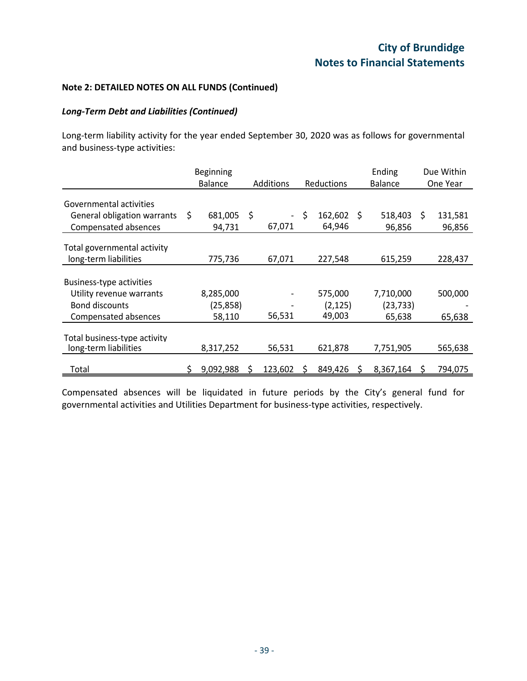## *Long‐Term Debt and Liabilities (Continued)*

Long-term liability activity for the year ended September 30, 2020 was as follows for governmental and business-type activities:

|                                                       | Beginning      |     |           |                         |   | Ending         |    | Due Within |
|-------------------------------------------------------|----------------|-----|-----------|-------------------------|---|----------------|----|------------|
|                                                       | <b>Balance</b> |     | Additions | Reductions              |   | <b>Balance</b> |    | One Year   |
| Governmental activities                               |                |     |           |                         |   |                |    |            |
| General obligation warrants                           | \$<br>681,005  | -\$ | $\sim$    | \$<br>$162,602 \quad $$ |   | 518,403        | Ŝ. | 131,581    |
| Compensated absences                                  | 94,731         |     | 67,071    | 64,946                  |   | 96,856         |    | 96,856     |
| Total governmental activity                           |                |     |           |                         |   |                |    |            |
| long-term liabilities                                 | 775,736        |     | 67,071    | 227,548                 |   | 615,259        |    |            |
|                                                       |                |     |           |                         |   |                |    | 228,437    |
| <b>Business-type activities</b>                       |                |     |           |                         |   |                |    |            |
| Utility revenue warrants                              | 8,285,000      |     |           | 575,000                 |   | 7,710,000      |    | 500,000    |
| <b>Bond discounts</b>                                 | (25, 858)      |     |           | (2, 125)                |   | (23, 733)      |    |            |
| Compensated absences                                  | 58,110         |     | 56,531    | 49,003                  |   | 65,638         |    | 65,638     |
|                                                       |                |     |           |                         |   |                |    |            |
| Total business-type activity<br>long-term liabilities | 8,317,252      |     | 56,531    | 621,878                 |   | 7,751,905      |    | 565,638    |
|                                                       |                |     |           |                         |   |                |    |            |
| Total                                                 | 9,092,988      | S   | 123,602   | 849,426                 | S | 8,367,164      |    | 794,075    |

Compensated absences will be liquidated in future periods by the City's general fund for governmental activities and Utilities Department for business‐type activities, respectively.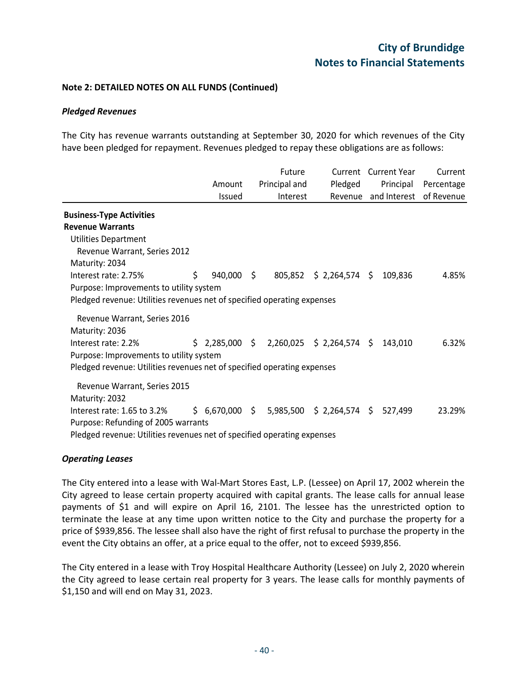### *Pledged Revenues*

The City has revenue warrants outstanding at September 30, 2020 for which revenues of the City have been pledged for repayment. Revenues pledged to repay these obligations are as follows:

|                                                                         |               | <b>Future</b> |                                   | Current Current Year | Current                         |
|-------------------------------------------------------------------------|---------------|---------------|-----------------------------------|----------------------|---------------------------------|
|                                                                         | Amount        | Principal and | Pledged                           |                      | Principal Percentage            |
|                                                                         | <b>Issued</b> | Interest      |                                   |                      | Revenue and Interest of Revenue |
| <b>Business-Type Activities</b>                                         |               |               |                                   |                      |                                 |
| <b>Revenue Warrants</b>                                                 |               |               |                                   |                      |                                 |
| <b>Utilities Department</b>                                             |               |               |                                   |                      |                                 |
| Revenue Warrant, Series 2012                                            |               |               |                                   |                      |                                 |
| Maturity: 2034                                                          |               |               |                                   |                      |                                 |
| \$.<br>Interest rate: 2.75%                                             | 940,000 \$    |               | $805,852 \div 2,264,574 \div$     | 109,836              | 4.85%                           |
| Purpose: Improvements to utility system                                 |               |               |                                   |                      |                                 |
| Pledged revenue: Utilities revenues net of specified operating expenses |               |               |                                   |                      |                                 |
| Revenue Warrant, Series 2016                                            |               |               |                                   |                      |                                 |
| Maturity: 2036                                                          |               |               |                                   |                      |                                 |
| Interest rate: 2.2%                                                     | \$2,285,000\$ |               | 2,260,025 \$ 2,264,574 \$ 143,010 |                      | 6.32%                           |
| Purpose: Improvements to utility system                                 |               |               |                                   |                      |                                 |
| Pledged revenue: Utilities revenues net of specified operating expenses |               |               |                                   |                      |                                 |
|                                                                         |               |               |                                   |                      |                                 |
| Revenue Warrant, Series 2015                                            |               |               |                                   |                      |                                 |
| Maturity: 2032                                                          |               |               |                                   |                      |                                 |
| Interest rate: 1.65 to 3.2%                                             | \$6,670,000\$ |               | $5,985,500 \div 2,264,574 \div$   | 527,499              | 23.29%                          |
| Purpose: Refunding of 2005 warrants                                     |               |               |                                   |                      |                                 |
| Pledged revenue: Utilities revenues net of specified operating expenses |               |               |                                   |                      |                                 |

### *Operating Leases*

The City entered into a lease with Wal‐Mart Stores East, L.P. (Lessee) on April 17, 2002 wherein the City agreed to lease certain property acquired with capital grants. The lease calls for annual lease payments of \$1 and will expire on April 16, 2101. The lessee has the unrestricted option to terminate the lease at any time upon written notice to the City and purchase the property for a price of \$939,856. The lessee shall also have the right of first refusal to purchase the property in the event the City obtains an offer, at a price equal to the offer, not to exceed \$939,856.

The City entered in a lease with Troy Hospital Healthcare Authority (Lessee) on July 2, 2020 wherein the City agreed to lease certain real property for 3 years. The lease calls for monthly payments of \$1,150 and will end on May 31, 2023.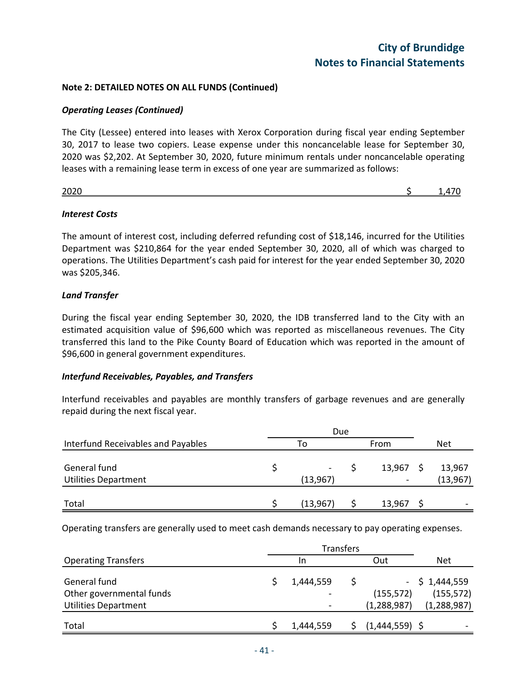### *Operating Leases (Continued)*

The City (Lessee) entered into leases with Xerox Corporation during fiscal year ending September 30, 2017 to lease two copiers. Lease expense under this noncancelable lease for September 30, 2020 was \$2,202. At September 30, 2020, future minimum rentals under noncancelable operating leases with a remaining lease term in excess of one year are summarized as follows:

 $2020$  \$  $1,470$ 

### *Interest Costs*

The amount of interest cost, including deferred refunding cost of \$18,146, incurred for the Utilities Department was \$210,864 for the year ended September 30, 2020, all of which was charged to operations. The Utilities Department's cash paid for interest for the year ended September 30, 2020 was \$205,346.

### *Land Transfer*

During the fiscal year ending September 30, 2020, the IDB transferred land to the City with an estimated acquisition value of \$96,600 which was reported as miscellaneous revenues. The City transferred this land to the Pike County Board of Education which was reported in the amount of \$96,600 in general government expenditures.

### *Interfund Receivables, Payables, and Transfers*

Interfund receivables and payables are monthly transfers of garbage revenues and are generally repaid during the next fiscal year.

| Interfund Receivables and Payables          | From<br>To |                                       |  |                                    |  | <b>Net</b>          |  |  |
|---------------------------------------------|------------|---------------------------------------|--|------------------------------------|--|---------------------|--|--|
| General fund<br><b>Utilities Department</b> |            | $\overline{\phantom{a}}$<br>(13, 967) |  | 13,967<br>$\overline{\phantom{0}}$ |  | 13,967<br>(13, 967) |  |  |
| Total                                       |            | (13, 967)                             |  | 13,967                             |  | -                   |  |  |

Operating transfers are generally used to meet cash demands necessary to pay operating expenses.

| <b>Operating Transfers</b>                                              |  | In        | Out                         | Net                                             |  |
|-------------------------------------------------------------------------|--|-----------|-----------------------------|-------------------------------------------------|--|
| General fund<br>Other governmental funds<br><b>Utilities Department</b> |  | 1,444,559 | (155, 572)<br>(1, 288, 987) | $-$ \$ 1,444,559<br>(155, 572)<br>(1, 288, 987) |  |
| Total                                                                   |  | 1,444,559 | $(1,444,559)$ \$            |                                                 |  |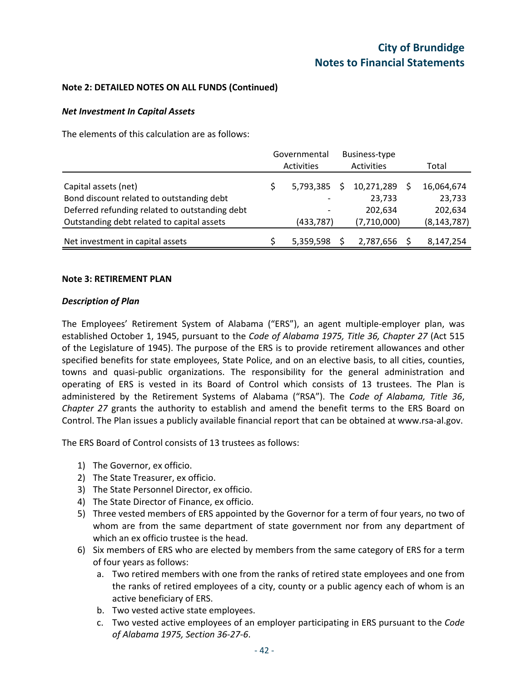### *Net Investment In Capital Assets*

The elements of this calculation are as follows:

|                                                | Governmental |            |  | Business-type |               |
|------------------------------------------------|--------------|------------|--|---------------|---------------|
|                                                |              | Activities |  | Activities    | Total         |
| Capital assets (net)                           |              | 5,793,385  |  | 10,271,289    | 16,064,674    |
| Bond discount related to outstanding debt      |              |            |  | 23,733        | 23,733        |
| Deferred refunding related to outstanding debt |              |            |  | 202,634       | 202,634       |
| Outstanding debt related to capital assets     |              | (433, 787) |  | (7,710,000)   | (8, 143, 787) |
| Net investment in capital assets               |              | 5,359,598  |  | 2,787,656     | 8,147,254     |

### **Note 3: RETIREMENT PLAN**

### *Description of Plan*

The Employees' Retirement System of Alabama ("ERS"), an agent multiple‐employer plan, was established October 1, 1945, pursuant to the *Code of Alabama 1975, Title 36, Chapter 27* (Act 515 of the Legislature of 1945). The purpose of the ERS is to provide retirement allowances and other specified benefits for state employees, State Police, and on an elective basis, to all cities, counties, towns and quasi‐public organizations. The responsibility for the general administration and operating of ERS is vested in its Board of Control which consists of 13 trustees. The Plan is administered by the Retirement Systems of Alabama ("RSA"). The *Code of Alabama, Title 36*, *Chapter 27* grants the authority to establish and amend the benefit terms to the ERS Board on Control. The Plan issues a publicly available financial report that can be obtained at www.rsa‐al.gov.

The ERS Board of Control consists of 13 trustees as follows:

- 1) The Governor, ex officio.
- 2) The State Treasurer, ex officio.
- 3) The State Personnel Director, ex officio.
- 4) The State Director of Finance, ex officio.
- 5) Three vested members of ERS appointed by the Governor for a term of four years, no two of whom are from the same department of state government nor from any department of which an ex officio trustee is the head.
- 6) Six members of ERS who are elected by members from the same category of ERS for a term of four years as follows:
	- a. Two retired members with one from the ranks of retired state employees and one from the ranks of retired employees of a city, county or a public agency each of whom is an active beneficiary of ERS.
	- b. Two vested active state employees.
	- c. Two vested active employees of an employer participating in ERS pursuant to the *Code of Alabama 1975, Section 36‐27‐6*.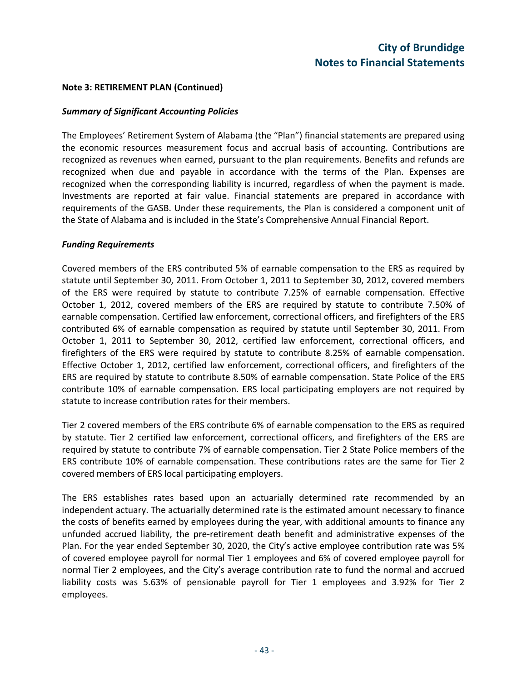## *Summary of Significant Accounting Policies*

The Employees' Retirement System of Alabama (the "Plan") financial statements are prepared using the economic resources measurement focus and accrual basis of accounting. Contributions are recognized as revenues when earned, pursuant to the plan requirements. Benefits and refunds are recognized when due and payable in accordance with the terms of the Plan. Expenses are recognized when the corresponding liability is incurred, regardless of when the payment is made. Investments are reported at fair value. Financial statements are prepared in accordance with requirements of the GASB. Under these requirements, the Plan is considered a component unit of the State of Alabama and is included in the State's Comprehensive Annual Financial Report.

### *Funding Requirements*

Covered members of the ERS contributed 5% of earnable compensation to the ERS as required by statute until September 30, 2011. From October 1, 2011 to September 30, 2012, covered members of the ERS were required by statute to contribute 7.25% of earnable compensation. Effective October 1, 2012, covered members of the ERS are required by statute to contribute 7.50% of earnable compensation. Certified law enforcement, correctional officers, and firefighters of the ERS contributed 6% of earnable compensation as required by statute until September 30, 2011. From October 1, 2011 to September 30, 2012, certified law enforcement, correctional officers, and firefighters of the ERS were required by statute to contribute 8.25% of earnable compensation. Effective October 1, 2012, certified law enforcement, correctional officers, and firefighters of the ERS are required by statute to contribute 8.50% of earnable compensation. State Police of the ERS contribute 10% of earnable compensation. ERS local participating employers are not required by statute to increase contribution rates for their members.

Tier 2 covered members of the ERS contribute 6% of earnable compensation to the ERS as required by statute. Tier 2 certified law enforcement, correctional officers, and firefighters of the ERS are required by statute to contribute 7% of earnable compensation. Tier 2 State Police members of the ERS contribute 10% of earnable compensation. These contributions rates are the same for Tier 2 covered members of ERS local participating employers.

The ERS establishes rates based upon an actuarially determined rate recommended by an independent actuary. The actuarially determined rate is the estimated amount necessary to finance the costs of benefits earned by employees during the year, with additional amounts to finance any unfunded accrued liability, the pre‐retirement death benefit and administrative expenses of the Plan. For the year ended September 30, 2020, the City's active employee contribution rate was 5% of covered employee payroll for normal Tier 1 employees and 6% of covered employee payroll for normal Tier 2 employees, and the City's average contribution rate to fund the normal and accrued liability costs was 5.63% of pensionable payroll for Tier 1 employees and 3.92% for Tier 2 employees.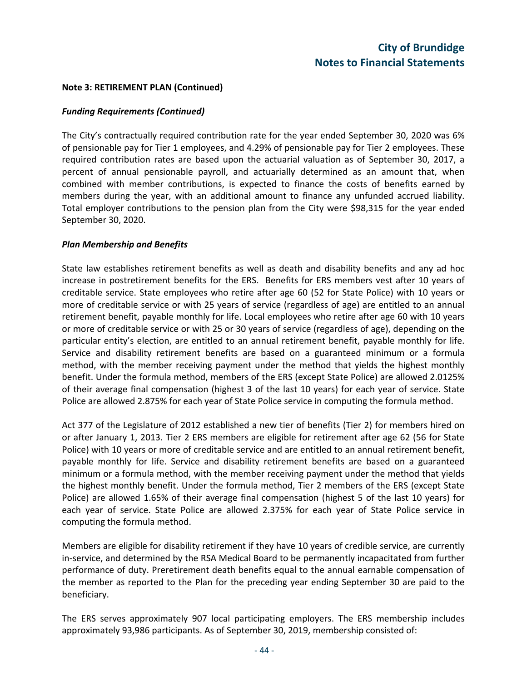### *Funding Requirements (Continued)*

The City's contractually required contribution rate for the year ended September 30, 2020 was 6% of pensionable pay for Tier 1 employees, and 4.29% of pensionable pay for Tier 2 employees. These required contribution rates are based upon the actuarial valuation as of September 30, 2017, a percent of annual pensionable payroll, and actuarially determined as an amount that, when combined with member contributions, is expected to finance the costs of benefits earned by members during the year, with an additional amount to finance any unfunded accrued liability. Total employer contributions to the pension plan from the City were \$98,315 for the year ended September 30, 2020.

### *Plan Membership and Benefits*

State law establishes retirement benefits as well as death and disability benefits and any ad hoc increase in postretirement benefits for the ERS. Benefits for ERS members vest after 10 years of creditable service. State employees who retire after age 60 (52 for State Police) with 10 years or more of creditable service or with 25 years of service (regardless of age) are entitled to an annual retirement benefit, payable monthly for life. Local employees who retire after age 60 with 10 years or more of creditable service or with 25 or 30 years of service (regardless of age), depending on the particular entity's election, are entitled to an annual retirement benefit, payable monthly for life. Service and disability retirement benefits are based on a guaranteed minimum or a formula method, with the member receiving payment under the method that yields the highest monthly benefit. Under the formula method, members of the ERS (except State Police) are allowed 2.0125% of their average final compensation (highest 3 of the last 10 years) for each year of service. State Police are allowed 2.875% for each year of State Police service in computing the formula method.

Act 377 of the Legislature of 2012 established a new tier of benefits (Tier 2) for members hired on or after January 1, 2013. Tier 2 ERS members are eligible for retirement after age 62 (56 for State Police) with 10 years or more of creditable service and are entitled to an annual retirement benefit, payable monthly for life. Service and disability retirement benefits are based on a guaranteed minimum or a formula method, with the member receiving payment under the method that yields the highest monthly benefit. Under the formula method, Tier 2 members of the ERS (except State Police) are allowed 1.65% of their average final compensation (highest 5 of the last 10 years) for each year of service. State Police are allowed 2.375% for each year of State Police service in computing the formula method.

Members are eligible for disability retirement if they have 10 years of credible service, are currently in-service, and determined by the RSA Medical Board to be permanently incapacitated from further performance of duty. Preretirement death benefits equal to the annual earnable compensation of the member as reported to the Plan for the preceding year ending September 30 are paid to the beneficiary.

The ERS serves approximately 907 local participating employers. The ERS membership includes approximately 93,986 participants. As of September 30, 2019, membership consisted of: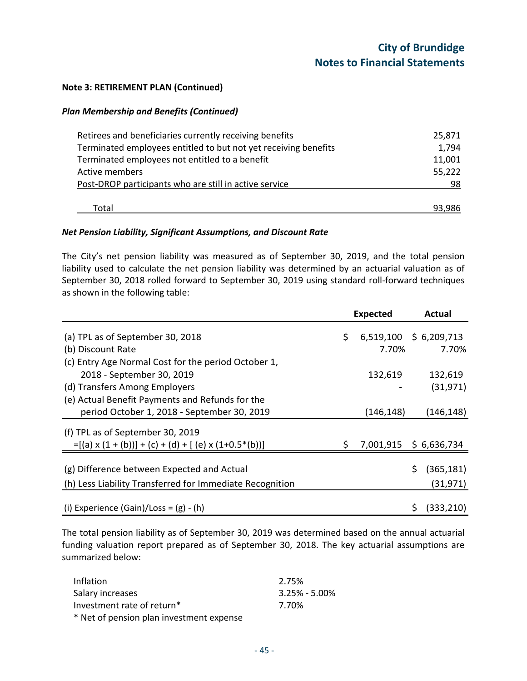### *Plan Membership and Benefits (Continued)*

| Retirees and beneficiaries currently receiving benefits         | 25,871 |
|-----------------------------------------------------------------|--------|
| Terminated employees entitled to but not yet receiving benefits | 1,794  |
| Terminated employees not entitled to a benefit                  | 11,001 |
| Active members                                                  | 55,222 |
| Post-DROP participants who are still in active service          | 98     |
|                                                                 |        |
| Total                                                           | 93,986 |

### *Net Pension Liability, Significant Assumptions, and Discount Rate*

The City's net pension liability was measured as of September 30, 2019, and the total pension liability used to calculate the net pension liability was determined by an actuarial valuation as of September 30, 2018 rolled forward to September 30, 2019 using standard roll-forward techniques as shown in the following table:

|                                                                    |     | <b>Expected</b>        |    | <b>Actual</b> |
|--------------------------------------------------------------------|-----|------------------------|----|---------------|
| (a) TPL as of September 30, 2018                                   | \$  | 6,519,100 \$ 6,209,713 |    |               |
| (b) Discount Rate                                                  |     | 7.70%                  |    | 7.70%         |
| (c) Entry Age Normal Cost for the period October 1,                |     |                        |    |               |
| 2018 - September 30, 2019                                          |     | 132,619                |    | 132,619       |
| (d) Transfers Among Employers                                      |     |                        |    | (31, 971)     |
| (e) Actual Benefit Payments and Refunds for the                    |     |                        |    |               |
| period October 1, 2018 - September 30, 2019                        |     | (146, 148)             |    | (146, 148)    |
| (f) TPL as of September 30, 2019                                   |     |                        |    |               |
| $=[(a) \times (1 + (b))] + (c) + (d) + [(e) \times (1 + 0.5*(b))]$ | \$. | 7,001,915 \$ 6,636,734 |    |               |
|                                                                    |     |                        |    |               |
| (g) Difference between Expected and Actual                         |     |                        | S. | (365, 181)    |
| (h) Less Liability Transferred for Immediate Recognition           |     |                        |    | (31, 971)     |
|                                                                    |     |                        |    |               |
| (i) Experience $(Gain)/Loss = (g) - (h)$                           |     |                        |    | (333, 210)    |

The total pension liability as of September 30, 2019 was determined based on the annual actuarial funding valuation report prepared as of September 30, 2018. The key actuarial assumptions are summarized below:

| <b>Inflation</b>                         | 2.75%             |
|------------------------------------------|-------------------|
| Salary increases                         | $3.25\% - 5.00\%$ |
| Investment rate of return*               | 7.70%             |
| * Net of pension plan investment expense |                   |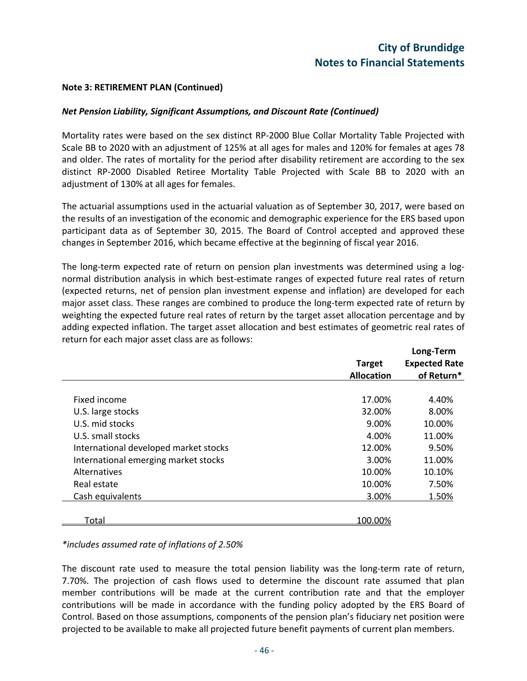### *Net Pension Liability, Significant Assumptions, and Discount Rate (Continued)*

Mortality rates were based on the sex distinct RP‐2000 Blue Collar Mortality Table Projected with Scale BB to 2020 with an adjustment of 125% at all ages for males and 120% for females at ages 78 and older. The rates of mortality for the period after disability retirement are according to the sex distinct RP‐2000 Disabled Retiree Mortality Table Projected with Scale BB to 2020 with an adjustment of 130% at all ages for females.

The actuarial assumptions used in the actuarial valuation as of September 30, 2017, were based on the results of an investigation of the economic and demographic experience for the ERS based upon participant data as of September 30, 2015. The Board of Control accepted and approved these changes in September 2016, which became effective at the beginning of fiscal year 2016.

The long-term expected rate of return on pension plan investments was determined using a lognormal distribution analysis in which best-estimate ranges of expected future real rates of return (expected returns, net of pension plan investment expense and inflation) are developed for each major asset class. These ranges are combined to produce the long-term expected rate of return by weighting the expected future real rates of return by the target asset allocation percentage and by adding expected inflation. The target asset allocation and best estimates of geometric real rates of return for each major asset class are as follows:

|                                       | <b>Target</b><br><b>Allocation</b> | Long-Term<br><b>Expected Rate</b><br>of Return* |
|---------------------------------------|------------------------------------|-------------------------------------------------|
|                                       |                                    |                                                 |
| Fixed income                          | 17.00%                             | 4.40%                                           |
| U.S. large stocks                     | 32.00%                             | 8.00%                                           |
| U.S. mid stocks                       | 9.00%                              | 10.00%                                          |
| U.S. small stocks                     | 4.00%                              | 11.00%                                          |
| International developed market stocks | 12.00%                             | 9.50%                                           |
| International emerging market stocks  | 3.00%                              | 11.00%                                          |
| Alternatives                          | 10.00%                             | 10.10%                                          |
| Real estate                           | 10.00%                             | 7.50%                                           |
| Cash equivalents                      | 3.00%                              | 1.50%                                           |
|                                       |                                    |                                                 |
| Total                                 | 100.00%                            |                                                 |

### *\*includes assumed rate of inflations of 2.50%*

The discount rate used to measure the total pension liability was the long-term rate of return, 7.70%. The projection of cash flows used to determine the discount rate assumed that plan member contributions will be made at the current contribution rate and that the employer contributions will be made in accordance with the funding policy adopted by the ERS Board of Control. Based on those assumptions, components of the pension plan's fiduciary net position were projected to be available to make all projected future benefit payments of current plan members.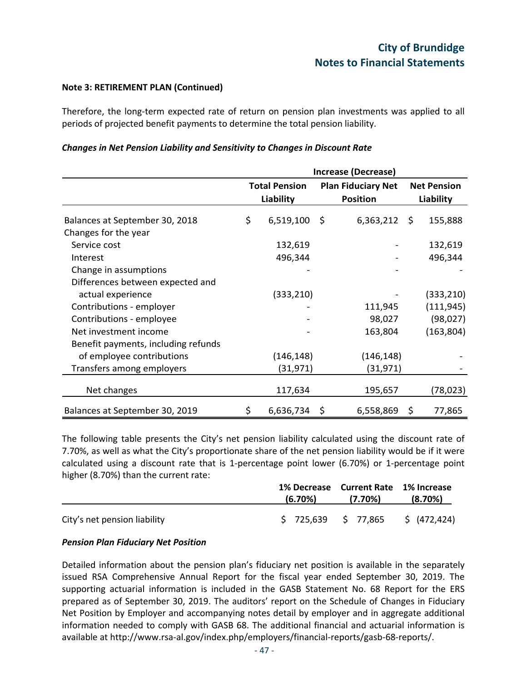Therefore, the long-term expected rate of return on pension plan investments was applied to all periods of projected benefit payments to determine the total pension liability.

### *Changes in Net Pension Liability and Sensitivity to Changes in Discount Rate*

|                                     |                      |      | <b>Increase (Decrease)</b> |     |                    |
|-------------------------------------|----------------------|------|----------------------------|-----|--------------------|
|                                     | <b>Total Pension</b> |      | <b>Plan Fiduciary Net</b>  |     | <b>Net Pension</b> |
|                                     | Liability            |      | <b>Position</b>            |     | Liability          |
| Balances at September 30, 2018      | \$<br>6,519,100      | - \$ | $6,363,212$ \$             |     | 155,888            |
| Changes for the year                |                      |      |                            |     |                    |
| Service cost                        | 132,619              |      |                            |     | 132,619            |
| Interest                            | 496,344              |      |                            |     | 496,344            |
| Change in assumptions               |                      |      |                            |     |                    |
| Differences between expected and    |                      |      |                            |     |                    |
| actual experience                   | (333, 210)           |      |                            |     | (333, 210)         |
| Contributions - employer            |                      |      | 111,945                    |     | (111, 945)         |
| Contributions - employee            |                      |      | 98,027                     |     | (98, 027)          |
| Net investment income               |                      |      | 163,804                    |     | (163, 804)         |
| Benefit payments, including refunds |                      |      |                            |     |                    |
| of employee contributions           | (146, 148)           |      | (146, 148)                 |     |                    |
| Transfers among employers           | (31, 971)            |      | (31, 971)                  |     |                    |
| Net changes                         | 117,634              |      | 195,657                    |     | (78,023)           |
| Balances at September 30, 2019      | \$<br>6,636,734 \$   |      | 6,558,869                  | -\$ | 77,865             |

The following table presents the City's net pension liability calculated using the discount rate of 7.70%, as well as what the City's proportionate share of the net pension liability would be if it were calculated using a discount rate that is 1‐percentage point lower (6.70%) or 1‐percentage point higher (8.70%) than the current rate:

|                              | $(6.70\%)$         | 1% Decrease Current Rate 1% Increase<br>(7.70%) | $(8.70\%)$   |  |  |
|------------------------------|--------------------|-------------------------------------------------|--------------|--|--|
| City's net pension liability | \$725,639 \$77,865 |                                                 | \$ (472,424) |  |  |

### *Pension Plan Fiduciary Net Position*

Detailed information about the pension plan's fiduciary net position is available in the separately issued RSA Comprehensive Annual Report for the fiscal year ended September 30, 2019. The supporting actuarial information is included in the GASB Statement No. 68 Report for the ERS prepared as of September 30, 2019. The auditors' report on the Schedule of Changes in Fiduciary Net Position by Employer and accompanying notes detail by employer and in aggregate additional information needed to comply with GASB 68. The additional financial and actuarial information is available at http://www.rsa‐al.gov/index.php/employers/financial‐reports/gasb‐68‐reports/.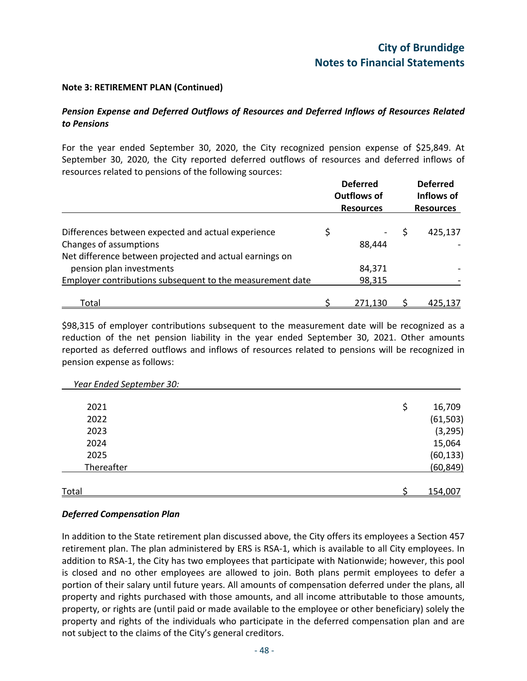## *Pension Expense and Deferred Outflows of Resources and Deferred Inflows of Resources Related to Pensions*

For the year ended September 30, 2020, the City recognized pension expense of \$25,849. At September 30, 2020, the City reported deferred outflows of resources and deferred inflows of resources related to pensions of the following sources:

|                                                           | <b>Deferred</b><br>Outflows of<br><b>Resources</b> | <b>Deferred</b><br>Inflows of<br><b>Resources</b> |
|-----------------------------------------------------------|----------------------------------------------------|---------------------------------------------------|
| Differences between expected and actual experience        | \$                                                 | 425,137                                           |
| Changes of assumptions                                    | 88,444                                             |                                                   |
| Net difference between projected and actual earnings on   |                                                    |                                                   |
| pension plan investments                                  | 84,371                                             |                                                   |
| Employer contributions subsequent to the measurement date | 98,315                                             |                                                   |
|                                                           |                                                    |                                                   |
| <u>Total</u>                                              | 271.130                                            | 425.137                                           |

\$98,315 of employer contributions subsequent to the measurement date will be recognized as a reduction of the net pension liability in the year ended September 30, 2021. Other amounts reported as deferred outflows and inflows of resources related to pensions will be recognized in pension expense as follows:

| Year Ended September 30: |              |
|--------------------------|--------------|
| 2021                     | 16,709<br>\$ |
| 2022                     | (61, 503)    |
| 2023                     | (3, 295)     |
| 2024                     | 15,064       |
| 2025                     | (60, 133)    |
| Thereafter               | (60, 849)    |
|                          |              |
| <b>Total</b>             | 154,007      |

## *Deferred Compensation Plan*

In addition to the State retirement plan discussed above, the City offers its employees a Section 457 retirement plan. The plan administered by ERS is RSA‐1, which is available to all City employees. In addition to RSA‐1, the City has two employees that participate with Nationwide; however, this pool is closed and no other employees are allowed to join. Both plans permit employees to defer a portion of their salary until future years. All amounts of compensation deferred under the plans, all property and rights purchased with those amounts, and all income attributable to those amounts, property, or rights are (until paid or made available to the employee or other beneficiary) solely the property and rights of the individuals who participate in the deferred compensation plan and are not subject to the claims of the City's general creditors.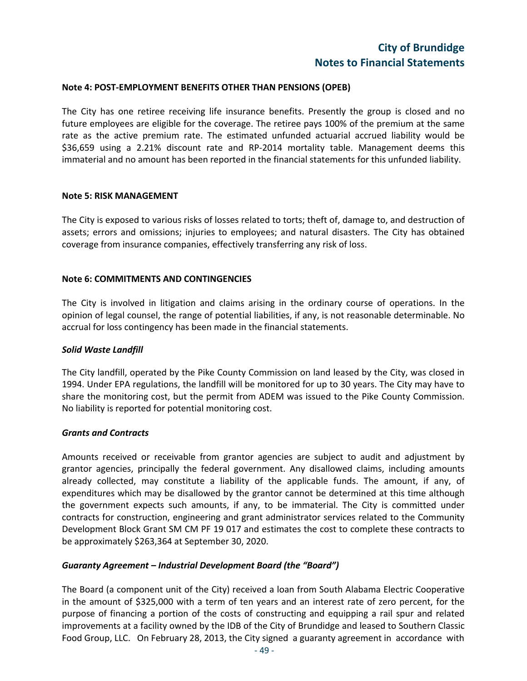### **Note 4: POST‐EMPLOYMENT BENEFITS OTHER THAN PENSIONS (OPEB)**

The City has one retiree receiving life insurance benefits. Presently the group is closed and no future employees are eligible for the coverage. The retiree pays 100% of the premium at the same rate as the active premium rate. The estimated unfunded actuarial accrued liability would be \$36,659 using a 2.21% discount rate and RP-2014 mortality table. Management deems this immaterial and no amount has been reported in the financial statements for this unfunded liability.

### **Note 5: RISK MANAGEMENT**

The City is exposed to various risks of losses related to torts; theft of, damage to, and destruction of assets; errors and omissions; injuries to employees; and natural disasters. The City has obtained coverage from insurance companies, effectively transferring any risk of loss.

### **Note 6: COMMITMENTS AND CONTINGENCIES**

The City is involved in litigation and claims arising in the ordinary course of operations. In the opinion of legal counsel, the range of potential liabilities, if any, is not reasonable determinable. No accrual for loss contingency has been made in the financial statements.

### *Solid Waste Landfill*

The City landfill, operated by the Pike County Commission on land leased by the City, was closed in 1994. Under EPA regulations, the landfill will be monitored for up to 30 years. The City may have to share the monitoring cost, but the permit from ADEM was issued to the Pike County Commission. No liability is reported for potential monitoring cost.

### *Grants and Contracts*

Amounts received or receivable from grantor agencies are subject to audit and adjustment by grantor agencies, principally the federal government. Any disallowed claims, including amounts already collected, may constitute a liability of the applicable funds. The amount, if any, of expenditures which may be disallowed by the grantor cannot be determined at this time although the government expects such amounts, if any, to be immaterial. The City is committed under contracts for construction, engineering and grant administrator services related to the Community Development Block Grant SM CM PF 19 017 and estimates the cost to complete these contracts to be approximately \$263,364 at September 30, 2020.

### *Guaranty Agreement – Industrial Development Board (the "Board")*

The Board (a component unit of the City) received a loan from South Alabama Electric Cooperative in the amount of \$325,000 with a term of ten years and an interest rate of zero percent, for the purpose of financing a portion of the costs of constructing and equipping a rail spur and related improvements at a facility owned by the IDB of the City of Brundidge and leased to Southern Classic Food Group, LLC. On February 28, 2013, the City signed a guaranty agreement in accordance with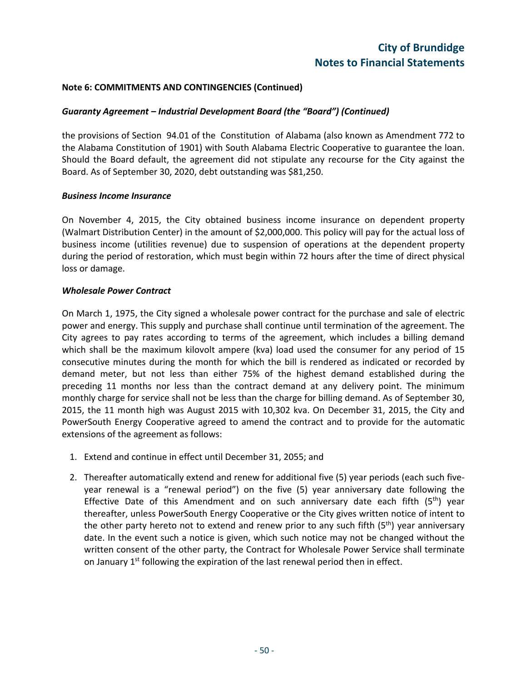### **Note 6: COMMITMENTS AND CONTINGENCIES (Continued)**

### *Guaranty Agreement – Industrial Development Board (the "Board") (Continued)*

the provisions of Section 94.01 of the Constitution of Alabama (also known as Amendment 772 to the Alabama Constitution of 1901) with South Alabama Electric Cooperative to guarantee the loan. Should the Board default, the agreement did not stipulate any recourse for the City against the Board. As of September 30, 2020, debt outstanding was \$81,250.

### *Business Income Insurance*

On November 4, 2015, the City obtained business income insurance on dependent property (Walmart Distribution Center) in the amount of \$2,000,000. This policy will pay for the actual loss of business income (utilities revenue) due to suspension of operations at the dependent property during the period of restoration, which must begin within 72 hours after the time of direct physical loss or damage.

### *Wholesale Power Contract*

On March 1, 1975, the City signed a wholesale power contract for the purchase and sale of electric power and energy. This supply and purchase shall continue until termination of the agreement. The City agrees to pay rates according to terms of the agreement, which includes a billing demand which shall be the maximum kilovolt ampere (kva) load used the consumer for any period of 15 consecutive minutes during the month for which the bill is rendered as indicated or recorded by demand meter, but not less than either 75% of the highest demand established during the preceding 11 months nor less than the contract demand at any delivery point. The minimum monthly charge for service shall not be less than the charge for billing demand. As of September 30, 2015, the 11 month high was August 2015 with 10,302 kva. On December 31, 2015, the City and PowerSouth Energy Cooperative agreed to amend the contract and to provide for the automatic extensions of the agreement as follows:

- 1. Extend and continue in effect until December 31, 2055; and
- 2. Thereafter automatically extend and renew for additional five (5) year periods (each such fiveyear renewal is a "renewal period") on the five (5) year anniversary date following the Effective Date of this Amendment and on such anniversary date each fifth  $(5<sup>th</sup>)$  year thereafter, unless PowerSouth Energy Cooperative or the City gives written notice of intent to the other party hereto not to extend and renew prior to any such fifth  $(5<sup>th</sup>)$  year anniversary date. In the event such a notice is given, which such notice may not be changed without the written consent of the other party, the Contract for Wholesale Power Service shall terminate on January  $1^{st}$  following the expiration of the last renewal period then in effect.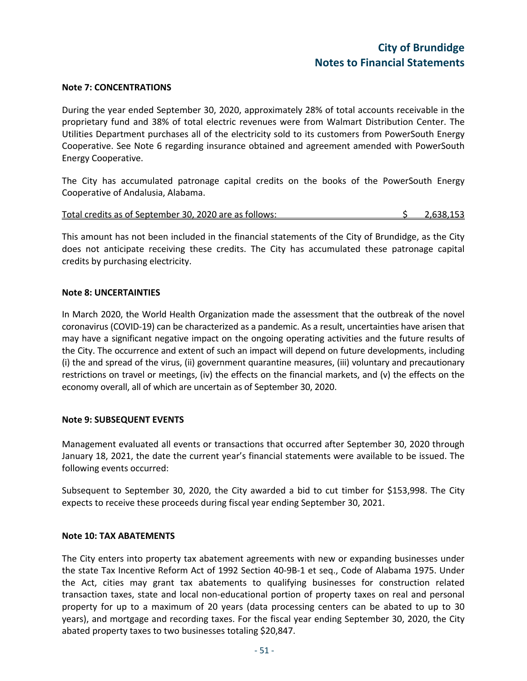### **Note 7: CONCENTRATIONS**

During the year ended September 30, 2020, approximately 28% of total accounts receivable in the proprietary fund and 38% of total electric revenues were from Walmart Distribution Center. The Utilities Department purchases all of the electricity sold to its customers from PowerSouth Energy Cooperative. See Note 6 regarding insurance obtained and agreement amended with PowerSouth Energy Cooperative.

The City has accumulated patronage capital credits on the books of the PowerSouth Energy Cooperative of Andalusia, Alabama.

| Total credits as of September 30, 2020 are as follows: |  | 2,638,153 |  |
|--------------------------------------------------------|--|-----------|--|
|                                                        |  |           |  |

This amount has not been included in the financial statements of the City of Brundidge, as the City does not anticipate receiving these credits. The City has accumulated these patronage capital credits by purchasing electricity.

#### **Note 8: UNCERTAINTIES**

In March 2020, the World Health Organization made the assessment that the outbreak of the novel coronavirus (COVID‐19) can be characterized as a pandemic. As a result, uncertainties have arisen that may have a significant negative impact on the ongoing operating activities and the future results of the City. The occurrence and extent of such an impact will depend on future developments, including (i) the and spread of the virus, (ii) government quarantine measures, (iii) voluntary and precautionary restrictions on travel or meetings, (iv) the effects on the financial markets, and (v) the effects on the economy overall, all of which are uncertain as of September 30, 2020.

### **Note 9: SUBSEQUENT EVENTS**

Management evaluated all events or transactions that occurred after September 30, 2020 through January 18, 2021, the date the current year's financial statements were available to be issued. The following events occurred:

Subsequent to September 30, 2020, the City awarded a bid to cut timber for \$153,998. The City expects to receive these proceeds during fiscal year ending September 30, 2021.

### **Note 10: TAX ABATEMENTS**

The City enters into property tax abatement agreements with new or expanding businesses under the state Tax Incentive Reform Act of 1992 Section 40‐9B‐1 et seq., Code of Alabama 1975. Under the Act, cities may grant tax abatements to qualifying businesses for construction related transaction taxes, state and local non‐educational portion of property taxes on real and personal property for up to a maximum of 20 years (data processing centers can be abated to up to 30 years), and mortgage and recording taxes. For the fiscal year ending September 30, 2020, the City abated property taxes to two businesses totaling \$20,847.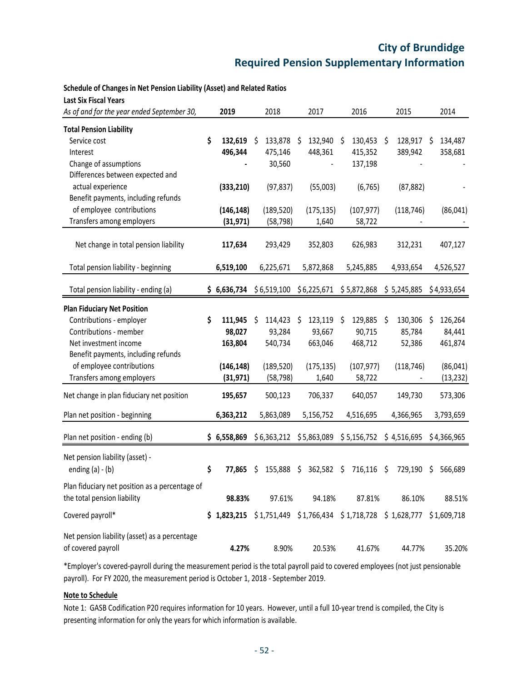## **City of Brundidge Required Pension Supplementary Information**

### **Schedule of Changes in Net Pension Liability (Asset) and Related Ratios**

| <b>Last Six Fiscal Years</b>                   |                                                                               |    |             |    |             |     |              |   |                                                     |    |             |
|------------------------------------------------|-------------------------------------------------------------------------------|----|-------------|----|-------------|-----|--------------|---|-----------------------------------------------------|----|-------------|
| As of and for the year ended September 30,     | 2019                                                                          |    | 2018        |    | 2017        |     | 2016         |   | 2015                                                |    | 2014        |
| <b>Total Pension Liability</b>                 |                                                                               |    |             |    |             |     |              |   |                                                     |    |             |
| Service cost                                   | \$<br>132,619                                                                 | \$ | 133,878     | \$ | 132,940     | -\$ | $130,453$ \$ |   | 128,917                                             | S  | 134,487     |
| Interest                                       | 496,344                                                                       |    | 475,146     |    | 448,361     |     | 415,352      |   | 389,942                                             |    | 358,681     |
| Change of assumptions                          |                                                                               |    | 30,560      |    |             |     | 137,198      |   |                                                     |    |             |
| Differences between expected and               |                                                                               |    |             |    |             |     |              |   |                                                     |    |             |
| actual experience                              | (333, 210)                                                                    |    | (97, 837)   |    | (55,003)    |     | (6, 765)     |   | (87, 882)                                           |    |             |
| Benefit payments, including refunds            |                                                                               |    |             |    |             |     |              |   |                                                     |    |             |
| of employee contributions                      | (146, 148)                                                                    |    | (189, 520)  |    | (175, 135)  |     | (107, 977)   |   | (118, 746)                                          |    | (86, 041)   |
| Transfers among employers                      | (31, 971)                                                                     |    | (58, 798)   |    | 1,640       |     | 58,722       |   |                                                     |    |             |
|                                                |                                                                               |    |             |    |             |     |              |   |                                                     |    |             |
| Net change in total pension liability          | 117,634                                                                       |    | 293,429     |    | 352,803     |     | 626,983      |   | 312,231                                             |    | 407,127     |
| Total pension liability - beginning            | 6,519,100                                                                     |    | 6,225,671   |    | 5,872,868   |     | 5,245,885    |   | 4,933,654                                           |    | 4,526,527   |
|                                                |                                                                               |    |             |    |             |     |              |   |                                                     |    |             |
| Total pension liability - ending (a)           | \$6,636,734                                                                   |    |             |    |             |     |              |   | $$6,519,100$ $$6,225,671$ $$5,872,868$ $$5,245,885$ |    | \$4,933,654 |
| <b>Plan Fiduciary Net Position</b>             |                                                                               |    |             |    |             |     |              |   |                                                     |    |             |
| Contributions - employer                       | \$<br>111,945                                                                 | \$ | 114,423     | S  | 123,119     | S   | 129,885      | S | 130,306                                             | S  | 126,264     |
| Contributions - member                         | 98,027                                                                        |    | 93,284      |    | 93,667      |     | 90,715       |   | 85,784                                              |    | 84,441      |
| Net investment income                          | 163,804                                                                       |    | 540,734     |    | 663,046     |     | 468,712      |   | 52,386                                              |    | 461,874     |
| Benefit payments, including refunds            |                                                                               |    |             |    |             |     |              |   |                                                     |    |             |
| of employee contributions                      | (146, 148)                                                                    |    | (189, 520)  |    | (175, 135)  |     | (107, 977)   |   | (118, 746)                                          |    | (86,041)    |
| Transfers among employers                      | (31, 971)                                                                     |    | (58, 798)   |    | 1,640       |     | 58,722       |   |                                                     |    | (13, 232)   |
| Net change in plan fiduciary net position      | 195,657                                                                       |    | 500,123     |    | 706,337     |     | 640,057      |   | 149,730                                             |    | 573,306     |
| Plan net position - beginning                  | 6,363,212                                                                     |    | 5,863,089   |    | 5,156,752   |     | 4,516,695    |   | 4,366,965                                           |    | 3,793,659   |
| Plan net position - ending (b)                 | \$6,558,869                                                                   |    | \$6,363,212 |    | \$5,863,089 |     | \$5,156,752  |   | \$4,516,695                                         |    | \$4,366,965 |
|                                                |                                                                               |    |             |    |             |     |              |   |                                                     |    |             |
| Net pension liability (asset) -                |                                                                               |    |             |    |             |     |              |   |                                                     |    |             |
| ending $(a) - (b)$                             | \$<br>77,865                                                                  | S  | 155,888     | \$ | 362,582 \$  |     | 716,116 \$   |   | 729,190                                             | \$ | 566,689     |
| Plan fiduciary net position as a percentage of |                                                                               |    |             |    |             |     |              |   |                                                     |    |             |
| the total pension liability                    | 98.83%                                                                        |    | 97.61%      |    | 94.18%      |     | 87.81%       |   | 86.10%                                              |    | 88.51%      |
| Covered payroll*                               | $$1,823,215$ $$1,751,449$ $$1,766,434$ $$1,718,728$ $$1,628,777$ $$1,609,718$ |    |             |    |             |     |              |   |                                                     |    |             |
| Net pension liability (asset) as a percentage  |                                                                               |    |             |    |             |     |              |   |                                                     |    |             |
| of covered payroll                             | 4.27%                                                                         |    | 8.90%       |    | 20.53%      |     | 41.67%       |   | 44.77%                                              |    | 35.20%      |

\*Employer's covered‐payroll during the measurement period is the total payroll paid to covered employees (not just pensionable payroll). For FY 2020, the measurement period is October 1, 2018 ‐ September 2019.

#### **Note to Schedule**

Note 1: GASB Codification P20 requires information for 10 years. However, until a full 10‐year trend is compiled, the City is presenting information for only the years for which information is available.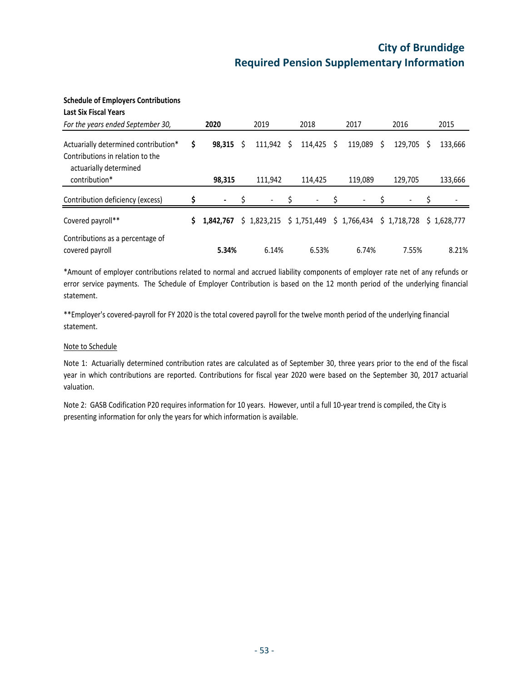## **City of Brundidge Required Pension Supplementary Information**

#### **Schedule of Employers Contributions**

| Last Six Fiscal Years                                                                              |              |      |                          |                                                                  |  |                          |     |         |   |         |  |
|----------------------------------------------------------------------------------------------------|--------------|------|--------------------------|------------------------------------------------------------------|--|--------------------------|-----|---------|---|---------|--|
| For the years ended September 30,                                                                  | 2020         | 2019 |                          | 2018                                                             |  | 2017                     |     | 2016    |   | 2015    |  |
| Actuarially determined contribution*<br>Contributions in relation to the<br>actuarially determined | \$<br>98.315 | Ś    | $111,942 \quad$ \$       | $114,425$ \$                                                     |  | 119.089                  | - S | 129.705 | S | 133,666 |  |
| contribution*                                                                                      | 98.315       |      | 111.942                  | 114.425                                                          |  | 119.089                  |     | 129.705 |   | 133,666 |  |
| Contribution deficiency (excess)                                                                   |              |      | $\overline{\phantom{a}}$ | $\blacksquare$                                                   |  | $\overline{\phantom{a}}$ |     |         |   |         |  |
| Covered payroll**                                                                                  | 1.842.767    |      |                          | $$1,823,215$ $$1,751,449$ $$1,766,434$ $$1,718,728$ $$1,628,777$ |  |                          |     |         |   |         |  |
| Contributions as a percentage of<br>covered payroll                                                | 5.34%        |      | 6.14%                    | 6.53%                                                            |  | 6.74%                    |     | 7.55%   |   | 8.21%   |  |

\*Amount of employer contributions related to normal and accrued liability components of employer rate net of any refunds or error service payments. The Schedule of Employer Contribution is based on the 12 month period of the underlying financial statement.

\*\*Employer's covered‐payroll for FY 2020 is the total covered payroll for the twelve month period of the underlying financial statement.

#### Note to Schedule

Note 1: Actuarially determined contribution rates are calculated as of September 30, three years prior to the end of the fiscal year in which contributions are reported. Contributions for fiscal year 2020 were based on the September 30, 2017 actuarial valuation.

Note 2: GASB Codification P20 requires information for 10 years. However, until a full 10‐year trend is compiled, the City is presenting information for only the years for which information is available.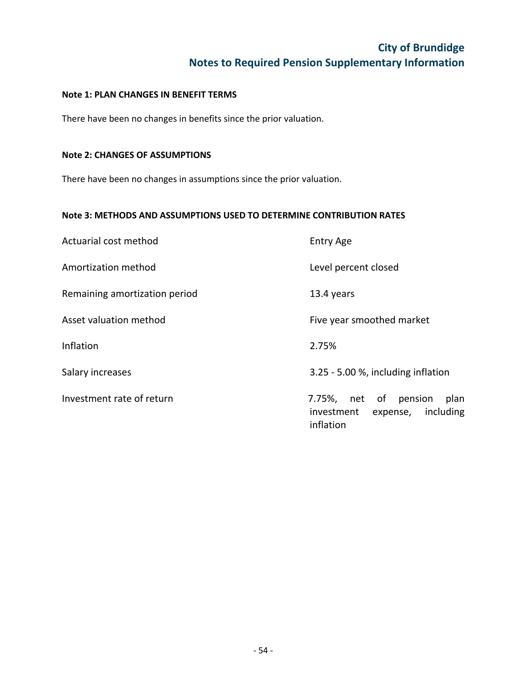## **City of Brundidge Notes to Required Pension Supplementary Information**

### **Note 1: PLAN CHANGES IN BENEFIT TERMS**

There have been no changes in benefits since the prior valuation.

### **Note 2: CHANGES OF ASSUMPTIONS**

There have been no changes in assumptions since the prior valuation.

## **Note 3: METHODS AND ASSUMPTIONS USED TO DETERMINE CONTRIBUTION RATES**

| Actuarial cost method         | <b>Entry Age</b>                                                               |  |  |  |  |  |  |
|-------------------------------|--------------------------------------------------------------------------------|--|--|--|--|--|--|
| Amortization method           | Level percent closed                                                           |  |  |  |  |  |  |
| Remaining amortization period | 13.4 years                                                                     |  |  |  |  |  |  |
| Asset valuation method        | Five year smoothed market                                                      |  |  |  |  |  |  |
| Inflation                     | 2.75%                                                                          |  |  |  |  |  |  |
| Salary increases              | 3.25 - 5.00 %, including inflation                                             |  |  |  |  |  |  |
| Investment rate of return     | 7.75%, net of pension<br>plan<br>expense, including<br>investment<br>inflation |  |  |  |  |  |  |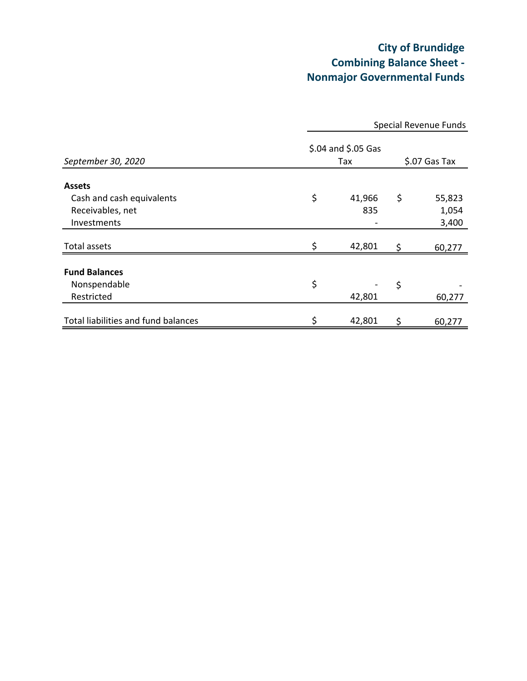# **City of Brundidge Combining Balance Sheet ‐ Nonmajor Governmental Funds**

|                                     |    | Special Revenue Funds |    |               |  |  |  |  |
|-------------------------------------|----|-----------------------|----|---------------|--|--|--|--|
|                                     |    | \$.04 and \$.05 Gas   |    |               |  |  |  |  |
| September 30, 2020                  |    | Tax                   |    | \$.07 Gas Tax |  |  |  |  |
| <b>Assets</b>                       |    |                       |    |               |  |  |  |  |
| Cash and cash equivalents           | \$ | 41,966                | \$ | 55,823        |  |  |  |  |
| Receivables, net                    |    | 835                   |    | 1,054         |  |  |  |  |
| Investments                         |    |                       |    | 3,400         |  |  |  |  |
| <b>Total assets</b>                 | Ś  | 42,801                | \$ | 60,277        |  |  |  |  |
| <b>Fund Balances</b>                |    |                       |    |               |  |  |  |  |
| Nonspendable                        | \$ |                       | \$ |               |  |  |  |  |
| Restricted                          |    | 42,801                |    | 60,277        |  |  |  |  |
| Total liabilities and fund balances | \$ | 42,801                |    | 60,277        |  |  |  |  |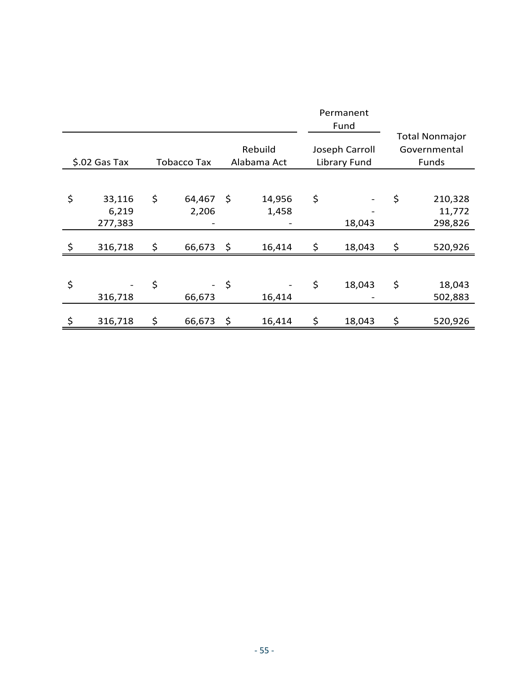|    |                 |                       |         |                        | Permanent                                     |                                                |
|----|-----------------|-----------------------|---------|------------------------|-----------------------------------------------|------------------------------------------------|
|    | \$.02 Gas Tax   | <b>Tobacco Tax</b>    |         | Rebuild<br>Alabama Act | Fund<br>Joseph Carroll<br><b>Library Fund</b> | <b>Total Nonmajor</b><br>Governmental<br>Funds |
|    |                 |                       |         |                        |                                               |                                                |
| \$ | 33,116<br>6,219 | \$<br>64,467<br>2,206 | \$      | 14,956<br>1,458        | \$                                            | \$<br>210,328<br>11,772                        |
|    | 277,383         |                       |         |                        | 18,043                                        | 298,826                                        |
| ς  | 316,718         | \$<br>66,673          | $\zeta$ | 16,414                 | \$<br>18,043                                  | \$<br>520,926                                  |
|    |                 |                       |         |                        |                                               |                                                |
| \$ | 316,718         | \$<br>66,673          | $\zeta$ | 16,414                 | \$<br>18,043                                  | \$<br>18,043<br>502,883                        |
| \$ | 316,718         | \$<br>66,673          | \$      | 16,414                 | \$<br>18,043                                  | \$<br>520,926                                  |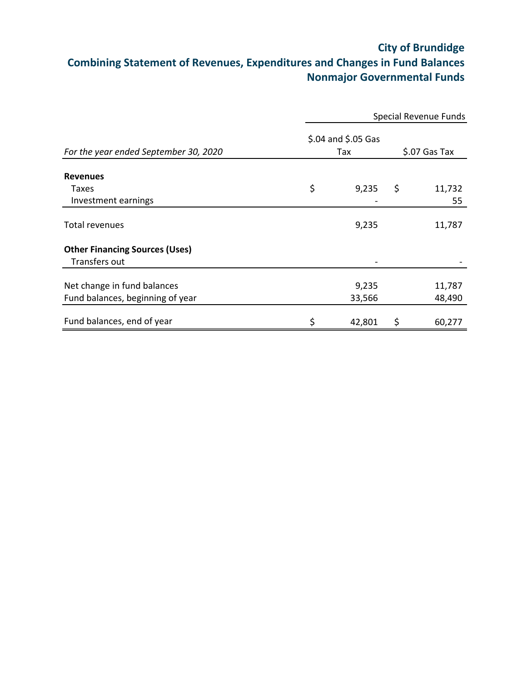# **City of Brundidge Combining Statement of Revenues, Expenditures and Changes in Fund Balances Nonmajor Governmental Funds**

|                                       |                     |               | Special Revenue Funds |  |
|---------------------------------------|---------------------|---------------|-----------------------|--|
|                                       | \$.04 and \$.05 Gas |               |                       |  |
| For the year ended September 30, 2020 | Tax                 | \$.07 Gas Tax |                       |  |
| <b>Revenues</b>                       |                     |               |                       |  |
| Taxes                                 | \$<br>9,235         | \$            | 11,732                |  |
| Investment earnings                   |                     |               | 55                    |  |
|                                       |                     |               |                       |  |
| <b>Total revenues</b>                 | 9,235               |               | 11,787                |  |
| <b>Other Financing Sources (Uses)</b> |                     |               |                       |  |
| Transfers out                         |                     |               |                       |  |
|                                       |                     |               |                       |  |
| Net change in fund balances           | 9,235               |               | 11,787                |  |
| Fund balances, beginning of year      | 33,566              |               | 48,490                |  |
| Fund balances, end of year            | \$<br>42,801        | \$            | 60,277                |  |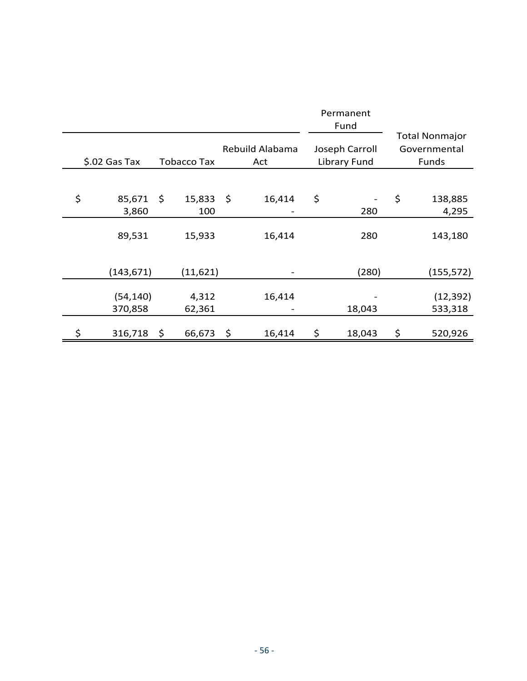|                       |         |                 |      |                        | Permanent<br>Fund              |                                                |
|-----------------------|---------|-----------------|------|------------------------|--------------------------------|------------------------------------------------|
| \$.02 Gas Tax         |         | Tobacco Tax     |      | Rebuild Alabama<br>Act | Joseph Carroll<br>Library Fund | <b>Total Nonmajor</b><br>Governmental<br>Funds |
|                       |         |                 |      |                        |                                |                                                |
| \$<br>85,671<br>3,860 | $\zeta$ | 15,833<br>100   | - \$ | 16,414                 | \$<br>280                      | \$<br>138,885<br>4,295                         |
| 89,531                |         | 15,933          |      | 16,414                 | 280                            | 143,180                                        |
| (143, 671)            |         | (11, 621)       |      |                        | (280)                          | (155, 572)                                     |
| (54, 140)<br>370,858  |         | 4,312<br>62,361 |      | 16,414                 | 18,043                         | (12, 392)<br>533,318                           |
| \$<br>316,718         | \$      | 66,673          | \$   | 16,414                 | \$<br>18,043                   | \$<br>520,926                                  |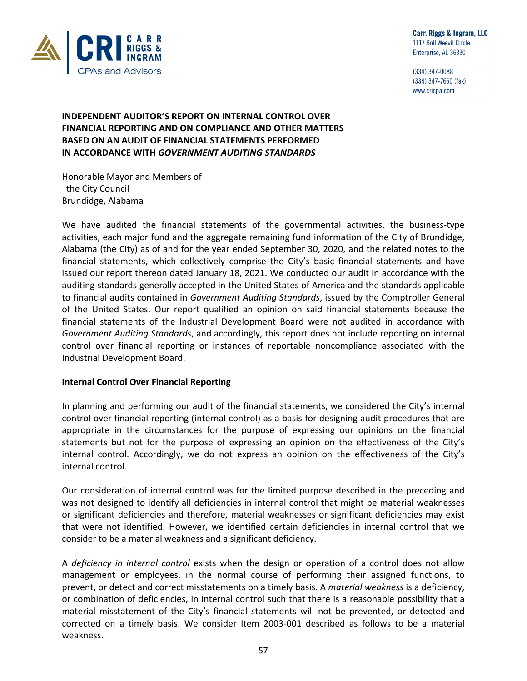

Carr, Riggs & Ingram, LLC 1117 Boll Weevil Circle Enterprise, AL 36330

(334) 347-0088 (334) 347-7650 (fax) www.cricpa.com

## **INDEPENDENT AUDITOR'S REPORT ON INTERNAL CONTROL OVER FINANCIAL REPORTING AND ON COMPLIANCE AND OTHER MATTERS BASED ON AN AUDIT OF FINANCIAL STATEMENTS PERFORMED IN ACCORDANCE WITH** *GOVERNMENT AUDITING STANDARDS*

Honorable Mayor and Members of the City Council Brundidge, Alabama

We have audited the financial statements of the governmental activities, the business-type activities, each major fund and the aggregate remaining fund information of the City of Brundidge, Alabama (the City) as of and for the year ended September 30, 2020, and the related notes to the financial statements, which collectively comprise the City's basic financial statements and have issued our report thereon dated January 18, 2021. We conducted our audit in accordance with the auditing standards generally accepted in the United States of America and the standards applicable to financial audits contained in *Government Auditing Standards*, issued by the Comptroller General of the United States. Our report qualified an opinion on said financial statements because the financial statements of the Industrial Development Board were not audited in accordance with *Government Auditing Standards*, and accordingly, this report does not include reporting on internal control over financial reporting or instances of reportable noncompliance associated with the Industrial Development Board.

### **Internal Control Over Financial Reporting**

In planning and performing our audit of the financial statements, we considered the City's internal control over financial reporting (internal control) as a basis for designing audit procedures that are appropriate in the circumstances for the purpose of expressing our opinions on the financial statements but not for the purpose of expressing an opinion on the effectiveness of the City's internal control. Accordingly, we do not express an opinion on the effectiveness of the City's internal control.

Our consideration of internal control was for the limited purpose described in the preceding and was not designed to identify all deficiencies in internal control that might be material weaknesses or significant deficiencies and therefore, material weaknesses or significant deficiencies may exist that were not identified. However, we identified certain deficiencies in internal control that we consider to be a material weakness and a significant deficiency.

A *deficiency in internal control* exists when the design or operation of a control does not allow management or employees, in the normal course of performing their assigned functions, to prevent, or detect and correct misstatements on a timely basis. A *material weakness* is a deficiency, or combination of deficiencies, in internal control such that there is a reasonable possibility that a material misstatement of the City's financial statements will not be prevented, or detected and corrected on a timely basis. We consider Item 2003‐001 described as follows to be a material weakness.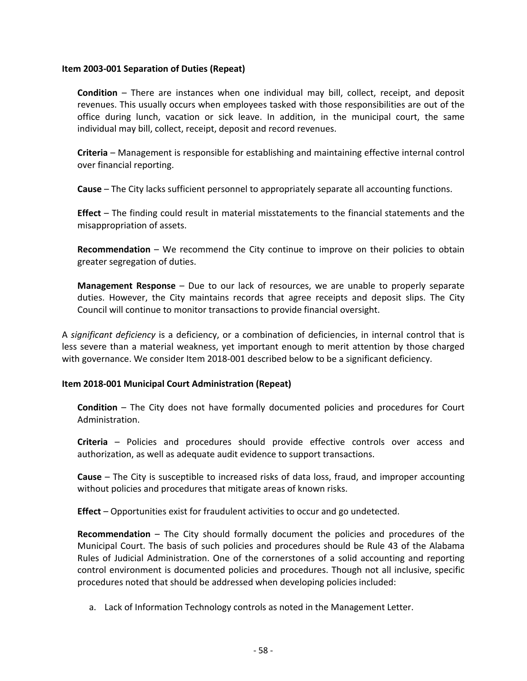### **Item 2003‐001 Separation of Duties (Repeat)**

**Condition** – There are instances when one individual may bill, collect, receipt, and deposit revenues. This usually occurs when employees tasked with those responsibilities are out of the office during lunch, vacation or sick leave. In addition, in the municipal court, the same individual may bill, collect, receipt, deposit and record revenues.

**Criteria** – Management is responsible for establishing and maintaining effective internal control over financial reporting.

**Cause** – The City lacks sufficient personnel to appropriately separate all accounting functions.

**Effect** – The finding could result in material misstatements to the financial statements and the misappropriation of assets.

**Recommendation** – We recommend the City continue to improve on their policies to obtain greater segregation of duties.

**Management Response** – Due to our lack of resources, we are unable to properly separate duties. However, the City maintains records that agree receipts and deposit slips. The City Council will continue to monitor transactions to provide financial oversight.

A *significant deficiency* is a deficiency, or a combination of deficiencies, in internal control that is less severe than a material weakness, yet important enough to merit attention by those charged with governance. We consider Item 2018-001 described below to be a significant deficiency.

## **Item 2018‐001 Municipal Court Administration (Repeat)**

**Condition** – The City does not have formally documented policies and procedures for Court Administration.

**Criteria** – Policies and procedures should provide effective controls over access and authorization, as well as adequate audit evidence to support transactions.

**Cause** – The City is susceptible to increased risks of data loss, fraud, and improper accounting without policies and procedures that mitigate areas of known risks.

**Effect** – Opportunities exist for fraudulent activities to occur and go undetected.

**Recommendation** – The City should formally document the policies and procedures of the Municipal Court. The basis of such policies and procedures should be Rule 43 of the Alabama Rules of Judicial Administration. One of the cornerstones of a solid accounting and reporting control environment is documented policies and procedures. Though not all inclusive, specific procedures noted that should be addressed when developing policies included:

a. Lack of Information Technology controls as noted in the Management Letter.